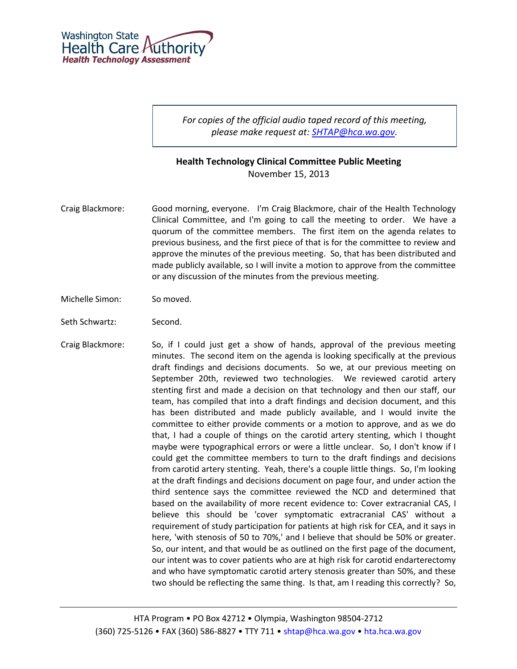

*For copies of the official audio taped record of this meeting, please make request at: [SHTAP@hca.wa.gov.](mailto:SHTAP@hca.wa.gov)*

## **Health Technology Clinical Committee Public Meeting** November 15, 2013

- Craig Blackmore: Good morning, everyone. I'm Craig Blackmore, chair of the Health Technology Clinical Committee, and I'm going to call the meeting to order. We have a quorum of the committee members. The first item on the agenda relates to previous business, and the first piece of that is for the committee to review and approve the minutes of the previous meeting. So, that has been distributed and made publicly available, so I will invite a motion to approve from the committee or any discussion of the minutes from the previous meeting.
- Michelle Simon: So moved.
- Seth Schwartz: Second.
- Craig Blackmore: So, if I could just get a show of hands, approval of the previous meeting minutes. The second item on the agenda is looking specifically at the previous draft findings and decisions documents. So we, at our previous meeting on September 20th, reviewed two technologies. We reviewed carotid artery stenting first and made a decision on that technology and then our staff, our team, has compiled that into a draft findings and decision document, and this has been distributed and made publicly available, and I would invite the committee to either provide comments or a motion to approve, and as we do that, I had a couple of things on the carotid artery stenting, which I thought maybe were typographical errors or were a little unclear. So, I don't know if I could get the committee members to turn to the draft findings and decisions from carotid artery stenting. Yeah, there's a couple little things. So, I'm looking at the draft findings and decisions document on page four, and under action the third sentence says the committee reviewed the NCD and determined that based on the availability of more recent evidence to: Cover extracranial CAS, I believe this should be 'cover symptomatic extracranial CAS' without a requirement of study participation for patients at high risk for CEA, and it says in here, 'with stenosis of 50 to 70%,' and I believe that should be 50% or greater. So, our intent, and that would be as outlined on the first page of the document, our intent was to cover patients who are at high risk for carotid endarterectomy and who have symptomatic carotid artery stenosis greater than 50%, and these two should be reflecting the same thing. Is that, am I reading this correctly? So,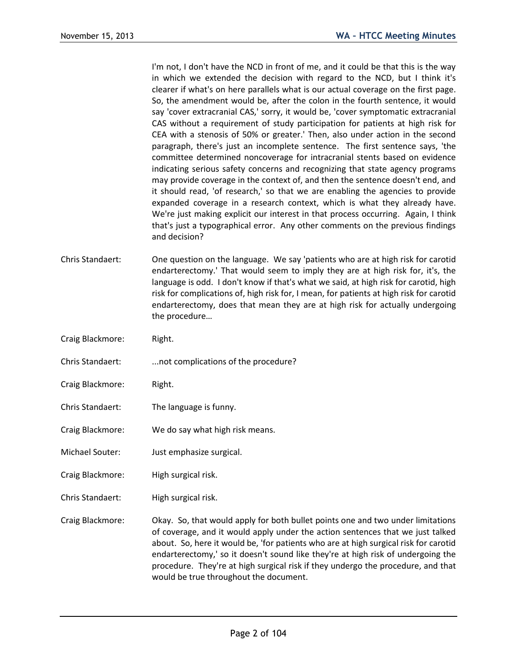I'm not, I don't have the NCD in front of me, and it could be that this is the way in which we extended the decision with regard to the NCD, but I think it's clearer if what's on here parallels what is our actual coverage on the first page. So, the amendment would be, after the colon in the fourth sentence, it would say 'cover extracranial CAS,' sorry, it would be, 'cover symptomatic extracranial CAS without a requirement of study participation for patients at high risk for CEA with a stenosis of 50% or greater.' Then, also under action in the second paragraph, there's just an incomplete sentence. The first sentence says, 'the committee determined noncoverage for intracranial stents based on evidence indicating serious safety concerns and recognizing that state agency programs may provide coverage in the context of, and then the sentence doesn't end, and it should read, 'of research,' so that we are enabling the agencies to provide expanded coverage in a research context, which is what they already have. We're just making explicit our interest in that process occurring. Again, I think that's just a typographical error. Any other comments on the previous findings and decision?

- Chris Standaert: One question on the language. We say 'patients who are at high risk for carotid endarterectomy.' That would seem to imply they are at high risk for, it's, the language is odd. I don't know if that's what we said, at high risk for carotid, high risk for complications of, high risk for, I mean, for patients at high risk for carotid endarterectomy, does that mean they are at high risk for actually undergoing the procedure…
- Craig Blackmore: Right.
- Chris Standaert: ...not complications of the procedure?
- Craig Blackmore: Right.
- Chris Standaert: The language is funny.
- Craig Blackmore: We do say what high risk means.
- Michael Souter: Just emphasize surgical.
- Craig Blackmore: High surgical risk.
- Chris Standaert: High surgical risk.

Craig Blackmore: Okay. So, that would apply for both bullet points one and two under limitations of coverage, and it would apply under the action sentences that we just talked about. So, here it would be, 'for patients who are at high surgical risk for carotid endarterectomy,' so it doesn't sound like they're at high risk of undergoing the procedure. They're at high surgical risk if they undergo the procedure, and that would be true throughout the document.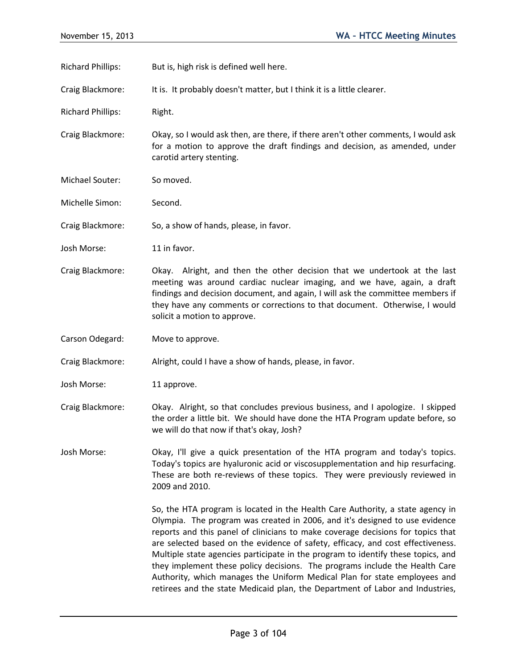Richard Phillips: But is, high risk is defined well here.

Craig Blackmore: It is. It probably doesn't matter, but I think it is a little clearer.

Richard Phillips: Right.

Craig Blackmore: Okay, so I would ask then, are there, if there aren't other comments, I would ask for a motion to approve the draft findings and decision, as amended, under carotid artery stenting.

Michael Souter: So moved.

Michelle Simon: Second.

Craig Blackmore: So, a show of hands, please, in favor.

Josh Morse: 11 in favor.

Craig Blackmore: Okay. Alright, and then the other decision that we undertook at the last meeting was around cardiac nuclear imaging, and we have, again, a draft findings and decision document, and again, I will ask the committee members if they have any comments or corrections to that document. Otherwise, I would solicit a motion to approve.

Carson Odegard: Move to approve.

Craig Blackmore: Alright, could I have a show of hands, please, in favor.

Josh Morse: 11 approve.

Craig Blackmore: Okay. Alright, so that concludes previous business, and I apologize. I skipped the order a little bit. We should have done the HTA Program update before, so we will do that now if that's okay, Josh?

Josh Morse: Okay, I'll give a quick presentation of the HTA program and today's topics. Today's topics are hyaluronic acid or viscosupplementation and hip resurfacing. These are both re-reviews of these topics. They were previously reviewed in 2009 and 2010.

> So, the HTA program is located in the Health Care Authority, a state agency in Olympia. The program was created in 2006, and it's designed to use evidence reports and this panel of clinicians to make coverage decisions for topics that are selected based on the evidence of safety, efficacy, and cost effectiveness. Multiple state agencies participate in the program to identify these topics, and they implement these policy decisions. The programs include the Health Care Authority, which manages the Uniform Medical Plan for state employees and retirees and the state Medicaid plan, the Department of Labor and Industries,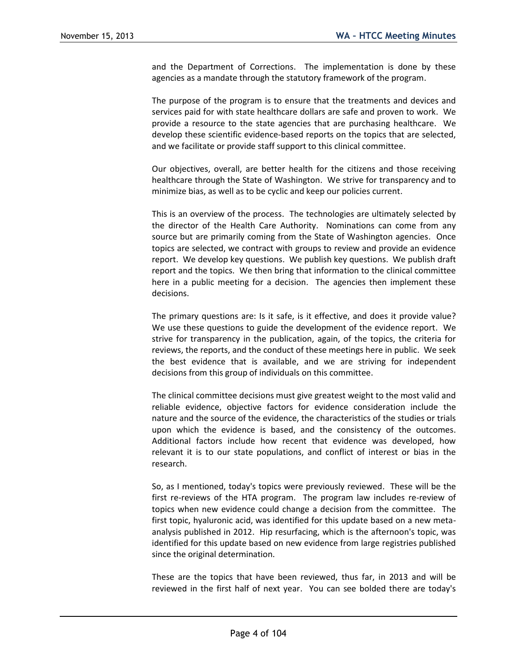and the Department of Corrections. The implementation is done by these agencies as a mandate through the statutory framework of the program.

The purpose of the program is to ensure that the treatments and devices and services paid for with state healthcare dollars are safe and proven to work. We provide a resource to the state agencies that are purchasing healthcare. We develop these scientific evidence-based reports on the topics that are selected, and we facilitate or provide staff support to this clinical committee.

Our objectives, overall, are better health for the citizens and those receiving healthcare through the State of Washington. We strive for transparency and to minimize bias, as well as to be cyclic and keep our policies current.

This is an overview of the process. The technologies are ultimately selected by the director of the Health Care Authority. Nominations can come from any source but are primarily coming from the State of Washington agencies. Once topics are selected, we contract with groups to review and provide an evidence report. We develop key questions. We publish key questions. We publish draft report and the topics. We then bring that information to the clinical committee here in a public meeting for a decision. The agencies then implement these decisions.

The primary questions are: Is it safe, is it effective, and does it provide value? We use these questions to guide the development of the evidence report. We strive for transparency in the publication, again, of the topics, the criteria for reviews, the reports, and the conduct of these meetings here in public. We seek the best evidence that is available, and we are striving for independent decisions from this group of individuals on this committee.

The clinical committee decisions must give greatest weight to the most valid and reliable evidence, objective factors for evidence consideration include the nature and the source of the evidence, the characteristics of the studies or trials upon which the evidence is based, and the consistency of the outcomes. Additional factors include how recent that evidence was developed, how relevant it is to our state populations, and conflict of interest or bias in the research.

So, as I mentioned, today's topics were previously reviewed. These will be the first re-reviews of the HTA program. The program law includes re-review of topics when new evidence could change a decision from the committee. The first topic, hyaluronic acid, was identified for this update based on a new metaanalysis published in 2012. Hip resurfacing, which is the afternoon's topic, was identified for this update based on new evidence from large registries published since the original determination.

These are the topics that have been reviewed, thus far, in 2013 and will be reviewed in the first half of next year. You can see bolded there are today's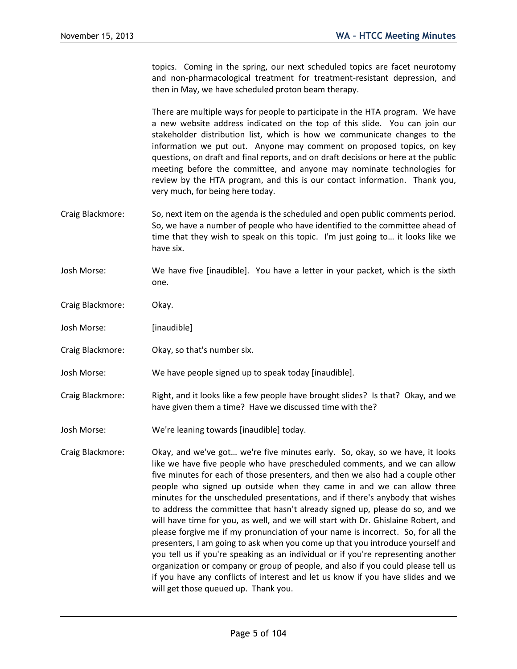topics. Coming in the spring, our next scheduled topics are facet neurotomy and non-pharmacological treatment for treatment-resistant depression, and then in May, we have scheduled proton beam therapy.

There are multiple ways for people to participate in the HTA program. We have a new website address indicated on the top of this slide. You can join our stakeholder distribution list, which is how we communicate changes to the information we put out. Anyone may comment on proposed topics, on key questions, on draft and final reports, and on draft decisions or here at the public meeting before the committee, and anyone may nominate technologies for review by the HTA program, and this is our contact information. Thank you, very much, for being here today.

- Craig Blackmore: So, next item on the agenda is the scheduled and open public comments period. So, we have a number of people who have identified to the committee ahead of time that they wish to speak on this topic. I'm just going to… it looks like we have six.
- Josh Morse: We have five [inaudible]. You have a letter in your packet, which is the sixth one.
- Craig Blackmore: Okay.
- Josh Morse: [inaudible]
- Craig Blackmore: Okay, so that's number six.
- Josh Morse: We have people signed up to speak today [inaudible].
- Craig Blackmore: Right, and it looks like a few people have brought slides? Is that? Okay, and we have given them a time? Have we discussed time with the?
- Josh Morse: We're leaning towards [inaudible] today.
- Craig Blackmore: Okay, and we've got… we're five minutes early. So, okay, so we have, it looks like we have five people who have prescheduled comments, and we can allow five minutes for each of those presenters, and then we also had a couple other people who signed up outside when they came in and we can allow three minutes for the unscheduled presentations, and if there's anybody that wishes to address the committee that hasn't already signed up, please do so, and we will have time for you, as well, and we will start with Dr. Ghislaine Robert, and please forgive me if my pronunciation of your name is incorrect. So, for all the presenters, I am going to ask when you come up that you introduce yourself and you tell us if you're speaking as an individual or if you're representing another organization or company or group of people, and also if you could please tell us if you have any conflicts of interest and let us know if you have slides and we will get those queued up. Thank you.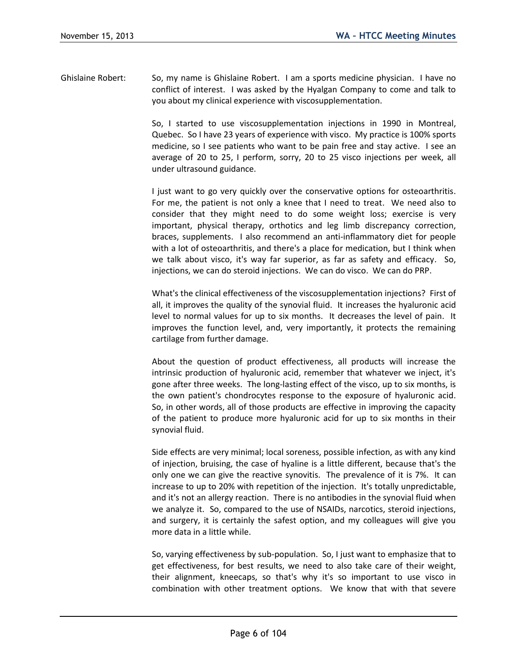Ghislaine Robert: So, my name is Ghislaine Robert. I am a sports medicine physician. I have no conflict of interest. I was asked by the Hyalgan Company to come and talk to you about my clinical experience with viscosupplementation.

> So, I started to use viscosupplementation injections in 1990 in Montreal, Quebec. So I have 23 years of experience with visco. My practice is 100% sports medicine, so I see patients who want to be pain free and stay active. I see an average of 20 to 25, I perform, sorry, 20 to 25 visco injections per week, all under ultrasound guidance.

> I just want to go very quickly over the conservative options for osteoarthritis. For me, the patient is not only a knee that I need to treat. We need also to consider that they might need to do some weight loss; exercise is very important, physical therapy, orthotics and leg limb discrepancy correction, braces, supplements. I also recommend an anti-inflammatory diet for people with a lot of osteoarthritis, and there's a place for medication, but I think when we talk about visco, it's way far superior, as far as safety and efficacy. So, injections, we can do steroid injections. We can do visco. We can do PRP.

> What's the clinical effectiveness of the viscosupplementation injections? First of all, it improves the quality of the synovial fluid. It increases the hyaluronic acid level to normal values for up to six months. It decreases the level of pain. It improves the function level, and, very importantly, it protects the remaining cartilage from further damage.

> About the question of product effectiveness, all products will increase the intrinsic production of hyaluronic acid, remember that whatever we inject, it's gone after three weeks. The long-lasting effect of the visco, up to six months, is the own patient's chondrocytes response to the exposure of hyaluronic acid. So, in other words, all of those products are effective in improving the capacity of the patient to produce more hyaluronic acid for up to six months in their synovial fluid.

> Side effects are very minimal; local soreness, possible infection, as with any kind of injection, bruising, the case of hyaline is a little different, because that's the only one we can give the reactive synovitis. The prevalence of it is 7%. It can increase to up to 20% with repetition of the injection. It's totally unpredictable, and it's not an allergy reaction. There is no antibodies in the synovial fluid when we analyze it. So, compared to the use of NSAIDs, narcotics, steroid injections, and surgery, it is certainly the safest option, and my colleagues will give you more data in a little while.

> So, varying effectiveness by sub-population. So, I just want to emphasize that to get effectiveness, for best results, we need to also take care of their weight, their alignment, kneecaps, so that's why it's so important to use visco in combination with other treatment options. We know that with that severe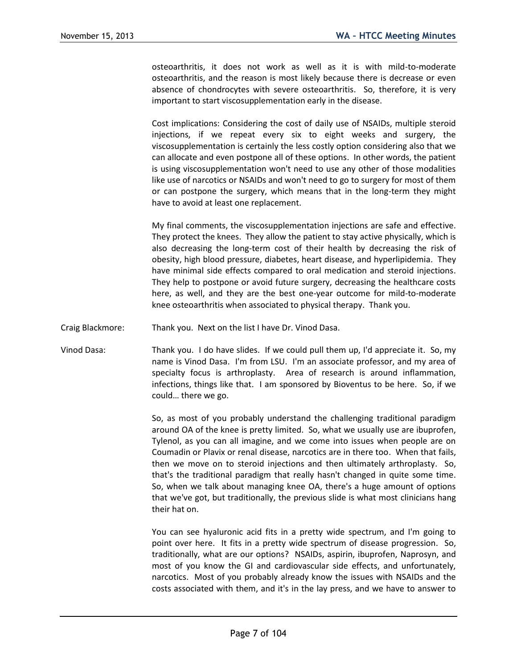osteoarthritis, it does not work as well as it is with mild-to-moderate osteoarthritis, and the reason is most likely because there is decrease or even absence of chondrocytes with severe osteoarthritis. So, therefore, it is very important to start viscosupplementation early in the disease.

Cost implications: Considering the cost of daily use of NSAIDs, multiple steroid injections, if we repeat every six to eight weeks and surgery, the viscosupplementation is certainly the less costly option considering also that we can allocate and even postpone all of these options. In other words, the patient is using viscosupplementation won't need to use any other of those modalities like use of narcotics or NSAIDs and won't need to go to surgery for most of them or can postpone the surgery, which means that in the long-term they might have to avoid at least one replacement.

My final comments, the viscosupplementation injections are safe and effective. They protect the knees. They allow the patient to stay active physically, which is also decreasing the long-term cost of their health by decreasing the risk of obesity, high blood pressure, diabetes, heart disease, and hyperlipidemia. They have minimal side effects compared to oral medication and steroid injections. They help to postpone or avoid future surgery, decreasing the healthcare costs here, as well, and they are the best one-year outcome for mild-to-moderate knee osteoarthritis when associated to physical therapy. Thank you.

- Craig Blackmore: Thank you. Next on the list I have Dr. Vinod Dasa.
- Vinod Dasa: Thank you. I do have slides. If we could pull them up, I'd appreciate it. So, my name is Vinod Dasa. I'm from LSU. I'm an associate professor, and my area of specialty focus is arthroplasty. Area of research is around inflammation, infections, things like that. I am sponsored by Bioventus to be here. So, if we could… there we go.

So, as most of you probably understand the challenging traditional paradigm around OA of the knee is pretty limited. So, what we usually use are ibuprofen, Tylenol, as you can all imagine, and we come into issues when people are on Coumadin or Plavix or renal disease, narcotics are in there too. When that fails, then we move on to steroid injections and then ultimately arthroplasty. So, that's the traditional paradigm that really hasn't changed in quite some time. So, when we talk about managing knee OA, there's a huge amount of options that we've got, but traditionally, the previous slide is what most clinicians hang their hat on.

You can see hyaluronic acid fits in a pretty wide spectrum, and I'm going to point over here. It fits in a pretty wide spectrum of disease progression. So, traditionally, what are our options? NSAIDs, aspirin, ibuprofen, Naprosyn, and most of you know the GI and cardiovascular side effects, and unfortunately, narcotics. Most of you probably already know the issues with NSAIDs and the costs associated with them, and it's in the lay press, and we have to answer to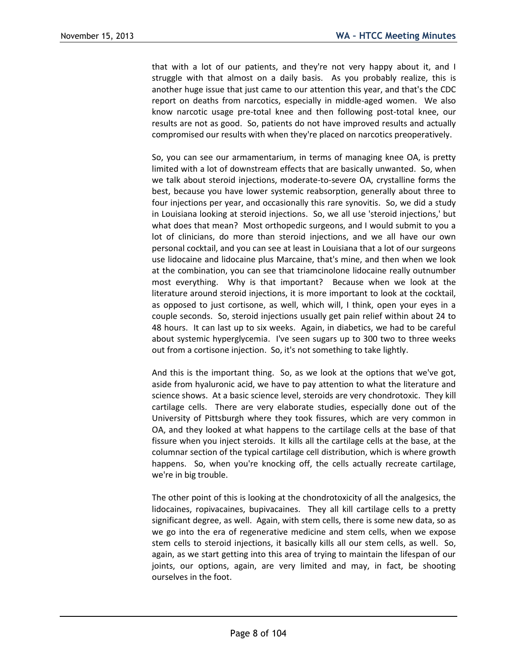that with a lot of our patients, and they're not very happy about it, and I struggle with that almost on a daily basis. As you probably realize, this is another huge issue that just came to our attention this year, and that's the CDC report on deaths from narcotics, especially in middle-aged women. We also know narcotic usage pre-total knee and then following post-total knee, our results are not as good. So, patients do not have improved results and actually compromised our results with when they're placed on narcotics preoperatively.

So, you can see our armamentarium, in terms of managing knee OA, is pretty limited with a lot of downstream effects that are basically unwanted. So, when we talk about steroid injections, moderate-to-severe OA, crystalline forms the best, because you have lower systemic reabsorption, generally about three to four injections per year, and occasionally this rare synovitis. So, we did a study in Louisiana looking at steroid injections. So, we all use 'steroid injections,' but what does that mean? Most orthopedic surgeons, and I would submit to you a lot of clinicians, do more than steroid injections, and we all have our own personal cocktail, and you can see at least in Louisiana that a lot of our surgeons use lidocaine and lidocaine plus Marcaine, that's mine, and then when we look at the combination, you can see that triamcinolone lidocaine really outnumber most everything. Why is that important? Because when we look at the literature around steroid injections, it is more important to look at the cocktail, as opposed to just cortisone, as well, which will, I think, open your eyes in a couple seconds. So, steroid injections usually get pain relief within about 24 to 48 hours. It can last up to six weeks. Again, in diabetics, we had to be careful about systemic hyperglycemia. I've seen sugars up to 300 two to three weeks out from a cortisone injection. So, it's not something to take lightly.

And this is the important thing. So, as we look at the options that we've got, aside from hyaluronic acid, we have to pay attention to what the literature and science shows. At a basic science level, steroids are very chondrotoxic. They kill cartilage cells. There are very elaborate studies, especially done out of the University of Pittsburgh where they took fissures, which are very common in OA, and they looked at what happens to the cartilage cells at the base of that fissure when you inject steroids. It kills all the cartilage cells at the base, at the columnar section of the typical cartilage cell distribution, which is where growth happens. So, when you're knocking off, the cells actually recreate cartilage, we're in big trouble.

The other point of this is looking at the chondrotoxicity of all the analgesics, the lidocaines, ropivacaines, bupivacaines. They all kill cartilage cells to a pretty significant degree, as well. Again, with stem cells, there is some new data, so as we go into the era of regenerative medicine and stem cells, when we expose stem cells to steroid injections, it basically kills all our stem cells, as well. So, again, as we start getting into this area of trying to maintain the lifespan of our joints, our options, again, are very limited and may, in fact, be shooting ourselves in the foot.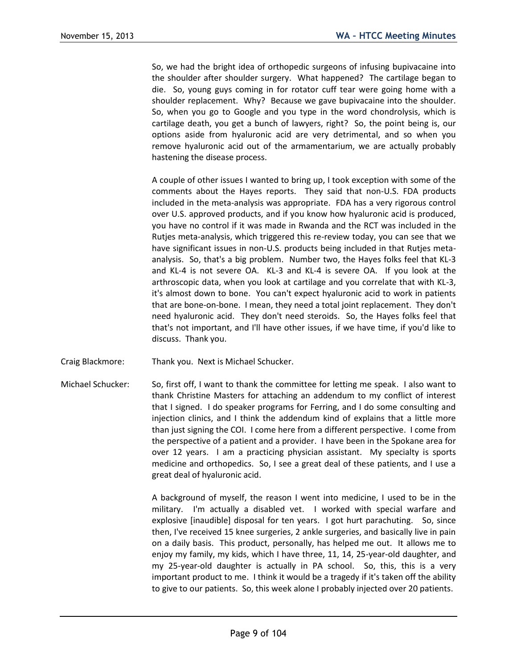So, we had the bright idea of orthopedic surgeons of infusing bupivacaine into the shoulder after shoulder surgery. What happened? The cartilage began to die. So, young guys coming in for rotator cuff tear were going home with a shoulder replacement. Why? Because we gave bupivacaine into the shoulder. So, when you go to Google and you type in the word chondrolysis, which is cartilage death, you get a bunch of lawyers, right? So, the point being is, our options aside from hyaluronic acid are very detrimental, and so when you remove hyaluronic acid out of the armamentarium, we are actually probably hastening the disease process.

A couple of other issues I wanted to bring up, I took exception with some of the comments about the Hayes reports. They said that non-U.S. FDA products included in the meta-analysis was appropriate. FDA has a very rigorous control over U.S. approved products, and if you know how hyaluronic acid is produced, you have no control if it was made in Rwanda and the RCT was included in the Rutjes meta-analysis, which triggered this re-review today, you can see that we have significant issues in non-U.S. products being included in that Rutjes metaanalysis. So, that's a big problem. Number two, the Hayes folks feel that KL-3 and KL-4 is not severe OA. KL-3 and KL-4 is severe OA. If you look at the arthroscopic data, when you look at cartilage and you correlate that with KL-3, it's almost down to bone. You can't expect hyaluronic acid to work in patients that are bone-on-bone. I mean, they need a total joint replacement. They don't need hyaluronic acid. They don't need steroids. So, the Hayes folks feel that that's not important, and I'll have other issues, if we have time, if you'd like to discuss. Thank you.

- Craig Blackmore: Thank you. Next is Michael Schucker.
- Michael Schucker: So, first off, I want to thank the committee for letting me speak. I also want to thank Christine Masters for attaching an addendum to my conflict of interest that I signed. I do speaker programs for Ferring, and I do some consulting and injection clinics, and I think the addendum kind of explains that a little more than just signing the COI. I come here from a different perspective. I come from the perspective of a patient and a provider. I have been in the Spokane area for over 12 years. I am a practicing physician assistant. My specialty is sports medicine and orthopedics. So, I see a great deal of these patients, and I use a great deal of hyaluronic acid.

A background of myself, the reason I went into medicine, I used to be in the military. I'm actually a disabled vet. I worked with special warfare and explosive [inaudible] disposal for ten years. I got hurt parachuting. So, since then, I've received 15 knee surgeries, 2 ankle surgeries, and basically live in pain on a daily basis. This product, personally, has helped me out. It allows me to enjoy my family, my kids, which I have three, 11, 14, 25-year-old daughter, and my 25-year-old daughter is actually in PA school. So, this, this is a very important product to me. I think it would be a tragedy if it's taken off the ability to give to our patients. So, this week alone I probably injected over 20 patients.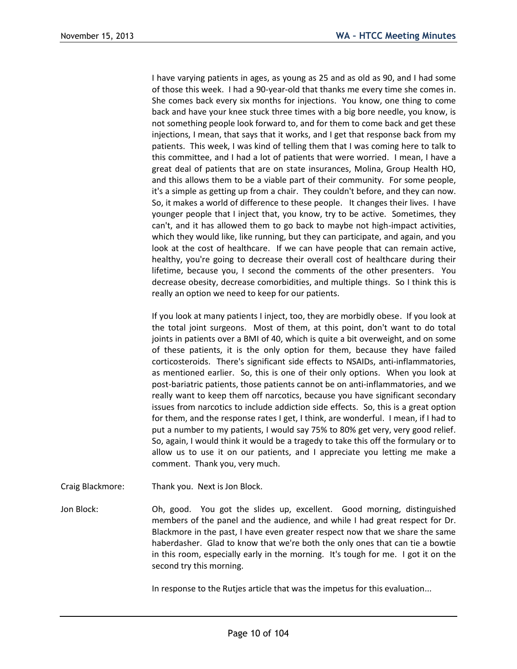I have varying patients in ages, as young as 25 and as old as 90, and I had some of those this week. I had a 90-year-old that thanks me every time she comes in. She comes back every six months for injections. You know, one thing to come back and have your knee stuck three times with a big bore needle, you know, is not something people look forward to, and for them to come back and get these injections, I mean, that says that it works, and I get that response back from my patients. This week, I was kind of telling them that I was coming here to talk to this committee, and I had a lot of patients that were worried. I mean, I have a great deal of patients that are on state insurances, Molina, Group Health HO, and this allows them to be a viable part of their community. For some people, it's a simple as getting up from a chair. They couldn't before, and they can now. So, it makes a world of difference to these people. It changes their lives. I have younger people that I inject that, you know, try to be active. Sometimes, they can't, and it has allowed them to go back to maybe not high-impact activities, which they would like, like running, but they can participate, and again, and you look at the cost of healthcare. If we can have people that can remain active, healthy, you're going to decrease their overall cost of healthcare during their lifetime, because you, I second the comments of the other presenters. You decrease obesity, decrease comorbidities, and multiple things. So I think this is really an option we need to keep for our patients.

If you look at many patients I inject, too, they are morbidly obese. If you look at the total joint surgeons. Most of them, at this point, don't want to do total joints in patients over a BMI of 40, which is quite a bit overweight, and on some of these patients, it is the only option for them, because they have failed corticosteroids. There's significant side effects to NSAIDs, anti-inflammatories, as mentioned earlier. So, this is one of their only options. When you look at post-bariatric patients, those patients cannot be on anti-inflammatories, and we really want to keep them off narcotics, because you have significant secondary issues from narcotics to include addiction side effects. So, this is a great option for them, and the response rates I get, I think, are wonderful. I mean, if I had to put a number to my patients, I would say 75% to 80% get very, very good relief. So, again, I would think it would be a tragedy to take this off the formulary or to allow us to use it on our patients, and I appreciate you letting me make a comment. Thank you, very much.

Craig Blackmore: Thank you. Next is Jon Block.

Jon Block: Oh, good. You got the slides up, excellent. Good morning, distinguished members of the panel and the audience, and while I had great respect for Dr. Blackmore in the past, I have even greater respect now that we share the same haberdasher. Glad to know that we're both the only ones that can tie a bowtie in this room, especially early in the morning. It's tough for me. I got it on the second try this morning.

In response to the Rutjes article that was the impetus for this evaluation...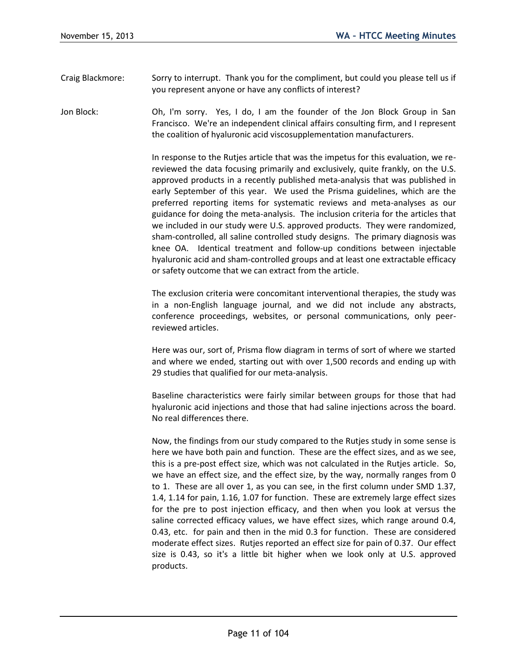- Craig Blackmore: Sorry to interrupt. Thank you for the compliment, but could you please tell us if you represent anyone or have any conflicts of interest?
- Jon Block: Oh, I'm sorry. Yes, I do, I am the founder of the Jon Block Group in San Francisco. We're an independent clinical affairs consulting firm, and I represent the coalition of hyaluronic acid viscosupplementation manufacturers.

In response to the Rutjes article that was the impetus for this evaluation, we rereviewed the data focusing primarily and exclusively, quite frankly, on the U.S. approved products in a recently published meta-analysis that was published in early September of this year. We used the Prisma guidelines, which are the preferred reporting items for systematic reviews and meta-analyses as our guidance for doing the meta-analysis. The inclusion criteria for the articles that we included in our study were U.S. approved products. They were randomized, sham-controlled, all saline controlled study designs. The primary diagnosis was knee OA. Identical treatment and follow-up conditions between injectable hyaluronic acid and sham-controlled groups and at least one extractable efficacy or safety outcome that we can extract from the article.

The exclusion criteria were concomitant interventional therapies, the study was in a non-English language journal, and we did not include any abstracts, conference proceedings, websites, or personal communications, only peerreviewed articles.

Here was our, sort of, Prisma flow diagram in terms of sort of where we started and where we ended, starting out with over 1,500 records and ending up with 29 studies that qualified for our meta-analysis.

Baseline characteristics were fairly similar between groups for those that had hyaluronic acid injections and those that had saline injections across the board. No real differences there.

Now, the findings from our study compared to the Rutjes study in some sense is here we have both pain and function. These are the effect sizes, and as we see, this is a pre-post effect size, which was not calculated in the Rutjes article. So, we have an effect size, and the effect size, by the way, normally ranges from 0 to 1. These are all over 1, as you can see, in the first column under SMD 1.37, 1.4, 1.14 for pain, 1.16, 1.07 for function. These are extremely large effect sizes for the pre to post injection efficacy, and then when you look at versus the saline corrected efficacy values, we have effect sizes, which range around 0.4, 0.43, etc. for pain and then in the mid 0.3 for function. These are considered moderate effect sizes. Rutjes reported an effect size for pain of 0.37. Our effect size is 0.43, so it's a little bit higher when we look only at U.S. approved products.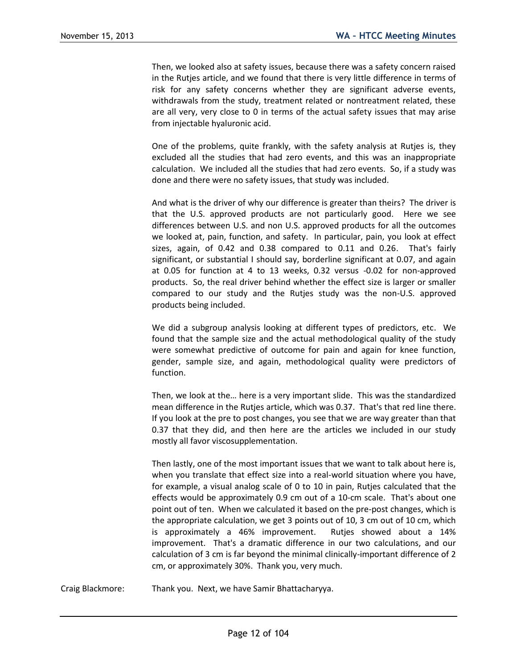Then, we looked also at safety issues, because there was a safety concern raised in the Rutjes article, and we found that there is very little difference in terms of risk for any safety concerns whether they are significant adverse events, withdrawals from the study, treatment related or nontreatment related, these are all very, very close to 0 in terms of the actual safety issues that may arise from injectable hyaluronic acid.

One of the problems, quite frankly, with the safety analysis at Rutjes is, they excluded all the studies that had zero events, and this was an inappropriate calculation. We included all the studies that had zero events. So, if a study was done and there were no safety issues, that study was included.

And what is the driver of why our difference is greater than theirs? The driver is that the U.S. approved products are not particularly good. Here we see differences between U.S. and non U.S. approved products for all the outcomes we looked at, pain, function, and safety. In particular, pain, you look at effect sizes, again, of 0.42 and 0.38 compared to 0.11 and 0.26. That's fairly significant, or substantial I should say, borderline significant at 0.07, and again at 0.05 for function at 4 to 13 weeks, 0.32 versus -0.02 for non-approved products. So, the real driver behind whether the effect size is larger or smaller compared to our study and the Rutjes study was the non-U.S. approved products being included.

We did a subgroup analysis looking at different types of predictors, etc. We found that the sample size and the actual methodological quality of the study were somewhat predictive of outcome for pain and again for knee function, gender, sample size, and again, methodological quality were predictors of function.

Then, we look at the… here is a very important slide. This was the standardized mean difference in the Rutjes article, which was 0.37. That's that red line there. If you look at the pre to post changes, you see that we are way greater than that 0.37 that they did, and then here are the articles we included in our study mostly all favor viscosupplementation.

Then lastly, one of the most important issues that we want to talk about here is, when you translate that effect size into a real-world situation where you have, for example, a visual analog scale of 0 to 10 in pain, Rutjes calculated that the effects would be approximately 0.9 cm out of a 10-cm scale. That's about one point out of ten. When we calculated it based on the pre-post changes, which is the appropriate calculation, we get 3 points out of 10, 3 cm out of 10 cm, which is approximately a 46% improvement. Rutjes showed about a 14% improvement. That's a dramatic difference in our two calculations, and our calculation of 3 cm is far beyond the minimal clinically-important difference of 2 cm, or approximately 30%. Thank you, very much.

Craig Blackmore: Thank you. Next, we have Samir Bhattacharyya.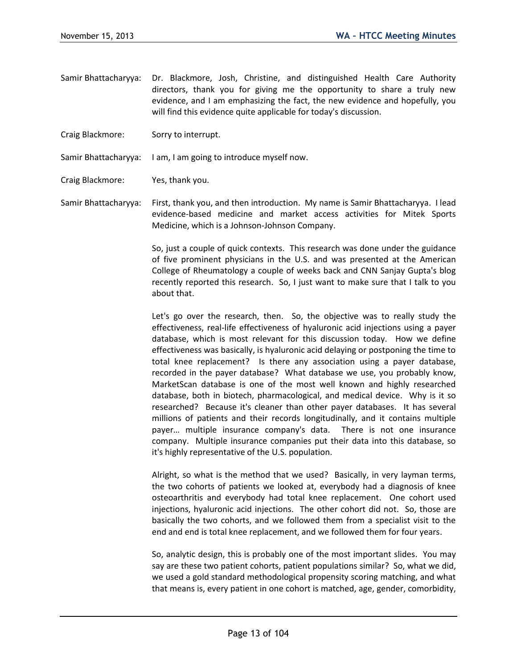- Samir Bhattacharyya: Dr. Blackmore, Josh, Christine, and distinguished Health Care Authority directors, thank you for giving me the opportunity to share a truly new evidence, and I am emphasizing the fact, the new evidence and hopefully, you will find this evidence quite applicable for today's discussion.
- Craig Blackmore: Sorry to interrupt.
- Samir Bhattacharyya: I am, I am going to introduce myself now.
- Craig Blackmore: Yes, thank you.

Samir Bhattacharyya: First, thank you, and then introduction. My name is Samir Bhattacharyya. I lead evidence-based medicine and market access activities for Mitek Sports Medicine, which is a Johnson-Johnson Company.

> So, just a couple of quick contexts. This research was done under the guidance of five prominent physicians in the U.S. and was presented at the American College of Rheumatology a couple of weeks back and CNN Sanjay Gupta's blog recently reported this research. So, I just want to make sure that I talk to you about that.

> Let's go over the research, then. So, the objective was to really study the effectiveness, real-life effectiveness of hyaluronic acid injections using a payer database, which is most relevant for this discussion today. How we define effectiveness was basically, is hyaluronic acid delaying or postponing the time to total knee replacement? Is there any association using a payer database, recorded in the payer database? What database we use, you probably know, MarketScan database is one of the most well known and highly researched database, both in biotech, pharmacological, and medical device. Why is it so researched? Because it's cleaner than other payer databases. It has several millions of patients and their records longitudinally, and it contains multiple payer… multiple insurance company's data. There is not one insurance company. Multiple insurance companies put their data into this database, so it's highly representative of the U.S. population.

> Alright, so what is the method that we used? Basically, in very layman terms, the two cohorts of patients we looked at, everybody had a diagnosis of knee osteoarthritis and everybody had total knee replacement. One cohort used injections, hyaluronic acid injections. The other cohort did not. So, those are basically the two cohorts, and we followed them from a specialist visit to the end and end is total knee replacement, and we followed them for four years.

> So, analytic design, this is probably one of the most important slides. You may say are these two patient cohorts, patient populations similar? So, what we did, we used a gold standard methodological propensity scoring matching, and what that means is, every patient in one cohort is matched, age, gender, comorbidity,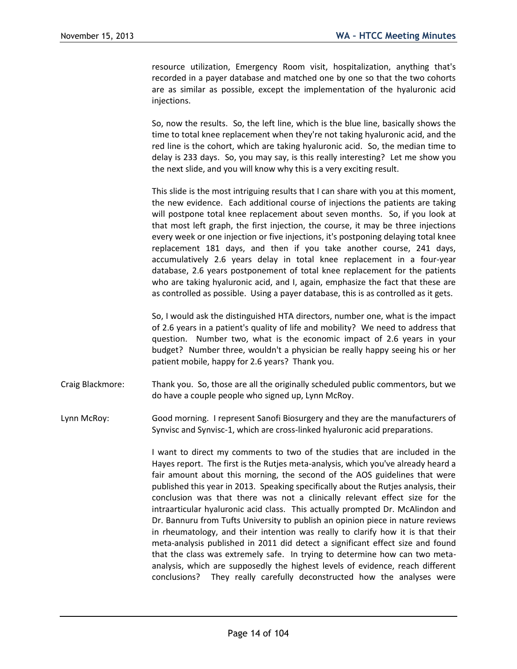resource utilization, Emergency Room visit, hospitalization, anything that's recorded in a payer database and matched one by one so that the two cohorts are as similar as possible, except the implementation of the hyaluronic acid injections.

So, now the results. So, the left line, which is the blue line, basically shows the time to total knee replacement when they're not taking hyaluronic acid, and the red line is the cohort, which are taking hyaluronic acid. So, the median time to delay is 233 days. So, you may say, is this really interesting? Let me show you the next slide, and you will know why this is a very exciting result.

This slide is the most intriguing results that I can share with you at this moment, the new evidence. Each additional course of injections the patients are taking will postpone total knee replacement about seven months. So, if you look at that most left graph, the first injection, the course, it may be three injections every week or one injection or five injections, it's postponing delaying total knee replacement 181 days, and then if you take another course, 241 days, accumulatively 2.6 years delay in total knee replacement in a four-year database, 2.6 years postponement of total knee replacement for the patients who are taking hyaluronic acid, and I, again, emphasize the fact that these are as controlled as possible. Using a payer database, this is as controlled as it gets.

So, I would ask the distinguished HTA directors, number one, what is the impact of 2.6 years in a patient's quality of life and mobility? We need to address that question. Number two, what is the economic impact of 2.6 years in your budget? Number three, wouldn't a physician be really happy seeing his or her patient mobile, happy for 2.6 years? Thank you.

Craig Blackmore: Thank you. So, those are all the originally scheduled public commentors, but we do have a couple people who signed up, Lynn McRoy.

Lynn McRoy: Good morning. I represent Sanofi Biosurgery and they are the manufacturers of Synvisc and Synvisc-1, which are cross-linked hyaluronic acid preparations.

> I want to direct my comments to two of the studies that are included in the Hayes report. The first is the Rutjes meta-analysis, which you've already heard a fair amount about this morning, the second of the AOS guidelines that were published this year in 2013. Speaking specifically about the Rutjes analysis, their conclusion was that there was not a clinically relevant effect size for the intraarticular hyaluronic acid class. This actually prompted Dr. McAlindon and Dr. Bannuru from Tufts University to publish an opinion piece in nature reviews in rheumatology, and their intention was really to clarify how it is that their meta-analysis published in 2011 did detect a significant effect size and found that the class was extremely safe. In trying to determine how can two metaanalysis, which are supposedly the highest levels of evidence, reach different conclusions? They really carefully deconstructed how the analyses were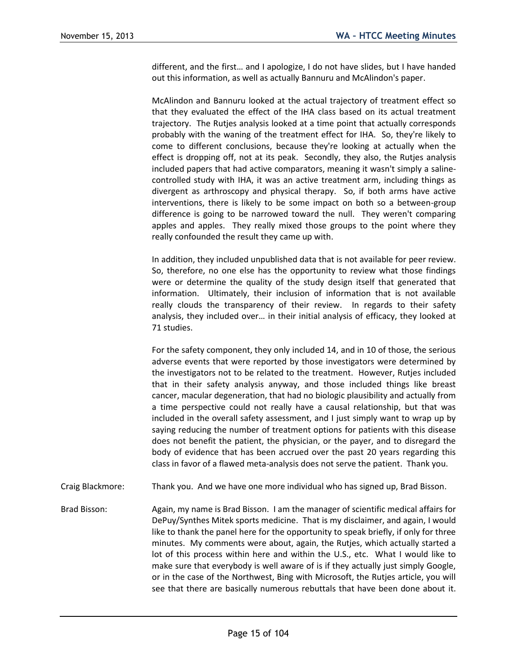different, and the first… and I apologize, I do not have slides, but I have handed out this information, as well as actually Bannuru and McAlindon's paper.

McAlindon and Bannuru looked at the actual trajectory of treatment effect so that they evaluated the effect of the IHA class based on its actual treatment trajectory. The Rutjes analysis looked at a time point that actually corresponds probably with the waning of the treatment effect for IHA. So, they're likely to come to different conclusions, because they're looking at actually when the effect is dropping off, not at its peak. Secondly, they also, the Rutjes analysis included papers that had active comparators, meaning it wasn't simply a salinecontrolled study with IHA, it was an active treatment arm, including things as divergent as arthroscopy and physical therapy. So, if both arms have active interventions, there is likely to be some impact on both so a between-group difference is going to be narrowed toward the null. They weren't comparing apples and apples. They really mixed those groups to the point where they really confounded the result they came up with.

In addition, they included unpublished data that is not available for peer review. So, therefore, no one else has the opportunity to review what those findings were or determine the quality of the study design itself that generated that information. Ultimately, their inclusion of information that is not available really clouds the transparency of their review. In regards to their safety analysis, they included over… in their initial analysis of efficacy, they looked at 71 studies.

For the safety component, they only included 14, and in 10 of those, the serious adverse events that were reported by those investigators were determined by the investigators not to be related to the treatment. However, Rutjes included that in their safety analysis anyway, and those included things like breast cancer, macular degeneration, that had no biologic plausibility and actually from a time perspective could not really have a causal relationship, but that was included in the overall safety assessment, and I just simply want to wrap up by saying reducing the number of treatment options for patients with this disease does not benefit the patient, the physician, or the payer, and to disregard the body of evidence that has been accrued over the past 20 years regarding this class in favor of a flawed meta-analysis does not serve the patient. Thank you.

- Craig Blackmore: Thank you. And we have one more individual who has signed up, Brad Bisson.
- Brad Bisson: Again, my name is Brad Bisson. I am the manager of scientific medical affairs for DePuy/Synthes Mitek sports medicine. That is my disclaimer, and again, I would like to thank the panel here for the opportunity to speak briefly, if only for three minutes. My comments were about, again, the Rutjes, which actually started a lot of this process within here and within the U.S., etc. What I would like to make sure that everybody is well aware of is if they actually just simply Google, or in the case of the Northwest, Bing with Microsoft, the Rutjes article, you will see that there are basically numerous rebuttals that have been done about it.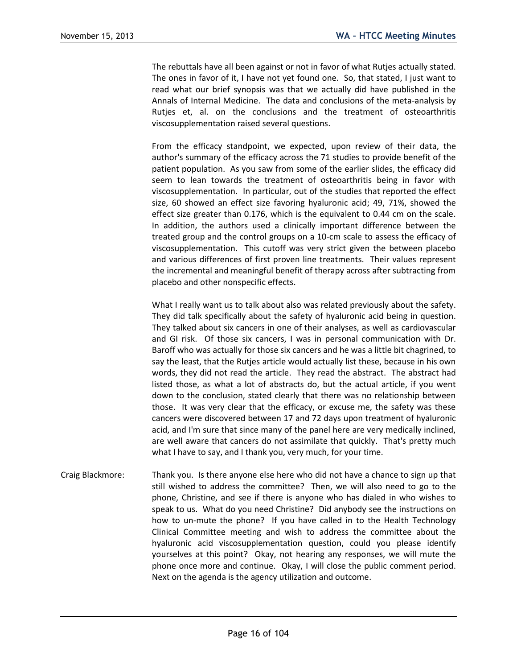The rebuttals have all been against or not in favor of what Rutjes actually stated. The ones in favor of it, I have not yet found one. So, that stated, I just want to read what our brief synopsis was that we actually did have published in the Annals of Internal Medicine. The data and conclusions of the meta-analysis by Rutjes et, al. on the conclusions and the treatment of osteoarthritis viscosupplementation raised several questions.

From the efficacy standpoint, we expected, upon review of their data, the author's summary of the efficacy across the 71 studies to provide benefit of the patient population. As you saw from some of the earlier slides, the efficacy did seem to lean towards the treatment of osteoarthritis being in favor with viscosupplementation. In particular, out of the studies that reported the effect size, 60 showed an effect size favoring hyaluronic acid; 49, 71%, showed the effect size greater than 0.176, which is the equivalent to 0.44 cm on the scale. In addition, the authors used a clinically important difference between the treated group and the control groups on a 10-cm scale to assess the efficacy of viscosupplementation. This cutoff was very strict given the between placebo and various differences of first proven line treatments. Their values represent the incremental and meaningful benefit of therapy across after subtracting from placebo and other nonspecific effects.

What I really want us to talk about also was related previously about the safety. They did talk specifically about the safety of hyaluronic acid being in question. They talked about six cancers in one of their analyses, as well as cardiovascular and GI risk. Of those six cancers, I was in personal communication with Dr. Baroff who was actually for those six cancers and he was a little bit chagrined, to say the least, that the Rutjes article would actually list these, because in his own words, they did not read the article. They read the abstract. The abstract had listed those, as what a lot of abstracts do, but the actual article, if you went down to the conclusion, stated clearly that there was no relationship between those. It was very clear that the efficacy, or excuse me, the safety was these cancers were discovered between 17 and 72 days upon treatment of hyaluronic acid, and I'm sure that since many of the panel here are very medically inclined, are well aware that cancers do not assimilate that quickly. That's pretty much what I have to say, and I thank you, very much, for your time.

Craig Blackmore: Thank you. Is there anyone else here who did not have a chance to sign up that still wished to address the committee? Then, we will also need to go to the phone, Christine, and see if there is anyone who has dialed in who wishes to speak to us. What do you need Christine? Did anybody see the instructions on how to un-mute the phone? If you have called in to the Health Technology Clinical Committee meeting and wish to address the committee about the hyaluronic acid viscosupplementation question, could you please identify yourselves at this point? Okay, not hearing any responses, we will mute the phone once more and continue. Okay, I will close the public comment period. Next on the agenda is the agency utilization and outcome.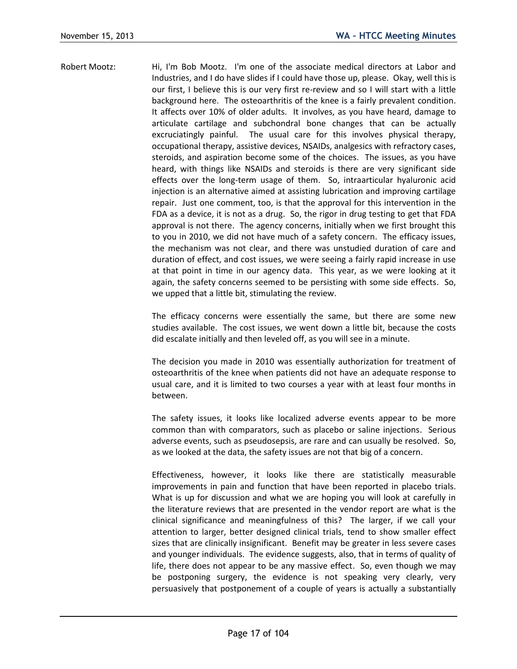Robert Mootz: Hi, I'm Bob Mootz. I'm one of the associate medical directors at Labor and Industries, and I do have slides if I could have those up, please. Okay, well this is our first, I believe this is our very first re-review and so I will start with a little background here. The osteoarthritis of the knee is a fairly prevalent condition. It affects over 10% of older adults. It involves, as you have heard, damage to articulate cartilage and subchondral bone changes that can be actually excruciatingly painful. The usual care for this involves physical therapy, occupational therapy, assistive devices, NSAIDs, analgesics with refractory cases, steroids, and aspiration become some of the choices. The issues, as you have heard, with things like NSAIDs and steroids is there are very significant side effects over the long-term usage of them. So, intraarticular hyaluronic acid injection is an alternative aimed at assisting lubrication and improving cartilage repair. Just one comment, too, is that the approval for this intervention in the FDA as a device, it is not as a drug. So, the rigor in drug testing to get that FDA approval is not there. The agency concerns, initially when we first brought this to you in 2010, we did not have much of a safety concern. The efficacy issues, the mechanism was not clear, and there was unstudied duration of care and duration of effect, and cost issues, we were seeing a fairly rapid increase in use at that point in time in our agency data. This year, as we were looking at it again, the safety concerns seemed to be persisting with some side effects. So, we upped that a little bit, stimulating the review.

> The efficacy concerns were essentially the same, but there are some new studies available. The cost issues, we went down a little bit, because the costs did escalate initially and then leveled off, as you will see in a minute.

> The decision you made in 2010 was essentially authorization for treatment of osteoarthritis of the knee when patients did not have an adequate response to usual care, and it is limited to two courses a year with at least four months in between.

> The safety issues, it looks like localized adverse events appear to be more common than with comparators, such as placebo or saline injections. Serious adverse events, such as pseudosepsis, are rare and can usually be resolved. So, as we looked at the data, the safety issues are not that big of a concern.

> Effectiveness, however, it looks like there are statistically measurable improvements in pain and function that have been reported in placebo trials. What is up for discussion and what we are hoping you will look at carefully in the literature reviews that are presented in the vendor report are what is the clinical significance and meaningfulness of this? The larger, if we call your attention to larger, better designed clinical trials, tend to show smaller effect sizes that are clinically insignificant. Benefit may be greater in less severe cases and younger individuals. The evidence suggests, also, that in terms of quality of life, there does not appear to be any massive effect. So, even though we may be postponing surgery, the evidence is not speaking very clearly, very persuasively that postponement of a couple of years is actually a substantially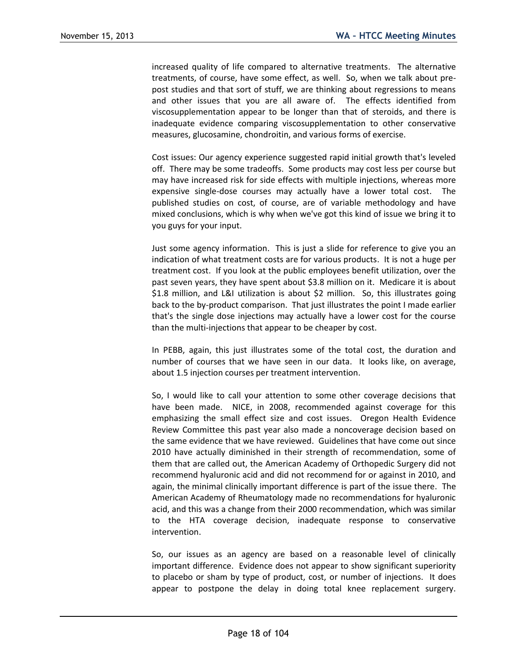increased quality of life compared to alternative treatments. The alternative treatments, of course, have some effect, as well. So, when we talk about prepost studies and that sort of stuff, we are thinking about regressions to means and other issues that you are all aware of. The effects identified from viscosupplementation appear to be longer than that of steroids, and there is inadequate evidence comparing viscosupplementation to other conservative measures, glucosamine, chondroitin, and various forms of exercise.

Cost issues: Our agency experience suggested rapid initial growth that's leveled off. There may be some tradeoffs. Some products may cost less per course but may have increased risk for side effects with multiple injections, whereas more expensive single-dose courses may actually have a lower total cost. The published studies on cost, of course, are of variable methodology and have mixed conclusions, which is why when we've got this kind of issue we bring it to you guys for your input.

Just some agency information. This is just a slide for reference to give you an indication of what treatment costs are for various products. It is not a huge per treatment cost. If you look at the public employees benefit utilization, over the past seven years, they have spent about \$3.8 million on it. Medicare it is about \$1.8 million, and L&I utilization is about \$2 million. So, this illustrates going back to the by-product comparison. That just illustrates the point I made earlier that's the single dose injections may actually have a lower cost for the course than the multi-injections that appear to be cheaper by cost.

In PEBB, again, this just illustrates some of the total cost, the duration and number of courses that we have seen in our data. It looks like, on average, about 1.5 injection courses per treatment intervention.

So, I would like to call your attention to some other coverage decisions that have been made. NICE, in 2008, recommended against coverage for this emphasizing the small effect size and cost issues. Oregon Health Evidence Review Committee this past year also made a noncoverage decision based on the same evidence that we have reviewed. Guidelines that have come out since 2010 have actually diminished in their strength of recommendation, some of them that are called out, the American Academy of Orthopedic Surgery did not recommend hyaluronic acid and did not recommend for or against in 2010, and again, the minimal clinically important difference is part of the issue there. The American Academy of Rheumatology made no recommendations for hyaluronic acid, and this was a change from their 2000 recommendation, which was similar to the HTA coverage decision, inadequate response to conservative intervention.

So, our issues as an agency are based on a reasonable level of clinically important difference. Evidence does not appear to show significant superiority to placebo or sham by type of product, cost, or number of injections. It does appear to postpone the delay in doing total knee replacement surgery.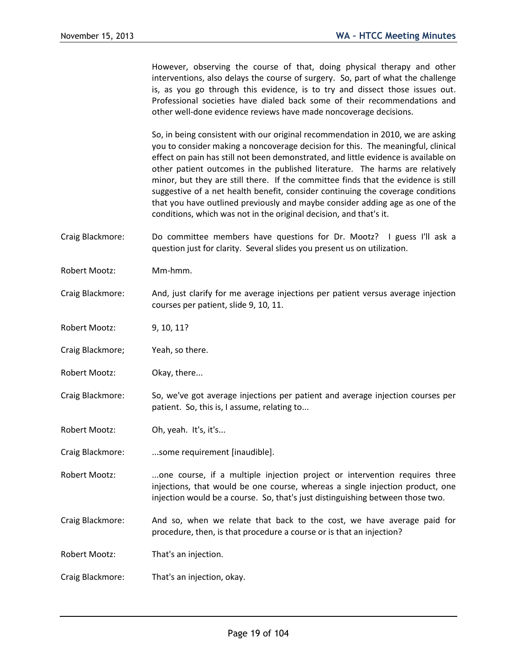However, observing the course of that, doing physical therapy and other interventions, also delays the course of surgery. So, part of what the challenge is, as you go through this evidence, is to try and dissect those issues out. Professional societies have dialed back some of their recommendations and other well-done evidence reviews have made noncoverage decisions.

So, in being consistent with our original recommendation in 2010, we are asking you to consider making a noncoverage decision for this. The meaningful, clinical effect on pain has still not been demonstrated, and little evidence is available on other patient outcomes in the published literature. The harms are relatively minor, but they are still there. If the committee finds that the evidence is still suggestive of a net health benefit, consider continuing the coverage conditions that you have outlined previously and maybe consider adding age as one of the conditions, which was not in the original decision, and that's it.

- Craig Blackmore: Do committee members have questions for Dr. Mootz? I guess I'll ask a question just for clarity. Several slides you present us on utilization.
- Robert Mootz: Mm-hmm.
- Craig Blackmore: And, just clarify for me average injections per patient versus average injection courses per patient, slide 9, 10, 11.
- Robert Mootz: 9, 10, 11?
- Craig Blackmore; Yeah, so there.
- Robert Mootz: Okay, there...
- Craig Blackmore: So, we've got average injections per patient and average injection courses per patient. So, this is, I assume, relating to...
- Robert Mootz: Oh, yeah. It's, it's...
- Craig Blackmore: ...some requirement [inaudible].
- Robert Mootz: ...one course, if a multiple injection project or intervention requires three injections, that would be one course, whereas a single injection product, one injection would be a course. So, that's just distinguishing between those two.
- Craig Blackmore: And so, when we relate that back to the cost, we have average paid for procedure, then, is that procedure a course or is that an injection?

Robert Mootz: That's an injection.

Craig Blackmore: That's an injection, okay.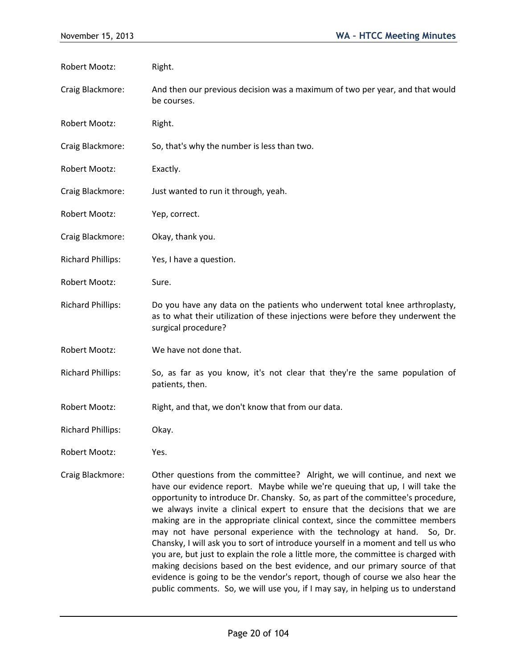| Robert Mootz:            | Right.                                                                                                                                                                                                                                                                                                                                                                                                                                                                                                                                                                                                                                                                                                                                                                                                                                                                                                              |
|--------------------------|---------------------------------------------------------------------------------------------------------------------------------------------------------------------------------------------------------------------------------------------------------------------------------------------------------------------------------------------------------------------------------------------------------------------------------------------------------------------------------------------------------------------------------------------------------------------------------------------------------------------------------------------------------------------------------------------------------------------------------------------------------------------------------------------------------------------------------------------------------------------------------------------------------------------|
| Craig Blackmore:         | And then our previous decision was a maximum of two per year, and that would<br>be courses.                                                                                                                                                                                                                                                                                                                                                                                                                                                                                                                                                                                                                                                                                                                                                                                                                         |
| <b>Robert Mootz:</b>     | Right.                                                                                                                                                                                                                                                                                                                                                                                                                                                                                                                                                                                                                                                                                                                                                                                                                                                                                                              |
| Craig Blackmore:         | So, that's why the number is less than two.                                                                                                                                                                                                                                                                                                                                                                                                                                                                                                                                                                                                                                                                                                                                                                                                                                                                         |
| <b>Robert Mootz:</b>     | Exactly.                                                                                                                                                                                                                                                                                                                                                                                                                                                                                                                                                                                                                                                                                                                                                                                                                                                                                                            |
| Craig Blackmore:         | Just wanted to run it through, yeah.                                                                                                                                                                                                                                                                                                                                                                                                                                                                                                                                                                                                                                                                                                                                                                                                                                                                                |
| <b>Robert Mootz:</b>     | Yep, correct.                                                                                                                                                                                                                                                                                                                                                                                                                                                                                                                                                                                                                                                                                                                                                                                                                                                                                                       |
| Craig Blackmore:         | Okay, thank you.                                                                                                                                                                                                                                                                                                                                                                                                                                                                                                                                                                                                                                                                                                                                                                                                                                                                                                    |
| <b>Richard Phillips:</b> | Yes, I have a question.                                                                                                                                                                                                                                                                                                                                                                                                                                                                                                                                                                                                                                                                                                                                                                                                                                                                                             |
| <b>Robert Mootz:</b>     | Sure.                                                                                                                                                                                                                                                                                                                                                                                                                                                                                                                                                                                                                                                                                                                                                                                                                                                                                                               |
| <b>Richard Phillips:</b> | Do you have any data on the patients who underwent total knee arthroplasty,<br>as to what their utilization of these injections were before they underwent the<br>surgical procedure?                                                                                                                                                                                                                                                                                                                                                                                                                                                                                                                                                                                                                                                                                                                               |
| Robert Mootz:            | We have not done that.                                                                                                                                                                                                                                                                                                                                                                                                                                                                                                                                                                                                                                                                                                                                                                                                                                                                                              |
| <b>Richard Phillips:</b> | So, as far as you know, it's not clear that they're the same population of<br>patients, then.                                                                                                                                                                                                                                                                                                                                                                                                                                                                                                                                                                                                                                                                                                                                                                                                                       |
| <b>Robert Mootz:</b>     | Right, and that, we don't know that from our data.                                                                                                                                                                                                                                                                                                                                                                                                                                                                                                                                                                                                                                                                                                                                                                                                                                                                  |
| <b>Richard Phillips:</b> | Okay.                                                                                                                                                                                                                                                                                                                                                                                                                                                                                                                                                                                                                                                                                                                                                                                                                                                                                                               |
| Robert Mootz:            | Yes.                                                                                                                                                                                                                                                                                                                                                                                                                                                                                                                                                                                                                                                                                                                                                                                                                                                                                                                |
| Craig Blackmore:         | Other questions from the committee? Alright, we will continue, and next we<br>have our evidence report. Maybe while we're queuing that up, I will take the<br>opportunity to introduce Dr. Chansky. So, as part of the committee's procedure,<br>we always invite a clinical expert to ensure that the decisions that we are<br>making are in the appropriate clinical context, since the committee members<br>may not have personal experience with the technology at hand. So, Dr.<br>Chansky, I will ask you to sort of introduce yourself in a moment and tell us who<br>you are, but just to explain the role a little more, the committee is charged with<br>making decisions based on the best evidence, and our primary source of that<br>evidence is going to be the vendor's report, though of course we also hear the<br>public comments. So, we will use you, if I may say, in helping us to understand |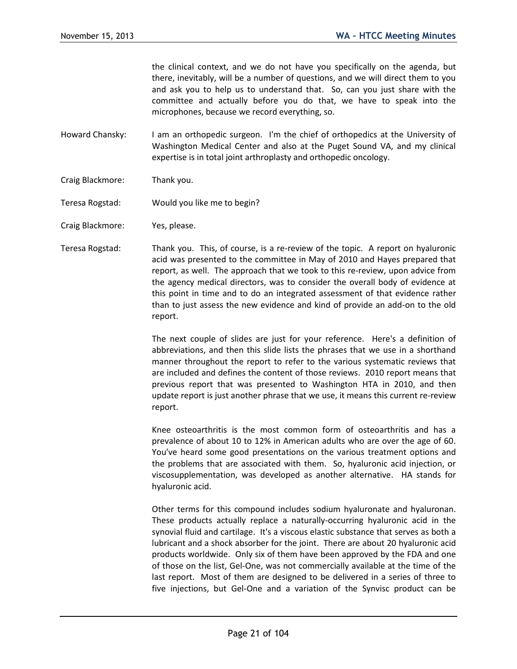the clinical context, and we do not have you specifically on the agenda, but there, inevitably, will be a number of questions, and we will direct them to you and ask you to help us to understand that. So, can you just share with the committee and actually before you do that, we have to speak into the microphones, because we record everything, so.

- Howard Chansky: I am an orthopedic surgeon. I'm the chief of orthopedics at the University of Washington Medical Center and also at the Puget Sound VA, and my clinical expertise is in total joint arthroplasty and orthopedic oncology.
- Craig Blackmore: Thank you.
- Teresa Rogstad: Would you like me to begin?
- Craig Blackmore: Yes, please.
- Teresa Rogstad: Thank you. This, of course, is a re-review of the topic. A report on hyaluronic acid was presented to the committee in May of 2010 and Hayes prepared that report, as well. The approach that we took to this re-review, upon advice from the agency medical directors, was to consider the overall body of evidence at this point in time and to do an integrated assessment of that evidence rather than to just assess the new evidence and kind of provide an add-on to the old report.

The next couple of slides are just for your reference. Here's a definition of abbreviations, and then this slide lists the phrases that we use in a shorthand manner throughout the report to refer to the various systematic reviews that are included and defines the content of those reviews. 2010 report means that previous report that was presented to Washington HTA in 2010, and then update report is just another phrase that we use, it means this current re-review report.

Knee osteoarthritis is the most common form of osteoarthritis and has a prevalence of about 10 to 12% in American adults who are over the age of 60. You've heard some good presentations on the various treatment options and the problems that are associated with them. So, hyaluronic acid injection, or viscosupplementation, was developed as another alternative. HA stands for hyaluronic acid.

Other terms for this compound includes sodium hyaluronate and hyaluronan. These products actually replace a naturally-occurring hyaluronic acid in the synovial fluid and cartilage. It's a viscous elastic substance that serves as both a lubricant and a shock absorber for the joint. There are about 20 hyaluronic acid products worldwide. Only six of them have been approved by the FDA and one of those on the list, Gel-One, was not commercially available at the time of the last report. Most of them are designed to be delivered in a series of three to five injections, but Gel-One and a variation of the Synvisc product can be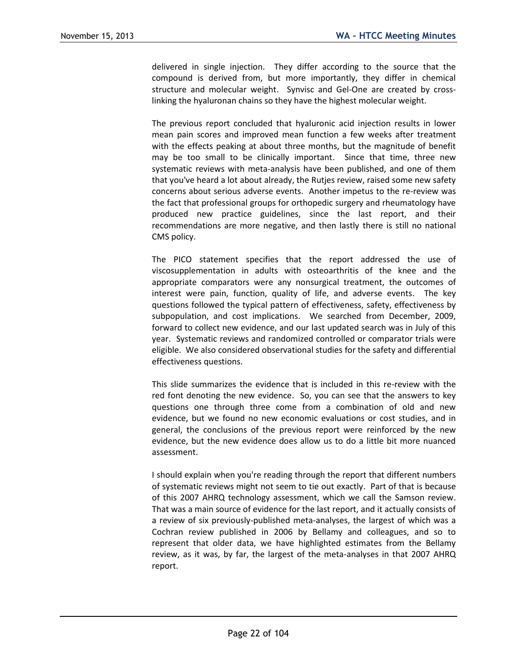delivered in single injection. They differ according to the source that the compound is derived from, but more importantly, they differ in chemical structure and molecular weight. Synvisc and Gel-One are created by crosslinking the hyaluronan chains so they have the highest molecular weight.

The previous report concluded that hyaluronic acid injection results in lower mean pain scores and improved mean function a few weeks after treatment with the effects peaking at about three months, but the magnitude of benefit may be too small to be clinically important. Since that time, three new systematic reviews with meta-analysis have been published, and one of them that you've heard a lot about already, the Rutjes review, raised some new safety concerns about serious adverse events. Another impetus to the re-review was the fact that professional groups for orthopedic surgery and rheumatology have produced new practice guidelines, since the last report, and their recommendations are more negative, and then lastly there is still no national CMS policy.

The PICO statement specifies that the report addressed the use of viscosupplementation in adults with osteoarthritis of the knee and the appropriate comparators were any nonsurgical treatment, the outcomes of interest were pain, function, quality of life, and adverse events. The key questions followed the typical pattern of effectiveness, safety, effectiveness by subpopulation, and cost implications. We searched from December, 2009, forward to collect new evidence, and our last updated search was in July of this year. Systematic reviews and randomized controlled or comparator trials were eligible. We also considered observational studies for the safety and differential effectiveness questions.

This slide summarizes the evidence that is included in this re-review with the red font denoting the new evidence. So, you can see that the answers to key questions one through three come from a combination of old and new evidence, but we found no new economic evaluations or cost studies, and in general, the conclusions of the previous report were reinforced by the new evidence, but the new evidence does allow us to do a little bit more nuanced assessment.

I should explain when you're reading through the report that different numbers of systematic reviews might not seem to tie out exactly. Part of that is because of this 2007 AHRQ technology assessment, which we call the Samson review. That was a main source of evidence for the last report, and it actually consists of a review of six previously-published meta-analyses, the largest of which was a Cochran review published in 2006 by Bellamy and colleagues, and so to represent that older data, we have highlighted estimates from the Bellamy review, as it was, by far, the largest of the meta-analyses in that 2007 AHRQ report.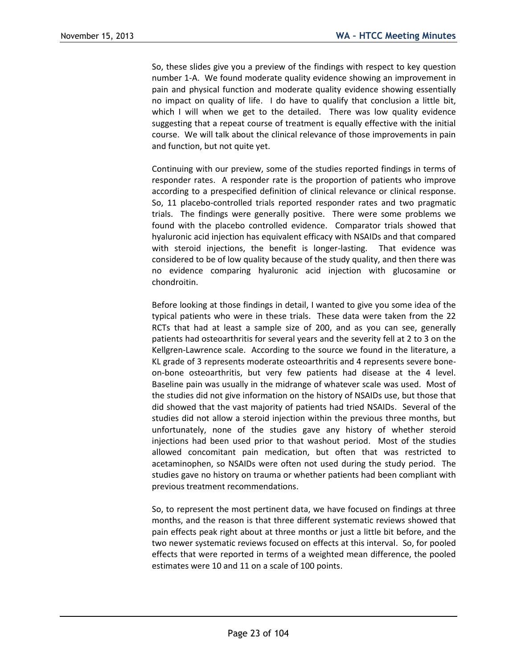So, these slides give you a preview of the findings with respect to key question number 1-A. We found moderate quality evidence showing an improvement in pain and physical function and moderate quality evidence showing essentially no impact on quality of life. I do have to qualify that conclusion a little bit, which I will when we get to the detailed. There was low quality evidence suggesting that a repeat course of treatment is equally effective with the initial course. We will talk about the clinical relevance of those improvements in pain and function, but not quite yet.

Continuing with our preview, some of the studies reported findings in terms of responder rates. A responder rate is the proportion of patients who improve according to a prespecified definition of clinical relevance or clinical response. So, 11 placebo-controlled trials reported responder rates and two pragmatic trials. The findings were generally positive. There were some problems we found with the placebo controlled evidence. Comparator trials showed that hyaluronic acid injection has equivalent efficacy with NSAIDs and that compared with steroid injections, the benefit is longer-lasting. That evidence was considered to be of low quality because of the study quality, and then there was no evidence comparing hyaluronic acid injection with glucosamine or chondroitin.

Before looking at those findings in detail, I wanted to give you some idea of the typical patients who were in these trials. These data were taken from the 22 RCTs that had at least a sample size of 200, and as you can see, generally patients had osteoarthritis for several years and the severity fell at 2 to 3 on the Kellgren-Lawrence scale. According to the source we found in the literature, a KL grade of 3 represents moderate osteoarthritis and 4 represents severe boneon-bone osteoarthritis, but very few patients had disease at the 4 level. Baseline pain was usually in the midrange of whatever scale was used. Most of the studies did not give information on the history of NSAIDs use, but those that did showed that the vast majority of patients had tried NSAIDs. Several of the studies did not allow a steroid injection within the previous three months, but unfortunately, none of the studies gave any history of whether steroid injections had been used prior to that washout period. Most of the studies allowed concomitant pain medication, but often that was restricted to acetaminophen, so NSAIDs were often not used during the study period. The studies gave no history on trauma or whether patients had been compliant with previous treatment recommendations.

So, to represent the most pertinent data, we have focused on findings at three months, and the reason is that three different systematic reviews showed that pain effects peak right about at three months or just a little bit before, and the two newer systematic reviews focused on effects at this interval. So, for pooled effects that were reported in terms of a weighted mean difference, the pooled estimates were 10 and 11 on a scale of 100 points.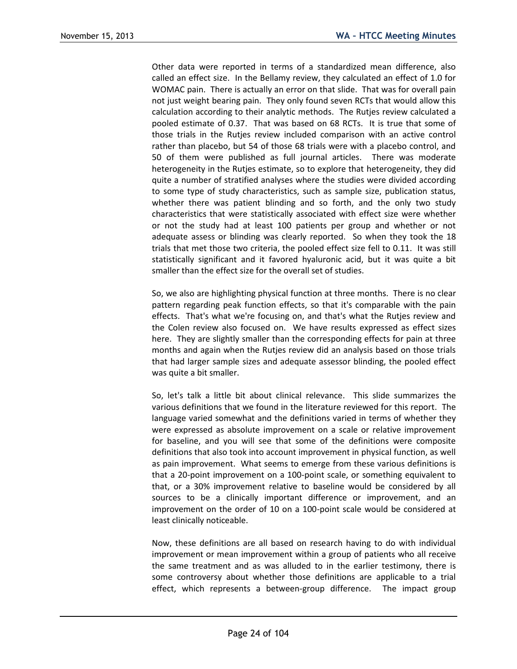Other data were reported in terms of a standardized mean difference, also called an effect size. In the Bellamy review, they calculated an effect of 1.0 for WOMAC pain. There is actually an error on that slide. That was for overall pain not just weight bearing pain. They only found seven RCTs that would allow this calculation according to their analytic methods. The Rutjes review calculated a pooled estimate of 0.37. That was based on 68 RCTs. It is true that some of those trials in the Rutjes review included comparison with an active control rather than placebo, but 54 of those 68 trials were with a placebo control, and 50 of them were published as full journal articles. There was moderate heterogeneity in the Rutjes estimate, so to explore that heterogeneity, they did quite a number of stratified analyses where the studies were divided according to some type of study characteristics, such as sample size, publication status, whether there was patient blinding and so forth, and the only two study characteristics that were statistically associated with effect size were whether or not the study had at least 100 patients per group and whether or not adequate assess or blinding was clearly reported. So when they took the 18 trials that met those two criteria, the pooled effect size fell to 0.11. It was still statistically significant and it favored hyaluronic acid, but it was quite a bit smaller than the effect size for the overall set of studies.

So, we also are highlighting physical function at three months. There is no clear pattern regarding peak function effects, so that it's comparable with the pain effects. That's what we're focusing on, and that's what the Rutjes review and the Colen review also focused on. We have results expressed as effect sizes here. They are slightly smaller than the corresponding effects for pain at three months and again when the Rutjes review did an analysis based on those trials that had larger sample sizes and adequate assessor blinding, the pooled effect was quite a bit smaller.

So, let's talk a little bit about clinical relevance. This slide summarizes the various definitions that we found in the literature reviewed for this report. The language varied somewhat and the definitions varied in terms of whether they were expressed as absolute improvement on a scale or relative improvement for baseline, and you will see that some of the definitions were composite definitions that also took into account improvement in physical function, as well as pain improvement. What seems to emerge from these various definitions is that a 20-point improvement on a 100-point scale, or something equivalent to that, or a 30% improvement relative to baseline would be considered by all sources to be a clinically important difference or improvement, and an improvement on the order of 10 on a 100-point scale would be considered at least clinically noticeable.

Now, these definitions are all based on research having to do with individual improvement or mean improvement within a group of patients who all receive the same treatment and as was alluded to in the earlier testimony, there is some controversy about whether those definitions are applicable to a trial effect, which represents a between-group difference. The impact group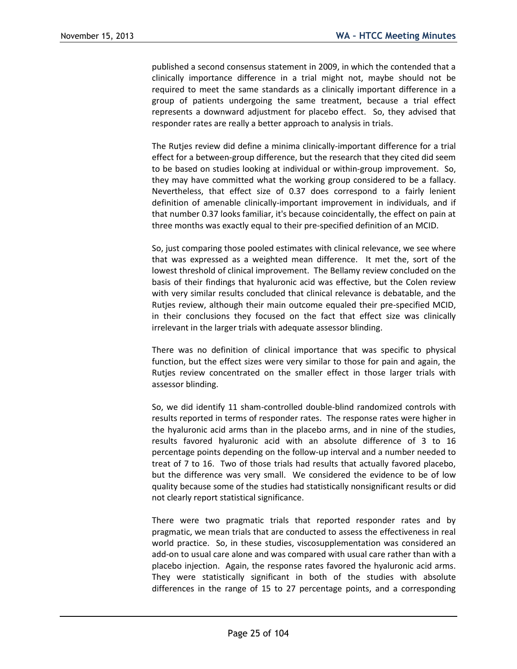published a second consensus statement in 2009, in which the contended that a clinically importance difference in a trial might not, maybe should not be required to meet the same standards as a clinically important difference in a group of patients undergoing the same treatment, because a trial effect represents a downward adjustment for placebo effect. So, they advised that responder rates are really a better approach to analysis in trials.

The Rutjes review did define a minima clinically-important difference for a trial effect for a between-group difference, but the research that they cited did seem to be based on studies looking at individual or within-group improvement. So, they may have committed what the working group considered to be a fallacy. Nevertheless, that effect size of 0.37 does correspond to a fairly lenient definition of amenable clinically-important improvement in individuals, and if that number 0.37 looks familiar, it's because coincidentally, the effect on pain at three months was exactly equal to their pre-specified definition of an MCID.

So, just comparing those pooled estimates with clinical relevance, we see where that was expressed as a weighted mean difference. It met the, sort of the lowest threshold of clinical improvement. The Bellamy review concluded on the basis of their findings that hyaluronic acid was effective, but the Colen review with very similar results concluded that clinical relevance is debatable, and the Rutjes review, although their main outcome equaled their pre-specified MCID, in their conclusions they focused on the fact that effect size was clinically irrelevant in the larger trials with adequate assessor blinding.

There was no definition of clinical importance that was specific to physical function, but the effect sizes were very similar to those for pain and again, the Rutjes review concentrated on the smaller effect in those larger trials with assessor blinding.

So, we did identify 11 sham-controlled double-blind randomized controls with results reported in terms of responder rates. The response rates were higher in the hyaluronic acid arms than in the placebo arms, and in nine of the studies, results favored hyaluronic acid with an absolute difference of 3 to 16 percentage points depending on the follow-up interval and a number needed to treat of 7 to 16. Two of those trials had results that actually favored placebo, but the difference was very small. We considered the evidence to be of low quality because some of the studies had statistically nonsignificant results or did not clearly report statistical significance.

There were two pragmatic trials that reported responder rates and by pragmatic, we mean trials that are conducted to assess the effectiveness in real world practice. So, in these studies, viscosupplementation was considered an add-on to usual care alone and was compared with usual care rather than with a placebo injection. Again, the response rates favored the hyaluronic acid arms. They were statistically significant in both of the studies with absolute differences in the range of 15 to 27 percentage points, and a corresponding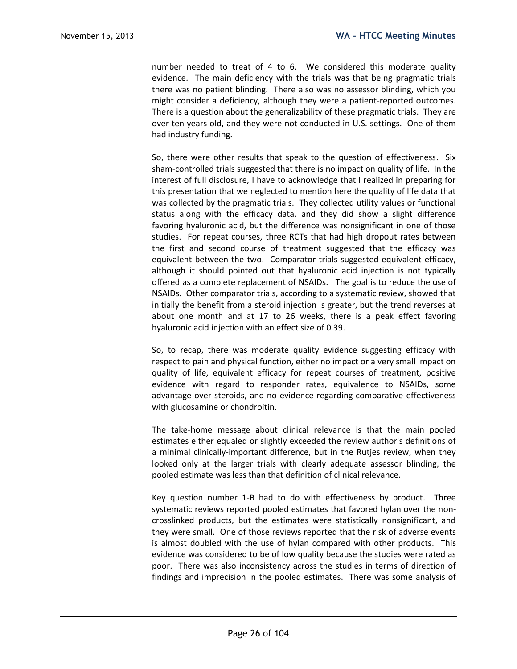number needed to treat of 4 to 6. We considered this moderate quality evidence. The main deficiency with the trials was that being pragmatic trials there was no patient blinding. There also was no assessor blinding, which you might consider a deficiency, although they were a patient-reported outcomes. There is a question about the generalizability of these pragmatic trials. They are over ten years old, and they were not conducted in U.S. settings. One of them had industry funding.

So, there were other results that speak to the question of effectiveness. Six sham-controlled trials suggested that there is no impact on quality of life. In the interest of full disclosure, I have to acknowledge that I realized in preparing for this presentation that we neglected to mention here the quality of life data that was collected by the pragmatic trials. They collected utility values or functional status along with the efficacy data, and they did show a slight difference favoring hyaluronic acid, but the difference was nonsignificant in one of those studies. For repeat courses, three RCTs that had high dropout rates between the first and second course of treatment suggested that the efficacy was equivalent between the two. Comparator trials suggested equivalent efficacy, although it should pointed out that hyaluronic acid injection is not typically offered as a complete replacement of NSAIDs. The goal is to reduce the use of NSAIDs. Other comparator trials, according to a systematic review, showed that initially the benefit from a steroid injection is greater, but the trend reverses at about one month and at 17 to 26 weeks, there is a peak effect favoring hyaluronic acid injection with an effect size of 0.39.

So, to recap, there was moderate quality evidence suggesting efficacy with respect to pain and physical function, either no impact or a very small impact on quality of life, equivalent efficacy for repeat courses of treatment, positive evidence with regard to responder rates, equivalence to NSAIDs, some advantage over steroids, and no evidence regarding comparative effectiveness with glucosamine or chondroitin.

The take-home message about clinical relevance is that the main pooled estimates either equaled or slightly exceeded the review author's definitions of a minimal clinically-important difference, but in the Rutjes review, when they looked only at the larger trials with clearly adequate assessor blinding, the pooled estimate was less than that definition of clinical relevance.

Key question number 1-B had to do with effectiveness by product. Three systematic reviews reported pooled estimates that favored hylan over the noncrosslinked products, but the estimates were statistically nonsignificant, and they were small. One of those reviews reported that the risk of adverse events is almost doubled with the use of hylan compared with other products. This evidence was considered to be of low quality because the studies were rated as poor. There was also inconsistency across the studies in terms of direction of findings and imprecision in the pooled estimates. There was some analysis of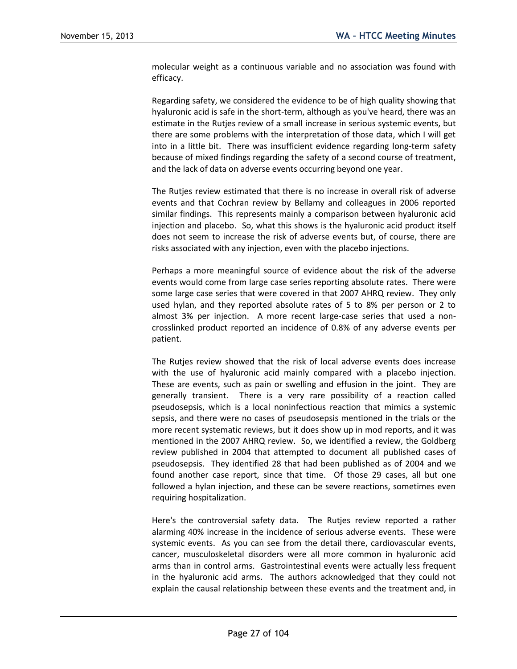molecular weight as a continuous variable and no association was found with efficacy.

Regarding safety, we considered the evidence to be of high quality showing that hyaluronic acid is safe in the short-term, although as you've heard, there was an estimate in the Rutjes review of a small increase in serious systemic events, but there are some problems with the interpretation of those data, which I will get into in a little bit. There was insufficient evidence regarding long-term safety because of mixed findings regarding the safety of a second course of treatment, and the lack of data on adverse events occurring beyond one year.

The Rutjes review estimated that there is no increase in overall risk of adverse events and that Cochran review by Bellamy and colleagues in 2006 reported similar findings. This represents mainly a comparison between hyaluronic acid injection and placebo. So, what this shows is the hyaluronic acid product itself does not seem to increase the risk of adverse events but, of course, there are risks associated with any injection, even with the placebo injections.

Perhaps a more meaningful source of evidence about the risk of the adverse events would come from large case series reporting absolute rates. There were some large case series that were covered in that 2007 AHRQ review. They only used hylan, and they reported absolute rates of 5 to 8% per person or 2 to almost 3% per injection. A more recent large-case series that used a noncrosslinked product reported an incidence of 0.8% of any adverse events per patient.

The Rutjes review showed that the risk of local adverse events does increase with the use of hyaluronic acid mainly compared with a placebo injection. These are events, such as pain or swelling and effusion in the joint. They are generally transient. There is a very rare possibility of a reaction called pseudosepsis, which is a local noninfectious reaction that mimics a systemic sepsis, and there were no cases of pseudosepsis mentioned in the trials or the more recent systematic reviews, but it does show up in mod reports, and it was mentioned in the 2007 AHRQ review. So, we identified a review, the Goldberg review published in 2004 that attempted to document all published cases of pseudosepsis. They identified 28 that had been published as of 2004 and we found another case report, since that time. Of those 29 cases, all but one followed a hylan injection, and these can be severe reactions, sometimes even requiring hospitalization.

Here's the controversial safety data. The Rutjes review reported a rather alarming 40% increase in the incidence of serious adverse events. These were systemic events. As you can see from the detail there, cardiovascular events, cancer, musculoskeletal disorders were all more common in hyaluronic acid arms than in control arms. Gastrointestinal events were actually less frequent in the hyaluronic acid arms. The authors acknowledged that they could not explain the causal relationship between these events and the treatment and, in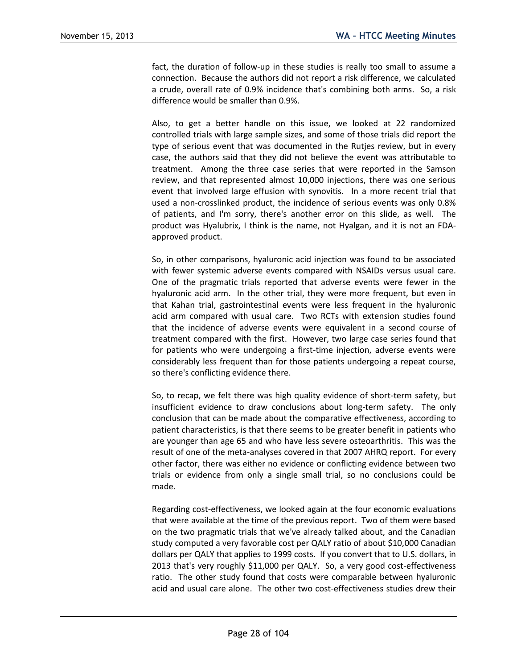fact, the duration of follow-up in these studies is really too small to assume a connection. Because the authors did not report a risk difference, we calculated a crude, overall rate of 0.9% incidence that's combining both arms. So, a risk difference would be smaller than 0.9%.

Also, to get a better handle on this issue, we looked at 22 randomized controlled trials with large sample sizes, and some of those trials did report the type of serious event that was documented in the Rutjes review, but in every case, the authors said that they did not believe the event was attributable to treatment. Among the three case series that were reported in the Samson review, and that represented almost 10,000 injections, there was one serious event that involved large effusion with synovitis. In a more recent trial that used a non-crosslinked product, the incidence of serious events was only 0.8% of patients, and I'm sorry, there's another error on this slide, as well. The product was Hyalubrix, I think is the name, not Hyalgan, and it is not an FDAapproved product.

So, in other comparisons, hyaluronic acid injection was found to be associated with fewer systemic adverse events compared with NSAIDs versus usual care. One of the pragmatic trials reported that adverse events were fewer in the hyaluronic acid arm. In the other trial, they were more frequent, but even in that Kahan trial, gastrointestinal events were less frequent in the hyaluronic acid arm compared with usual care. Two RCTs with extension studies found that the incidence of adverse events were equivalent in a second course of treatment compared with the first. However, two large case series found that for patients who were undergoing a first-time injection, adverse events were considerably less frequent than for those patients undergoing a repeat course, so there's conflicting evidence there.

So, to recap, we felt there was high quality evidence of short-term safety, but insufficient evidence to draw conclusions about long-term safety. The only conclusion that can be made about the comparative effectiveness, according to patient characteristics, is that there seems to be greater benefit in patients who are younger than age 65 and who have less severe osteoarthritis. This was the result of one of the meta-analyses covered in that 2007 AHRQ report. For every other factor, there was either no evidence or conflicting evidence between two trials or evidence from only a single small trial, so no conclusions could be made.

Regarding cost-effectiveness, we looked again at the four economic evaluations that were available at the time of the previous report. Two of them were based on the two pragmatic trials that we've already talked about, and the Canadian study computed a very favorable cost per QALY ratio of about \$10,000 Canadian dollars per QALY that applies to 1999 costs. If you convert that to U.S. dollars, in 2013 that's very roughly \$11,000 per QALY. So, a very good cost-effectiveness ratio. The other study found that costs were comparable between hyaluronic acid and usual care alone. The other two cost-effectiveness studies drew their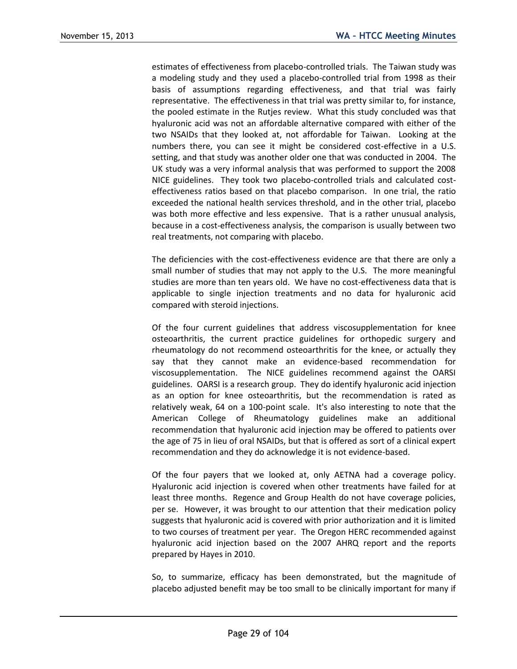estimates of effectiveness from placebo-controlled trials. The Taiwan study was a modeling study and they used a placebo-controlled trial from 1998 as their basis of assumptions regarding effectiveness, and that trial was fairly representative. The effectiveness in that trial was pretty similar to, for instance, the pooled estimate in the Rutjes review. What this study concluded was that hyaluronic acid was not an affordable alternative compared with either of the two NSAIDs that they looked at, not affordable for Taiwan. Looking at the numbers there, you can see it might be considered cost-effective in a U.S. setting, and that study was another older one that was conducted in 2004. The UK study was a very informal analysis that was performed to support the 2008 NICE guidelines. They took two placebo-controlled trials and calculated costeffectiveness ratios based on that placebo comparison. In one trial, the ratio exceeded the national health services threshold, and in the other trial, placebo was both more effective and less expensive. That is a rather unusual analysis, because in a cost-effectiveness analysis, the comparison is usually between two real treatments, not comparing with placebo.

The deficiencies with the cost-effectiveness evidence are that there are only a small number of studies that may not apply to the U.S. The more meaningful studies are more than ten years old. We have no cost-effectiveness data that is applicable to single injection treatments and no data for hyaluronic acid compared with steroid injections.

Of the four current guidelines that address viscosupplementation for knee osteoarthritis, the current practice guidelines for orthopedic surgery and rheumatology do not recommend osteoarthritis for the knee, or actually they say that they cannot make an evidence-based recommendation for viscosupplementation. The NICE guidelines recommend against the OARSI guidelines. OARSI is a research group. They do identify hyaluronic acid injection as an option for knee osteoarthritis, but the recommendation is rated as relatively weak, 64 on a 100-point scale. It's also interesting to note that the American College of Rheumatology guidelines make an additional recommendation that hyaluronic acid injection may be offered to patients over the age of 75 in lieu of oral NSAIDs, but that is offered as sort of a clinical expert recommendation and they do acknowledge it is not evidence-based.

Of the four payers that we looked at, only AETNA had a coverage policy. Hyaluronic acid injection is covered when other treatments have failed for at least three months. Regence and Group Health do not have coverage policies, per se. However, it was brought to our attention that their medication policy suggests that hyaluronic acid is covered with prior authorization and it is limited to two courses of treatment per year. The Oregon HERC recommended against hyaluronic acid injection based on the 2007 AHRQ report and the reports prepared by Hayes in 2010.

So, to summarize, efficacy has been demonstrated, but the magnitude of placebo adjusted benefit may be too small to be clinically important for many if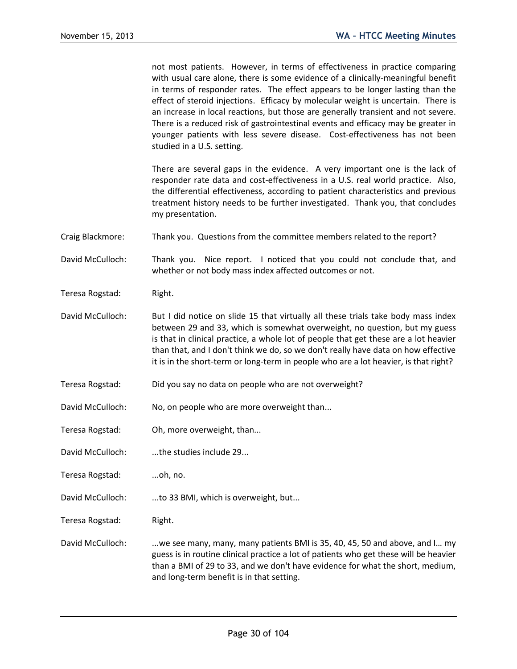not most patients. However, in terms of effectiveness in practice comparing with usual care alone, there is some evidence of a clinically-meaningful benefit in terms of responder rates. The effect appears to be longer lasting than the effect of steroid injections. Efficacy by molecular weight is uncertain. There is an increase in local reactions, but those are generally transient and not severe. There is a reduced risk of gastrointestinal events and efficacy may be greater in younger patients with less severe disease. Cost-effectiveness has not been studied in a U.S. setting.

There are several gaps in the evidence. A very important one is the lack of responder rate data and cost-effectiveness in a U.S. real world practice. Also, the differential effectiveness, according to patient characteristics and previous treatment history needs to be further investigated. Thank you, that concludes my presentation.

- Craig Blackmore: Thank you. Questions from the committee members related to the report?
- David McCulloch: Thank you. Nice report. I noticed that you could not conclude that, and whether or not body mass index affected outcomes or not.
- Teresa Rogstad: Right.
- David McCulloch: But I did notice on slide 15 that virtually all these trials take body mass index between 29 and 33, which is somewhat overweight, no question, but my guess is that in clinical practice, a whole lot of people that get these are a lot heavier than that, and I don't think we do, so we don't really have data on how effective it is in the short-term or long-term in people who are a lot heavier, is that right?
- Teresa Rogstad: Did you say no data on people who are not overweight?
- David McCulloch: No, on people who are more overweight than...
- Teresa Rogstad: Oh, more overweight, than...
- David McCulloch: ...the studies include 29...
- Teresa Rogstad: ...oh, no.
- David McCulloch: ...to 33 BMI, which is overweight, but...
- Teresa Rogstad: Right.
- David McCulloch: . ...we see many, many, many patients BMI is 35, 40, 45, 50 and above, and I... my guess is in routine clinical practice a lot of patients who get these will be heavier than a BMI of 29 to 33, and we don't have evidence for what the short, medium, and long-term benefit is in that setting.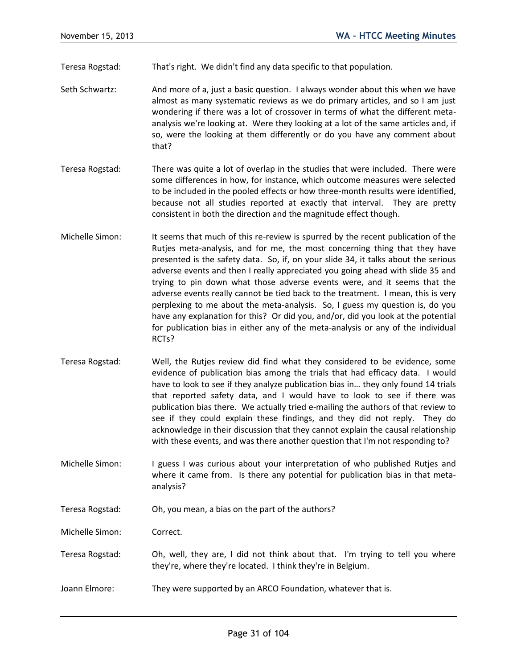Teresa Rogstad: That's right. We didn't find any data specific to that population.

- Seth Schwartz: And more of a, just a basic question. I always wonder about this when we have almost as many systematic reviews as we do primary articles, and so I am just wondering if there was a lot of crossover in terms of what the different metaanalysis we're looking at. Were they looking at a lot of the same articles and, if so, were the looking at them differently or do you have any comment about that?
- Teresa Rogstad: There was quite a lot of overlap in the studies that were included. There were some differences in how, for instance, which outcome measures were selected to be included in the pooled effects or how three-month results were identified, because not all studies reported at exactly that interval. They are pretty consistent in both the direction and the magnitude effect though.
- Michelle Simon: It seems that much of this re-review is spurred by the recent publication of the Rutjes meta-analysis, and for me, the most concerning thing that they have presented is the safety data. So, if, on your slide 34, it talks about the serious adverse events and then I really appreciated you going ahead with slide 35 and trying to pin down what those adverse events were, and it seems that the adverse events really cannot be tied back to the treatment. I mean, this is very perplexing to me about the meta-analysis. So, I guess my question is, do you have any explanation for this? Or did you, and/or, did you look at the potential for publication bias in either any of the meta-analysis or any of the individual RCTs?
- Teresa Rogstad: Well, the Rutjes review did find what they considered to be evidence, some evidence of publication bias among the trials that had efficacy data. I would have to look to see if they analyze publication bias in… they only found 14 trials that reported safety data, and I would have to look to see if there was publication bias there. We actually tried e-mailing the authors of that review to see if they could explain these findings, and they did not reply. They do acknowledge in their discussion that they cannot explain the causal relationship with these events, and was there another question that I'm not responding to?
- Michelle Simon: I guess I was curious about your interpretation of who published Rutjes and where it came from. Is there any potential for publication bias in that metaanalysis?
- Teresa Rogstad: Oh, you mean, a bias on the part of the authors?

Michelle Simon: Correct.

- Teresa Rogstad: Oh, well, they are, I did not think about that. I'm trying to tell you where they're, where they're located. I think they're in Belgium.
- Joann Elmore: They were supported by an ARCO Foundation, whatever that is.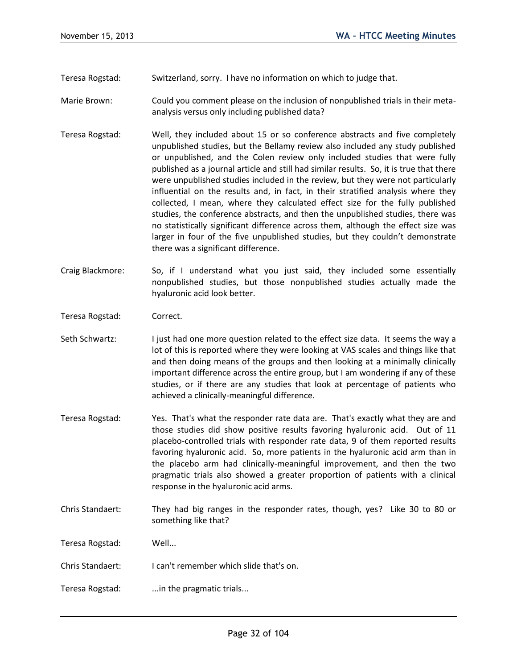Teresa Rogstad: Switzerland, sorry. I have no information on which to judge that.

- Marie Brown: Could you comment please on the inclusion of nonpublished trials in their metaanalysis versus only including published data?
- Teresa Rogstad: Well, they included about 15 or so conference abstracts and five completely unpublished studies, but the Bellamy review also included any study published or unpublished, and the Colen review only included studies that were fully published as a journal article and still had similar results. So, it is true that there were unpublished studies included in the review, but they were not particularly influential on the results and, in fact, in their stratified analysis where they collected, I mean, where they calculated effect size for the fully published studies, the conference abstracts, and then the unpublished studies, there was no statistically significant difference across them, although the effect size was larger in four of the five unpublished studies, but they couldn't demonstrate there was a significant difference.
- Craig Blackmore: So, if I understand what you just said, they included some essentially nonpublished studies, but those nonpublished studies actually made the hyaluronic acid look better.
- Teresa Rogstad: Correct.
- Seth Schwartz: I just had one more question related to the effect size data. It seems the way a lot of this is reported where they were looking at VAS scales and things like that and then doing means of the groups and then looking at a minimally clinically important difference across the entire group, but I am wondering if any of these studies, or if there are any studies that look at percentage of patients who achieved a clinically-meaningful difference.
- Teresa Rogstad: Yes. That's what the responder rate data are. That's exactly what they are and those studies did show positive results favoring hyaluronic acid. Out of 11 placebo-controlled trials with responder rate data, 9 of them reported results favoring hyaluronic acid. So, more patients in the hyaluronic acid arm than in the placebo arm had clinically-meaningful improvement, and then the two pragmatic trials also showed a greater proportion of patients with a clinical response in the hyaluronic acid arms.
- Chris Standaert: They had big ranges in the responder rates, though, yes? Like 30 to 80 or something like that?

Teresa Rogstad: Well...

- Chris Standaert: I can't remember which slide that's on.
- Teresa Rogstad: ...in the pragmatic trials...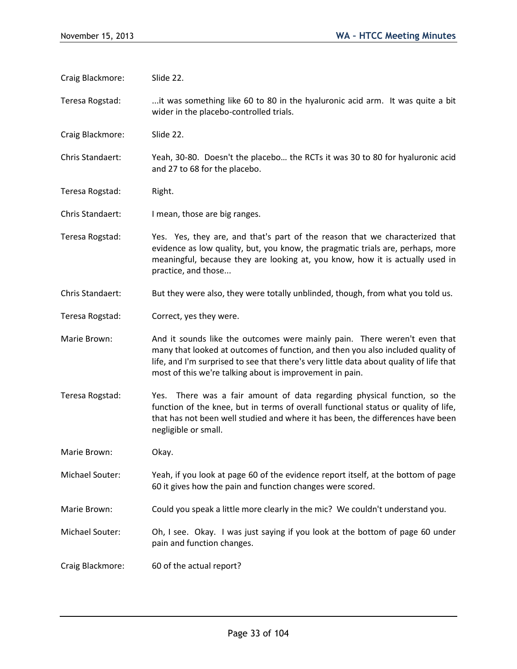- Craig Blackmore: Slide 22.
- Teresa Rogstad: ...it was something like 60 to 80 in the hyaluronic acid arm. It was quite a bit wider in the placebo-controlled trials.
- Craig Blackmore: Slide 22.
- Chris Standaert: Yeah, 30-80. Doesn't the placebo… the RCTs it was 30 to 80 for hyaluronic acid and 27 to 68 for the placebo.
- Teresa Rogstad: Right.
- Chris Standaert: I mean, those are big ranges.
- Teresa Rogstad: Yes. Yes, they are, and that's part of the reason that we characterized that evidence as low quality, but, you know, the pragmatic trials are, perhaps, more meaningful, because they are looking at, you know, how it is actually used in practice, and those...
- Chris Standaert: But they were also, they were totally unblinded, though, from what you told us.
- Teresa Rogstad: Correct, yes they were.
- Marie Brown: And it sounds like the outcomes were mainly pain. There weren't even that many that looked at outcomes of function, and then you also included quality of life, and I'm surprised to see that there's very little data about quality of life that most of this we're talking about is improvement in pain.
- Teresa Rogstad: Yes. There was a fair amount of data regarding physical function, so the function of the knee, but in terms of overall functional status or quality of life, that has not been well studied and where it has been, the differences have been negligible or small.
- Marie Brown: Okay.
- Michael Souter: Yeah, if you look at page 60 of the evidence report itself, at the bottom of page 60 it gives how the pain and function changes were scored.
- Marie Brown: Could you speak a little more clearly in the mic? We couldn't understand you.
- Michael Souter: Oh, I see. Okay. I was just saying if you look at the bottom of page 60 under pain and function changes.
- Craig Blackmore: 60 of the actual report?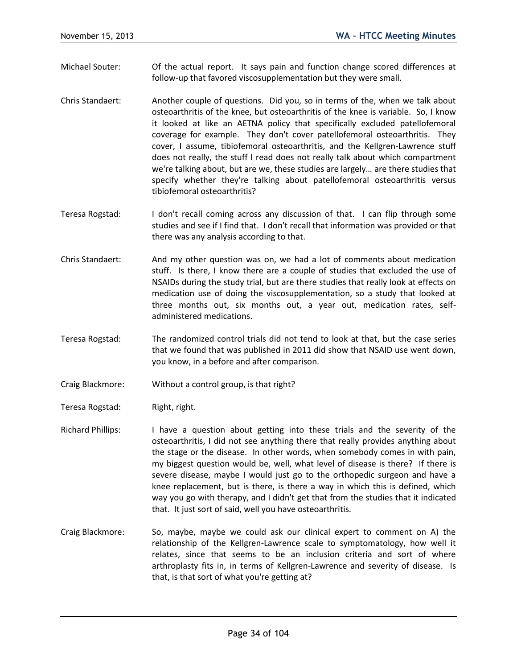- Michael Souter: Of the actual report. It says pain and function change scored differences at follow-up that favored viscosupplementation but they were small.
- Chris Standaert: Another couple of questions. Did you, so in terms of the, when we talk about osteoarthritis of the knee, but osteoarthritis of the knee is variable. So, I know it looked at like an AETNA policy that specifically excluded patellofemoral coverage for example. They don't cover patellofemoral osteoarthritis. They cover, I assume, tibiofemoral osteoarthritis, and the Kellgren-Lawrence stuff does not really, the stuff I read does not really talk about which compartment we're talking about, but are we, these studies are largely… are there studies that specify whether they're talking about patellofemoral osteoarthritis versus tibiofemoral osteoarthritis?
- Teresa Rogstad: I don't recall coming across any discussion of that. I can flip through some studies and see if I find that. I don't recall that information was provided or that there was any analysis according to that.
- Chris Standaert: And my other question was on, we had a lot of comments about medication stuff. Is there, I know there are a couple of studies that excluded the use of NSAIDs during the study trial, but are there studies that really look at effects on medication use of doing the viscosupplementation, so a study that looked at three months out, six months out, a year out, medication rates, selfadministered medications.
- Teresa Rogstad: The randomized control trials did not tend to look at that, but the case series that we found that was published in 2011 did show that NSAID use went down, you know, in a before and after comparison.
- Craig Blackmore: Without a control group, is that right?
- Teresa Rogstad: Right, right.
- Richard Phillips: I have a question about getting into these trials and the severity of the osteoarthritis, I did not see anything there that really provides anything about the stage or the disease. In other words, when somebody comes in with pain, my biggest question would be, well, what level of disease is there? If there is severe disease, maybe I would just go to the orthopedic surgeon and have a knee replacement, but is there, is there a way in which this is defined, which way you go with therapy, and I didn't get that from the studies that it indicated that. It just sort of said, well you have osteoarthritis.
- Craig Blackmore: So, maybe, maybe we could ask our clinical expert to comment on A) the relationship of the Kellgren-Lawrence scale to symptomatology, how well it relates, since that seems to be an inclusion criteria and sort of where arthroplasty fits in, in terms of Kellgren-Lawrence and severity of disease. Is that, is that sort of what you're getting at?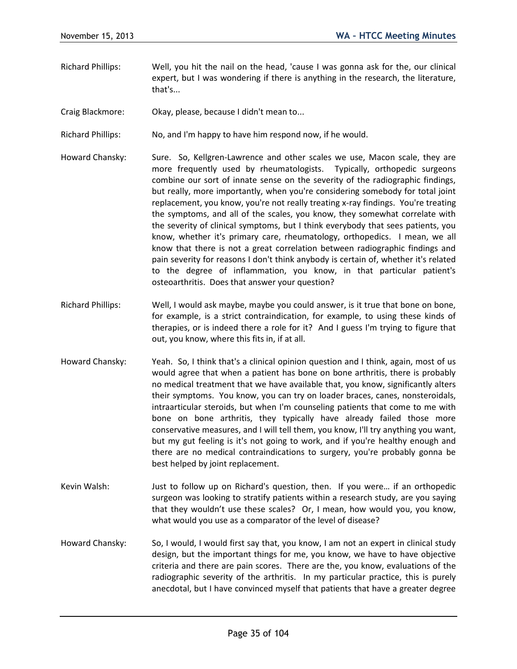- Richard Phillips: Well, you hit the nail on the head, 'cause I was gonna ask for the, our clinical expert, but I was wondering if there is anything in the research, the literature, that's...
- Craig Blackmore: Okay, please, because I didn't mean to...

Richard Phillips: No, and I'm happy to have him respond now, if he would.

- Howard Chansky: Sure. So, Kellgren-Lawrence and other scales we use, Macon scale, they are more frequently used by rheumatologists. Typically, orthopedic surgeons combine our sort of innate sense on the severity of the radiographic findings, but really, more importantly, when you're considering somebody for total joint replacement, you know, you're not really treating x-ray findings. You're treating the symptoms, and all of the scales, you know, they somewhat correlate with the severity of clinical symptoms, but I think everybody that sees patients, you know, whether it's primary care, rheumatology, orthopedics. I mean, we all know that there is not a great correlation between radiographic findings and pain severity for reasons I don't think anybody is certain of, whether it's related to the degree of inflammation, you know, in that particular patient's osteoarthritis. Does that answer your question?
- Richard Phillips: Well, I would ask maybe, maybe you could answer, is it true that bone on bone, for example, is a strict contraindication, for example, to using these kinds of therapies, or is indeed there a role for it? And I guess I'm trying to figure that out, you know, where this fits in, if at all.
- Howard Chansky: Yeah. So, I think that's a clinical opinion question and I think, again, most of us would agree that when a patient has bone on bone arthritis, there is probably no medical treatment that we have available that, you know, significantly alters their symptoms. You know, you can try on loader braces, canes, nonsteroidals, intraarticular steroids, but when I'm counseling patients that come to me with bone on bone arthritis, they typically have already failed those more conservative measures, and I will tell them, you know, I'll try anything you want, but my gut feeling is it's not going to work, and if you're healthy enough and there are no medical contraindications to surgery, you're probably gonna be best helped by joint replacement.
- Kevin Walsh: Just to follow up on Richard's question, then. If you were… if an orthopedic surgeon was looking to stratify patients within a research study, are you saying that they wouldn't use these scales? Or, I mean, how would you, you know, what would you use as a comparator of the level of disease?
- Howard Chansky: So, I would, I would first say that, you know, I am not an expert in clinical study design, but the important things for me, you know, we have to have objective criteria and there are pain scores. There are the, you know, evaluations of the radiographic severity of the arthritis. In my particular practice, this is purely anecdotal, but I have convinced myself that patients that have a greater degree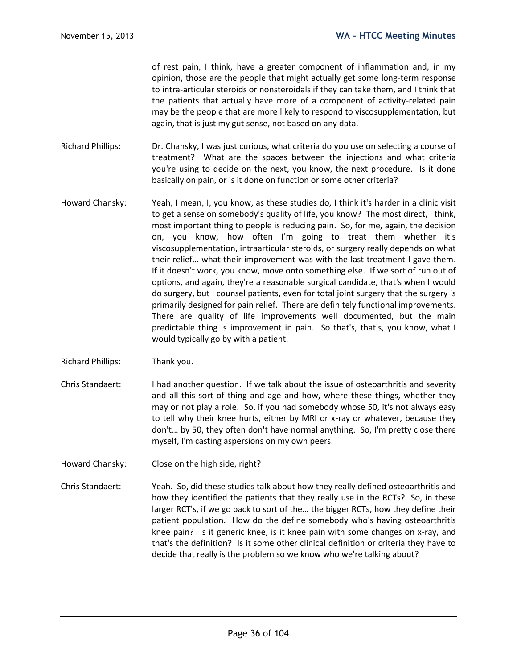of rest pain, I think, have a greater component of inflammation and, in my opinion, those are the people that might actually get some long-term response to intra-articular steroids or nonsteroidals if they can take them, and I think that the patients that actually have more of a component of activity-related pain may be the people that are more likely to respond to viscosupplementation, but again, that is just my gut sense, not based on any data.

- Richard Phillips: Dr. Chansky, I was just curious, what criteria do you use on selecting a course of treatment? What are the spaces between the injections and what criteria you're using to decide on the next, you know, the next procedure. Is it done basically on pain, or is it done on function or some other criteria?
- Howard Chansky: Yeah, I mean, I, you know, as these studies do, I think it's harder in a clinic visit to get a sense on somebody's quality of life, you know? The most direct, I think, most important thing to people is reducing pain. So, for me, again, the decision on, you know, how often I'm going to treat them whether it's viscosupplementation, intraarticular steroids, or surgery really depends on what their relief… what their improvement was with the last treatment I gave them. If it doesn't work, you know, move onto something else. If we sort of run out of options, and again, they're a reasonable surgical candidate, that's when I would do surgery, but I counsel patients, even for total joint surgery that the surgery is primarily designed for pain relief. There are definitely functional improvements. There are quality of life improvements well documented, but the main predictable thing is improvement in pain. So that's, that's, you know, what I would typically go by with a patient.
- Richard Phillips: Thank you.
- Chris Standaert: I had another question. If we talk about the issue of osteoarthritis and severity and all this sort of thing and age and how, where these things, whether they may or not play a role. So, if you had somebody whose 50, it's not always easy to tell why their knee hurts, either by MRI or x-ray or whatever, because they don't… by 50, they often don't have normal anything. So, I'm pretty close there myself, I'm casting aspersions on my own peers.
- Howard Chansky: Close on the high side, right?
- Chris Standaert: Yeah. So, did these studies talk about how they really defined osteoarthritis and how they identified the patients that they really use in the RCTs? So, in these larger RCT's, if we go back to sort of the… the bigger RCTs, how they define their patient population. How do the define somebody who's having osteoarthritis knee pain? Is it generic knee, is it knee pain with some changes on x-ray, and that's the definition? Is it some other clinical definition or criteria they have to decide that really is the problem so we know who we're talking about?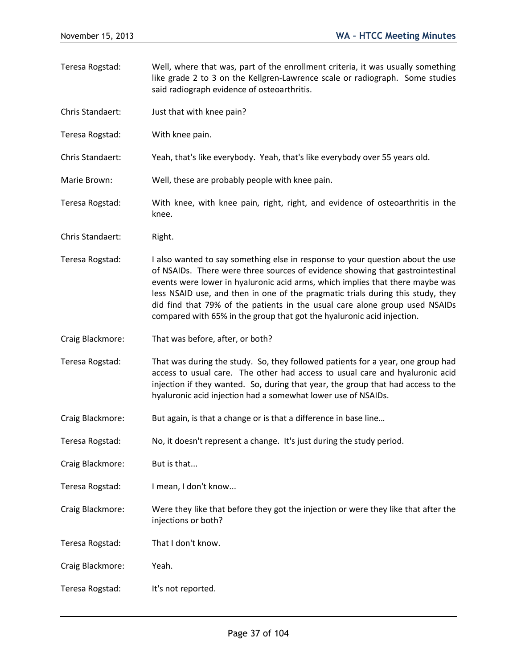Teresa Rogstad: Well, where that was, part of the enrollment criteria, it was usually something like grade 2 to 3 on the Kellgren-Lawrence scale or radiograph. Some studies said radiograph evidence of osteoarthritis. Chris Standaert: Just that with knee pain? Teresa Rogstad: With knee pain. Chris Standaert: Yeah, that's like everybody. Yeah, that's like everybody over 55 years old. Marie Brown: Well, these are probably people with knee pain. Teresa Rogstad: With knee, with knee pain, right, right, and evidence of osteoarthritis in the knee. Chris Standaert: Right. Teresa Rogstad: I also wanted to say something else in response to your question about the use of NSAIDs. There were three sources of evidence showing that gastrointestinal events were lower in hyaluronic acid arms, which implies that there maybe was less NSAID use, and then in one of the pragmatic trials during this study, they did find that 79% of the patients in the usual care alone group used NSAIDs compared with 65% in the group that got the hyaluronic acid injection. Craig Blackmore: That was before, after, or both? Teresa Rogstad: That was during the study. So, they followed patients for a year, one group had access to usual care. The other had access to usual care and hyaluronic acid injection if they wanted. So, during that year, the group that had access to the hyaluronic acid injection had a somewhat lower use of NSAIDs. Craig Blackmore: But again, is that a change or is that a difference in base line... Teresa Rogstad: No, it doesn't represent a change. It's just during the study period. Craig Blackmore: But is that... Teresa Rogstad: I mean, I don't know... Craig Blackmore: Were they like that before they got the injection or were they like that after the injections or both? Teresa Rogstad: That I don't know. Craig Blackmore: Yeah. Teresa Rogstad: It's not reported.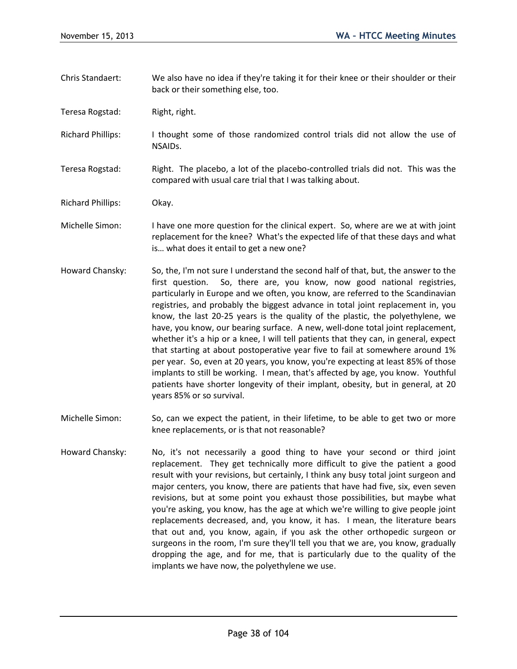- Chris Standaert: We also have no idea if they're taking it for their knee or their shoulder or their back or their something else, too.
- Teresa Rogstad: Right, right.
- Richard Phillips: I thought some of those randomized control trials did not allow the use of NSAIDs.
- Teresa Rogstad: Right. The placebo, a lot of the placebo-controlled trials did not. This was the compared with usual care trial that I was talking about.
- Richard Phillips: Okay.
- Michelle Simon: I have one more question for the clinical expert. So, where are we at with joint replacement for the knee? What's the expected life of that these days and what is… what does it entail to get a new one?
- Howard Chansky: So, the, I'm not sure I understand the second half of that, but, the answer to the first question. So, there are, you know, now good national registries, particularly in Europe and we often, you know, are referred to the Scandinavian registries, and probably the biggest advance in total joint replacement in, you know, the last 20-25 years is the quality of the plastic, the polyethylene, we have, you know, our bearing surface. A new, well-done total joint replacement, whether it's a hip or a knee, I will tell patients that they can, in general, expect that starting at about postoperative year five to fail at somewhere around 1% per year. So, even at 20 years, you know, you're expecting at least 85% of those implants to still be working. I mean, that's affected by age, you know. Youthful patients have shorter longevity of their implant, obesity, but in general, at 20 years 85% or so survival.
- Michelle Simon: So, can we expect the patient, in their lifetime, to be able to get two or more knee replacements, or is that not reasonable?
- Howard Chansky: No, it's not necessarily a good thing to have your second or third joint replacement. They get technically more difficult to give the patient a good result with your revisions, but certainly, I think any busy total joint surgeon and major centers, you know, there are patients that have had five, six, even seven revisions, but at some point you exhaust those possibilities, but maybe what you're asking, you know, has the age at which we're willing to give people joint replacements decreased, and, you know, it has. I mean, the literature bears that out and, you know, again, if you ask the other orthopedic surgeon or surgeons in the room, I'm sure they'll tell you that we are, you know, gradually dropping the age, and for me, that is particularly due to the quality of the implants we have now, the polyethylene we use.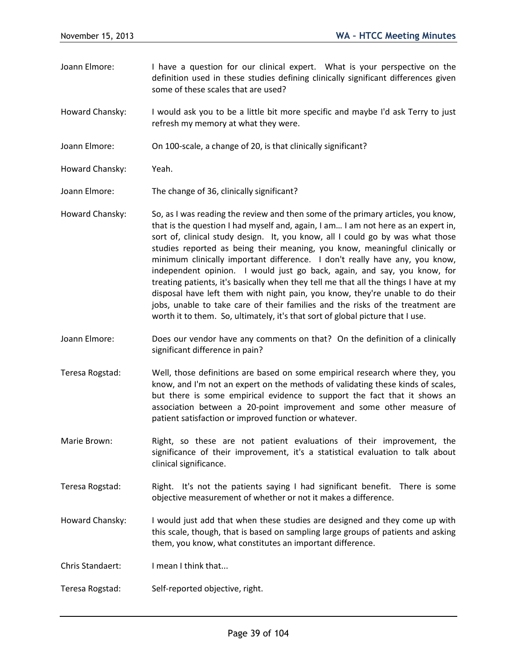- Joann Elmore: I have a question for our clinical expert. What is your perspective on the definition used in these studies defining clinically significant differences given some of these scales that are used?
- Howard Chansky: I would ask you to be a little bit more specific and maybe I'd ask Terry to just refresh my memory at what they were.
- Joann Elmore: On 100-scale, a change of 20, is that clinically significant?
- Howard Chansky: Yeah.
- Joann Elmore: The change of 36, clinically significant?
- Howard Chansky: So, as I was reading the review and then some of the primary articles, you know, that is the question I had myself and, again, I am… I am not here as an expert in, sort of, clinical study design. It, you know, all I could go by was what those studies reported as being their meaning, you know, meaningful clinically or minimum clinically important difference. I don't really have any, you know, independent opinion. I would just go back, again, and say, you know, for treating patients, it's basically when they tell me that all the things I have at my disposal have left them with night pain, you know, they're unable to do their jobs, unable to take care of their families and the risks of the treatment are worth it to them. So, ultimately, it's that sort of global picture that I use.
- Joann Elmore: Does our vendor have any comments on that? On the definition of a clinically significant difference in pain?
- Teresa Rogstad: Well, those definitions are based on some empirical research where they, you know, and I'm not an expert on the methods of validating these kinds of scales, but there is some empirical evidence to support the fact that it shows an association between a 20-point improvement and some other measure of patient satisfaction or improved function or whatever.
- Marie Brown: Right, so these are not patient evaluations of their improvement, the significance of their improvement, it's a statistical evaluation to talk about clinical significance.
- Teresa Rogstad: Right. It's not the patients saying I had significant benefit. There is some objective measurement of whether or not it makes a difference.
- Howard Chansky: I would just add that when these studies are designed and they come up with this scale, though, that is based on sampling large groups of patients and asking them, you know, what constitutes an important difference.
- Chris Standaert: I mean I think that...
- Teresa Rogstad: Self-reported objective, right.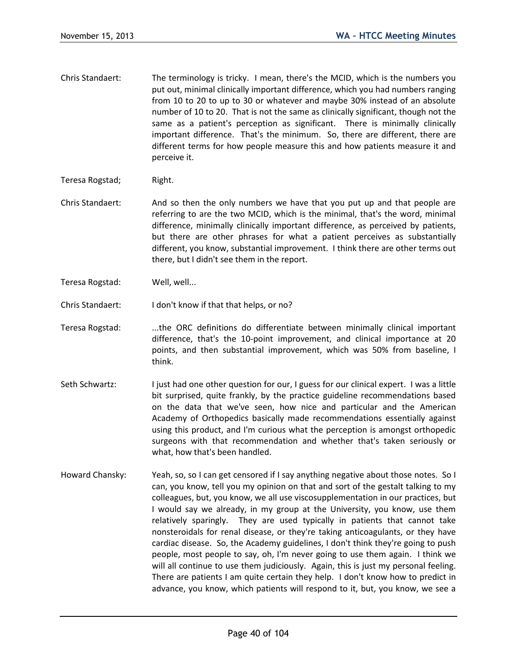- Chris Standaert: The terminology is tricky. I mean, there's the MCID, which is the numbers you put out, minimal clinically important difference, which you had numbers ranging from 10 to 20 to up to 30 or whatever and maybe 30% instead of an absolute number of 10 to 20. That is not the same as clinically significant, though not the same as a patient's perception as significant. There is minimally clinically important difference. That's the minimum. So, there are different, there are different terms for how people measure this and how patients measure it and perceive it.
- Teresa Rogstad; Right.
- Chris Standaert: And so then the only numbers we have that you put up and that people are referring to are the two MCID, which is the minimal, that's the word, minimal difference, minimally clinically important difference, as perceived by patients, but there are other phrases for what a patient perceives as substantially different, you know, substantial improvement. I think there are other terms out there, but I didn't see them in the report.
- Teresa Rogstad: Well, well...
- Chris Standaert: I don't know if that that helps, or no?
- Teresa Rogstad: ...the ORC definitions do differentiate between minimally clinical important difference, that's the 10-point improvement, and clinical importance at 20 points, and then substantial improvement, which was 50% from baseline, I think.
- Seth Schwartz: I just had one other question for our, I guess for our clinical expert. I was a little bit surprised, quite frankly, by the practice guideline recommendations based on the data that we've seen, how nice and particular and the American Academy of Orthopedics basically made recommendations essentially against using this product, and I'm curious what the perception is amongst orthopedic surgeons with that recommendation and whether that's taken seriously or what, how that's been handled.
- Howard Chansky: Yeah, so, so I can get censored if I say anything negative about those notes. So I can, you know, tell you my opinion on that and sort of the gestalt talking to my colleagues, but, you know, we all use viscosupplementation in our practices, but I would say we already, in my group at the University, you know, use them relatively sparingly. They are used typically in patients that cannot take nonsteroidals for renal disease, or they're taking anticoagulants, or they have cardiac disease. So, the Academy guidelines, I don't think they're going to push people, most people to say, oh, I'm never going to use them again. I think we will all continue to use them judiciously. Again, this is just my personal feeling. There are patients I am quite certain they help. I don't know how to predict in advance, you know, which patients will respond to it, but, you know, we see a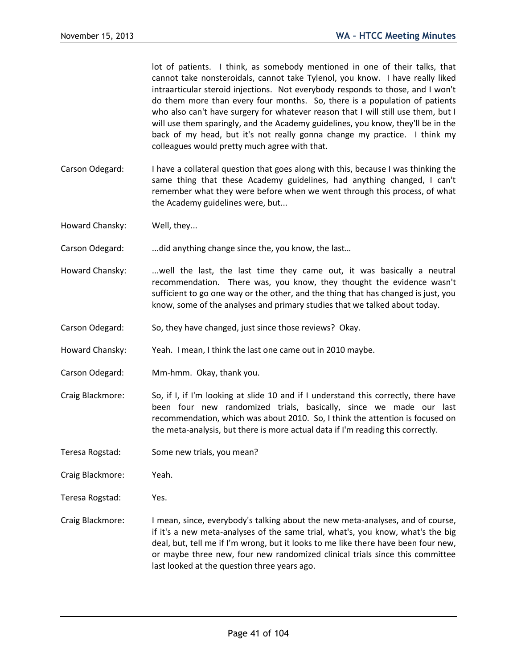lot of patients. I think, as somebody mentioned in one of their talks, that cannot take nonsteroidals, cannot take Tylenol, you know. I have really liked intraarticular steroid injections. Not everybody responds to those, and I won't do them more than every four months. So, there is a population of patients who also can't have surgery for whatever reason that I will still use them, but I will use them sparingly, and the Academy guidelines, you know, they'll be in the back of my head, but it's not really gonna change my practice. I think my colleagues would pretty much agree with that.

- Carson Odegard: I have a collateral question that goes along with this, because I was thinking the same thing that these Academy guidelines, had anything changed, I can't remember what they were before when we went through this process, of what the Academy guidelines were, but...
- Howard Chansky: Well, they...
- Carson Odegard: ...did anything change since the, you know, the last...
- Howard Chansky: ...well the last, the last time they came out, it was basically a neutral recommendation. There was, you know, they thought the evidence wasn't sufficient to go one way or the other, and the thing that has changed is just, you know, some of the analyses and primary studies that we talked about today.
- Carson Odegard: So, they have changed, just since those reviews? Okay.
- Howard Chansky: Yeah. I mean, I think the last one came out in 2010 maybe.
- Carson Odegard: Mm-hmm. Okay, thank you.
- Craig Blackmore: So, if I, if I'm looking at slide 10 and if I understand this correctly, there have been four new randomized trials, basically, since we made our last recommendation, which was about 2010. So, I think the attention is focused on the meta-analysis, but there is more actual data if I'm reading this correctly.
- Teresa Rogstad: Some new trials, you mean?
- Craig Blackmore: Yeah.
- Teresa Rogstad: Yes.
- Craig Blackmore: I mean, since, everybody's talking about the new meta-analyses, and of course, if it's a new meta-analyses of the same trial, what's, you know, what's the big deal, but, tell me if I'm wrong, but it looks to me like there have been four new, or maybe three new, four new randomized clinical trials since this committee last looked at the question three years ago.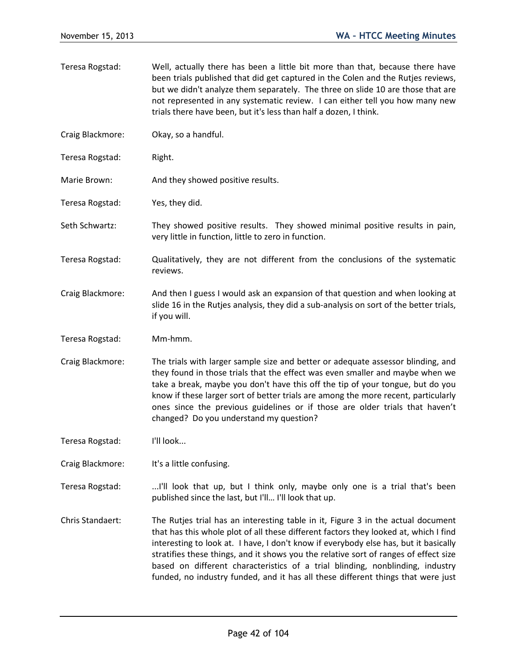Teresa Rogstad: Well, actually there has been a little bit more than that, because there have been trials published that did get captured in the Colen and the Rutjes reviews, but we didn't analyze them separately. The three on slide 10 are those that are not represented in any systematic review. I can either tell you how many new trials there have been, but it's less than half a dozen, I think. Craig Blackmore: Okay, so a handful. Teresa Rogstad: Right. Marie Brown: And they showed positive results. Teresa Rogstad: Yes, they did. Seth Schwartz: They showed positive results. They showed minimal positive results in pain, very little in function, little to zero in function. Teresa Rogstad: Qualitatively, they are not different from the conclusions of the systematic reviews. Craig Blackmore: And then I guess I would ask an expansion of that question and when looking at slide 16 in the Rutjes analysis, they did a sub-analysis on sort of the better trials, if you will. Teresa Rogstad: Mm-hmm. Craig Blackmore: The trials with larger sample size and better or adequate assessor blinding, and they found in those trials that the effect was even smaller and maybe when we take a break, maybe you don't have this off the tip of your tongue, but do you know if these larger sort of better trials are among the more recent, particularly ones since the previous guidelines or if those are older trials that haven't changed? Do you understand my question? Teresa Rogstad: I'll look... Craig Blackmore: It's a little confusing. Teresa Rogstad: ..........I'll look that up, but I think only, maybe only one is a trial that's been published since the last, but I'll... I'll look that up. Chris Standaert: The Rutjes trial has an interesting table in it, Figure 3 in the actual document that has this whole plot of all these different factors they looked at, which I find interesting to look at. I have, I don't know if everybody else has, but it basically stratifies these things, and it shows you the relative sort of ranges of effect size based on different characteristics of a trial blinding, nonblinding, industry funded, no industry funded, and it has all these different things that were just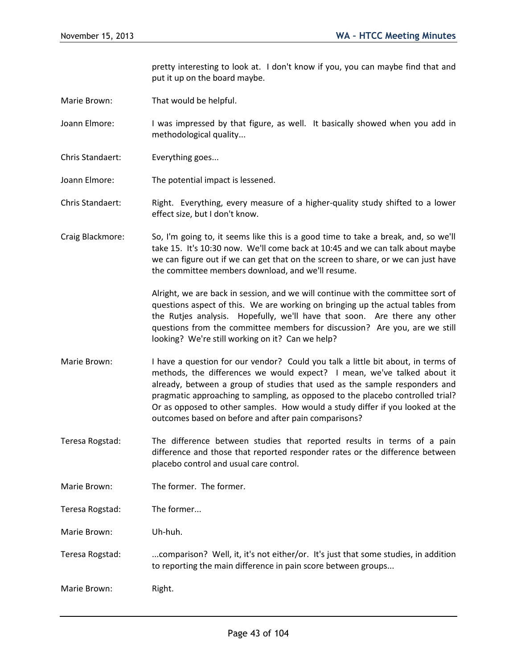pretty interesting to look at. I don't know if you, you can maybe find that and put it up on the board maybe.

- Marie Brown: That would be helpful.
- Joann Elmore: I was impressed by that figure, as well. It basically showed when you add in methodological quality...
- Chris Standaert: Everything goes...
- Joann Elmore: The potential impact is lessened.
- Chris Standaert: Right. Everything, every measure of a higher-quality study shifted to a lower effect size, but I don't know.
- Craig Blackmore: So, I'm going to, it seems like this is a good time to take a break, and, so we'll take 15. It's 10:30 now. We'll come back at 10:45 and we can talk about maybe we can figure out if we can get that on the screen to share, or we can just have the committee members download, and we'll resume.

Alright, we are back in session, and we will continue with the committee sort of questions aspect of this. We are working on bringing up the actual tables from the Rutjes analysis. Hopefully, we'll have that soon. Are there any other questions from the committee members for discussion? Are you, are we still looking? We're still working on it? Can we help?

- Marie Brown: I have a question for our vendor? Could you talk a little bit about, in terms of methods, the differences we would expect? I mean, we've talked about it already, between a group of studies that used as the sample responders and pragmatic approaching to sampling, as opposed to the placebo controlled trial? Or as opposed to other samples. How would a study differ if you looked at the outcomes based on before and after pain comparisons?
- Teresa Rogstad: The difference between studies that reported results in terms of a pain difference and those that reported responder rates or the difference between placebo control and usual care control.
- Marie Brown: The former. The former.
- Teresa Rogstad: The former...

Marie Brown: Uh-huh.

- Teresa Rogstad: ...comparison? Well, it, it's not either/or. It's just that some studies, in addition to reporting the main difference in pain score between groups...
- Marie Brown: Right.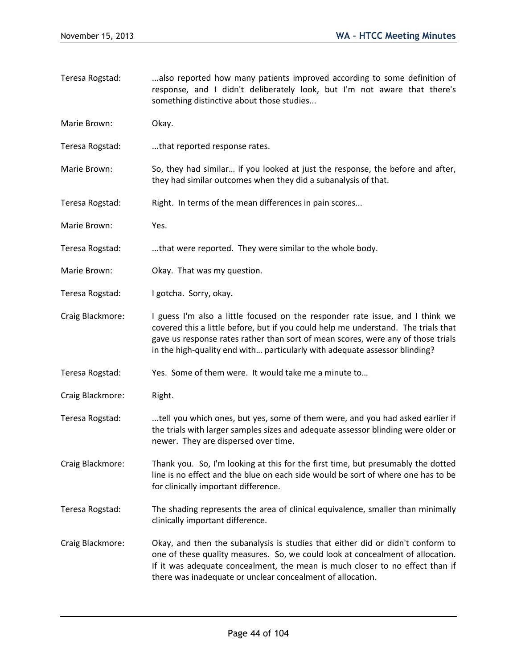- Teresa Rogstad: ...also reported how many patients improved according to some definition of response, and I didn't deliberately look, but I'm not aware that there's something distinctive about those studies...
- Marie Brown: Okay.
- Teresa Rogstad: ...that reported response rates.
- Marie Brown: So, they had similar... if you looked at just the response, the before and after, they had similar outcomes when they did a subanalysis of that.
- Teresa Rogstad: Right. In terms of the mean differences in pain scores...
- Marie Brown: Yes.
- Teresa Rogstad: ...that were reported. They were similar to the whole body.
- Marie Brown: Okay. That was my question.
- Teresa Rogstad: I gotcha. Sorry, okay.
- Craig Blackmore: I guess I'm also a little focused on the responder rate issue, and I think we covered this a little before, but if you could help me understand. The trials that gave us response rates rather than sort of mean scores, were any of those trials in the high-quality end with… particularly with adequate assessor blinding?
- Teresa Rogstad: Yes. Some of them were. It would take me a minute to…
- Craig Blackmore: Right.
- Teresa Rogstad: ...tell you which ones, but yes, some of them were, and you had asked earlier if the trials with larger samples sizes and adequate assessor blinding were older or newer. They are dispersed over time.
- Craig Blackmore: Thank you. So, I'm looking at this for the first time, but presumably the dotted line is no effect and the blue on each side would be sort of where one has to be for clinically important difference.
- Teresa Rogstad: The shading represents the area of clinical equivalence, smaller than minimally clinically important difference.
- Craig Blackmore: Okay, and then the subanalysis is studies that either did or didn't conform to one of these quality measures. So, we could look at concealment of allocation. If it was adequate concealment, the mean is much closer to no effect than if there was inadequate or unclear concealment of allocation.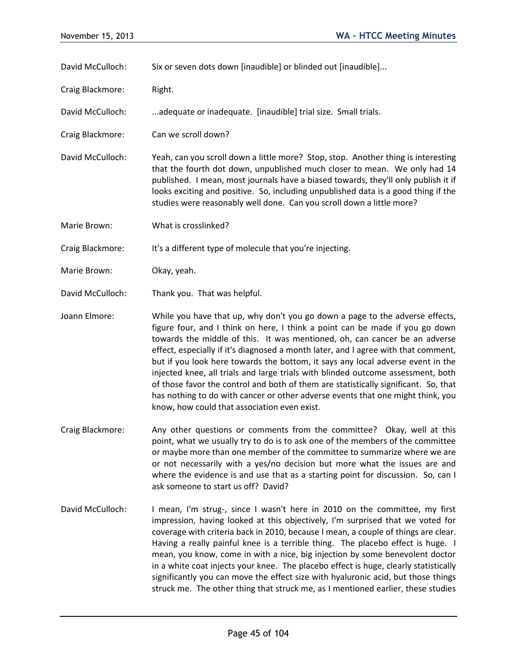David McCulloch: Six or seven dots down [inaudible] or blinded out [inaudible]...

Craig Blackmore: Right.

David McCulloch: ...adequate or inadequate. [inaudible] trial size. Small trials.

Craig Blackmore: Can we scroll down?

David McCulloch: Yeah, can you scroll down a little more? Stop, stop. Another thing is interesting that the fourth dot down, unpublished much closer to mean. We only had 14 published. I mean, most journals have a biased towards, they'll only publish it if looks exciting and positive. So, including unpublished data is a good thing if the studies were reasonably well done. Can you scroll down a little more?

Marie Brown: What is crosslinked?

Craig Blackmore: It's a different type of molecule that you're injecting.

- Marie Brown: Okay, yeah.
- David McCulloch: Thank you. That was helpful.

Joann Elmore: While you have that up, why don't you go down a page to the adverse effects, figure four, and I think on here, I think a point can be made if you go down towards the middle of this. It was mentioned, oh, can cancer be an adverse effect, especially if it's diagnosed a month later, and I agree with that comment, but if you look here towards the bottom, it says any local adverse event in the injected knee, all trials and large trials with blinded outcome assessment, both of those favor the control and both of them are statistically significant. So, that has nothing to do with cancer or other adverse events that one might think, you know, how could that association even exist.

- Craig Blackmore: Any other questions or comments from the committee? Okay, well at this point, what we usually try to do is to ask one of the members of the committee or maybe more than one member of the committee to summarize where we are or not necessarily with a yes/no decision but more what the issues are and where the evidence is and use that as a starting point for discussion. So, can I ask someone to start us off? David?
- David McCulloch: I mean, I'm strug-, since I wasn't here in 2010 on the committee, my first impression, having looked at this objectively, I'm surprised that we voted for coverage with criteria back in 2010, because I mean, a couple of things are clear. Having a really painful knee is a terrible thing. The placebo effect is huge. I mean, you know, come in with a nice, big injection by some benevolent doctor in a white coat injects your knee. The placebo effect is huge, clearly statistically significantly you can move the effect size with hyaluronic acid, but those things struck me. The other thing that struck me, as I mentioned earlier, these studies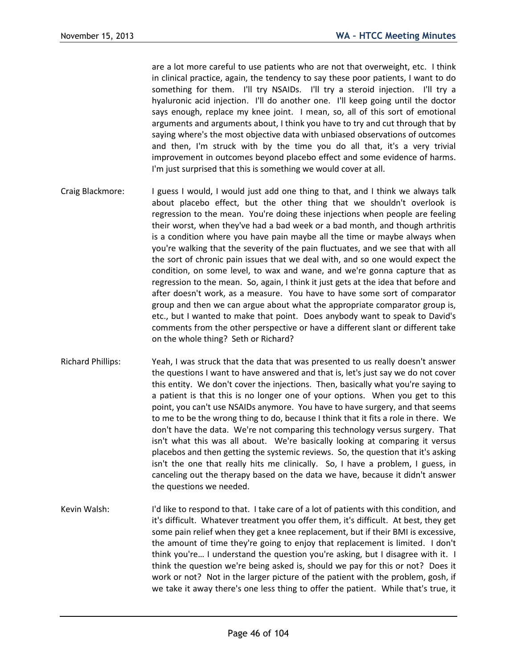are a lot more careful to use patients who are not that overweight, etc. I think in clinical practice, again, the tendency to say these poor patients, I want to do something for them. I'll try NSAIDs. I'll try a steroid injection. I'll try a hyaluronic acid injection. I'll do another one. I'll keep going until the doctor says enough, replace my knee joint. I mean, so, all of this sort of emotional arguments and arguments about, I think you have to try and cut through that by saying where's the most objective data with unbiased observations of outcomes and then, I'm struck with by the time you do all that, it's a very trivial improvement in outcomes beyond placebo effect and some evidence of harms. I'm just surprised that this is something we would cover at all.

- Craig Blackmore: I guess I would, I would just add one thing to that, and I think we always talk about placebo effect, but the other thing that we shouldn't overlook is regression to the mean. You're doing these injections when people are feeling their worst, when they've had a bad week or a bad month, and though arthritis is a condition where you have pain maybe all the time or maybe always when you're walking that the severity of the pain fluctuates, and we see that with all the sort of chronic pain issues that we deal with, and so one would expect the condition, on some level, to wax and wane, and we're gonna capture that as regression to the mean. So, again, I think it just gets at the idea that before and after doesn't work, as a measure. You have to have some sort of comparator group and then we can argue about what the appropriate comparator group is, etc., but I wanted to make that point. Does anybody want to speak to David's comments from the other perspective or have a different slant or different take on the whole thing? Seth or Richard?
- Richard Phillips: Yeah, I was struck that the data that was presented to us really doesn't answer the questions I want to have answered and that is, let's just say we do not cover this entity. We don't cover the injections. Then, basically what you're saying to a patient is that this is no longer one of your options. When you get to this point, you can't use NSAIDs anymore. You have to have surgery, and that seems to me to be the wrong thing to do, because I think that it fits a role in there. We don't have the data. We're not comparing this technology versus surgery. That isn't what this was all about. We're basically looking at comparing it versus placebos and then getting the systemic reviews. So, the question that it's asking isn't the one that really hits me clinically. So, I have a problem, I guess, in canceling out the therapy based on the data we have, because it didn't answer the questions we needed.
- Kevin Walsh: I'd like to respond to that. I take care of a lot of patients with this condition, and it's difficult. Whatever treatment you offer them, it's difficult. At best, they get some pain relief when they get a knee replacement, but if their BMI is excessive, the amount of time they're going to enjoy that replacement is limited. I don't think you're… I understand the question you're asking, but I disagree with it. I think the question we're being asked is, should we pay for this or not? Does it work or not? Not in the larger picture of the patient with the problem, gosh, if we take it away there's one less thing to offer the patient. While that's true, it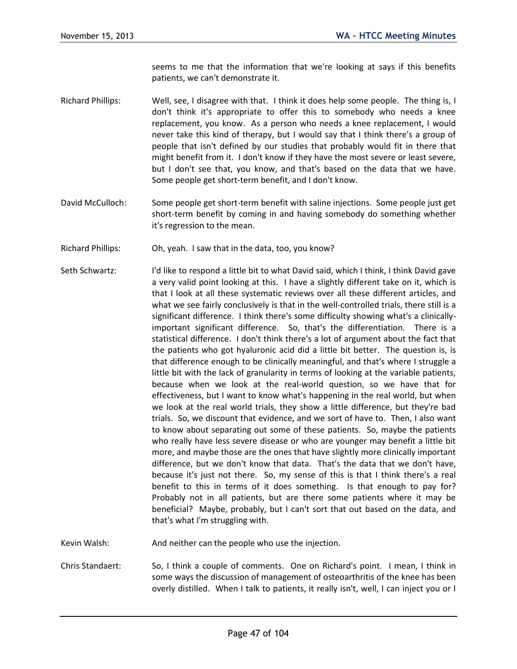seems to me that the information that we're looking at says if this benefits patients, we can't demonstrate it.

- Richard Phillips: Well, see, I disagree with that. I think it does help some people. The thing is, I don't think it's appropriate to offer this to somebody who needs a knee replacement, you know. As a person who needs a knee replacement, I would never take this kind of therapy, but I would say that I think there's a group of people that isn't defined by our studies that probably would fit in there that might benefit from it. I don't know if they have the most severe or least severe, but I don't see that, you know, and that's based on the data that we have. Some people get short-term benefit, and I don't know.
- David McCulloch: Some people get short-term benefit with saline injections. Some people just get short-term benefit by coming in and having somebody do something whether it's regression to the mean.
- Richard Phillips: Oh, yeah. I saw that in the data, too, you know?
- Seth Schwartz: I'd like to respond a little bit to what David said, which I think, I think David gave a very valid point looking at this. I have a slightly different take on it, which is that I look at all these systematic reviews over all these different articles, and what we see fairly conclusively is that in the well-controlled trials, there still is a significant difference. I think there's some difficulty showing what's a clinicallyimportant significant difference. So, that's the differentiation. There is a statistical difference. I don't think there's a lot of argument about the fact that the patients who got hyaluronic acid did a little bit better. The question is, is that difference enough to be clinically meaningful, and that's where I struggle a little bit with the lack of granularity in terms of looking at the variable patients, because when we look at the real-world question, so we have that for effectiveness, but I want to know what's happening in the real world, but when we look at the real world trials, they show a little difference, but they're bad trials. So, we discount that evidence, and we sort of have to. Then, I also want to know about separating out some of these patients. So, maybe the patients who really have less severe disease or who are younger may benefit a little bit more, and maybe those are the ones that have slightly more clinically important difference, but we don't know that data. That's the data that we don't have, because it's just not there. So, my sense of this is that I think there's a real benefit to this in terms of it does something. Is that enough to pay for? Probably not in all patients, but are there some patients where it may be beneficial? Maybe, probably, but I can't sort that out based on the data, and that's what I'm struggling with.

Kevin Walsh: And neither can the people who use the injection.

Chris Standaert: So, I think a couple of comments. One on Richard's point. I mean, I think in some ways the discussion of management of osteoarthritis of the knee has been overly distilled. When I talk to patients, it really isn't, well, I can inject you or I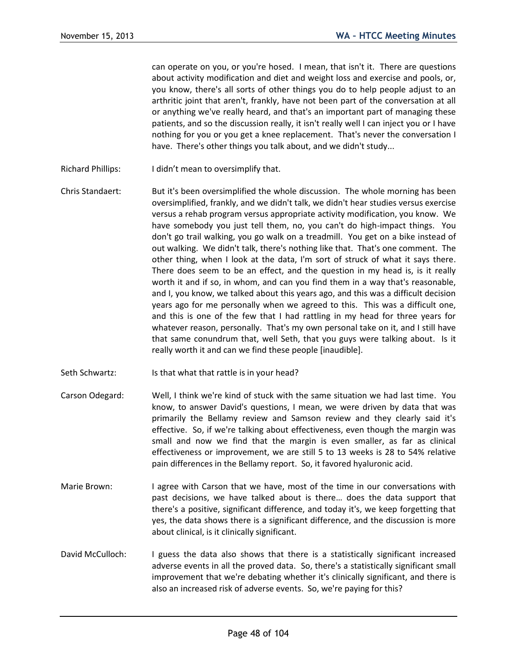can operate on you, or you're hosed. I mean, that isn't it. There are questions about activity modification and diet and weight loss and exercise and pools, or, you know, there's all sorts of other things you do to help people adjust to an arthritic joint that aren't, frankly, have not been part of the conversation at all or anything we've really heard, and that's an important part of managing these patients, and so the discussion really, it isn't really well I can inject you or I have nothing for you or you get a knee replacement. That's never the conversation I have. There's other things you talk about, and we didn't study...

- Richard Phillips: I didn't mean to oversimplify that.
- Chris Standaert: But it's been oversimplified the whole discussion. The whole morning has been oversimplified, frankly, and we didn't talk, we didn't hear studies versus exercise versus a rehab program versus appropriate activity modification, you know. We have somebody you just tell them, no, you can't do high-impact things. You don't go trail walking, you go walk on a treadmill. You get on a bike instead of out walking. We didn't talk, there's nothing like that. That's one comment. The other thing, when I look at the data, I'm sort of struck of what it says there. There does seem to be an effect, and the question in my head is, is it really worth it and if so, in whom, and can you find them in a way that's reasonable, and I, you know, we talked about this years ago, and this was a difficult decision years ago for me personally when we agreed to this. This was a difficult one, and this is one of the few that I had rattling in my head for three years for whatever reason, personally. That's my own personal take on it, and I still have that same conundrum that, well Seth, that you guys were talking about. Is it really worth it and can we find these people [inaudible].
- Seth Schwartz: Is that what that rattle is in your head?
- Carson Odegard: Well, I think we're kind of stuck with the same situation we had last time. You know, to answer David's questions, I mean, we were driven by data that was primarily the Bellamy review and Samson review and they clearly said it's effective. So, if we're talking about effectiveness, even though the margin was small and now we find that the margin is even smaller, as far as clinical effectiveness or improvement, we are still 5 to 13 weeks is 28 to 54% relative pain differences in the Bellamy report. So, it favored hyaluronic acid.
- Marie Brown: I agree with Carson that we have, most of the time in our conversations with past decisions, we have talked about is there… does the data support that there's a positive, significant difference, and today it's, we keep forgetting that yes, the data shows there is a significant difference, and the discussion is more about clinical, is it clinically significant.
- David McCulloch: I guess the data also shows that there is a statistically significant increased adverse events in all the proved data. So, there's a statistically significant small improvement that we're debating whether it's clinically significant, and there is also an increased risk of adverse events. So, we're paying for this?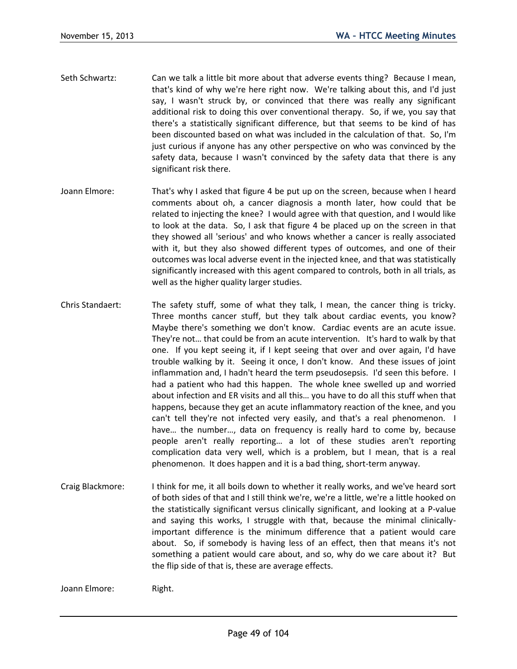- Seth Schwartz: Can we talk a little bit more about that adverse events thing? Because I mean, that's kind of why we're here right now. We're talking about this, and I'd just say, I wasn't struck by, or convinced that there was really any significant additional risk to doing this over conventional therapy. So, if we, you say that there's a statistically significant difference, but that seems to be kind of has been discounted based on what was included in the calculation of that. So, I'm just curious if anyone has any other perspective on who was convinced by the safety data, because I wasn't convinced by the safety data that there is any significant risk there.
- Joann Elmore: That's why I asked that figure 4 be put up on the screen, because when I heard comments about oh, a cancer diagnosis a month later, how could that be related to injecting the knee? I would agree with that question, and I would like to look at the data. So, I ask that figure 4 be placed up on the screen in that they showed all 'serious' and who knows whether a cancer is really associated with it, but they also showed different types of outcomes, and one of their outcomes was local adverse event in the injected knee, and that was statistically significantly increased with this agent compared to controls, both in all trials, as well as the higher quality larger studies.
- Chris Standaert: The safety stuff, some of what they talk, I mean, the cancer thing is tricky. Three months cancer stuff, but they talk about cardiac events, you know? Maybe there's something we don't know. Cardiac events are an acute issue. They're not… that could be from an acute intervention. It's hard to walk by that one. If you kept seeing it, if I kept seeing that over and over again, I'd have trouble walking by it. Seeing it once, I don't know. And these issues of joint inflammation and, I hadn't heard the term pseudosepsis. I'd seen this before. I had a patient who had this happen. The whole knee swelled up and worried about infection and ER visits and all this… you have to do all this stuff when that happens, because they get an acute inflammatory reaction of the knee, and you can't tell they're not infected very easily, and that's a real phenomenon. I have… the number…, data on frequency is really hard to come by, because people aren't really reporting… a lot of these studies aren't reporting complication data very well, which is a problem, but I mean, that is a real phenomenon. It does happen and it is a bad thing, short-term anyway.
- Craig Blackmore: I think for me, it all boils down to whether it really works, and we've heard sort of both sides of that and I still think we're, we're a little, we're a little hooked on the statistically significant versus clinically significant, and looking at a P-value and saying this works, I struggle with that, because the minimal clinicallyimportant difference is the minimum difference that a patient would care about. So, if somebody is having less of an effect, then that means it's not something a patient would care about, and so, why do we care about it? But the flip side of that is, these are average effects.

Joann Elmore: Right.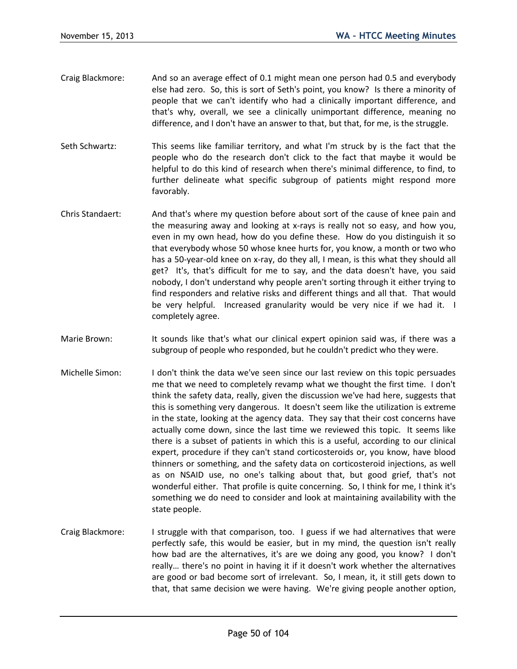- Craig Blackmore: And so an average effect of 0.1 might mean one person had 0.5 and everybody else had zero. So, this is sort of Seth's point, you know? Is there a minority of people that we can't identify who had a clinically important difference, and that's why, overall, we see a clinically unimportant difference, meaning no difference, and I don't have an answer to that, but that, for me, is the struggle.
- Seth Schwartz: This seems like familiar territory, and what I'm struck by is the fact that the people who do the research don't click to the fact that maybe it would be helpful to do this kind of research when there's minimal difference, to find, to further delineate what specific subgroup of patients might respond more favorably.
- Chris Standaert: And that's where my question before about sort of the cause of knee pain and the measuring away and looking at x-rays is really not so easy, and how you, even in my own head, how do you define these. How do you distinguish it so that everybody whose 50 whose knee hurts for, you know, a month or two who has a 50-year-old knee on x-ray, do they all, I mean, is this what they should all get? It's, that's difficult for me to say, and the data doesn't have, you said nobody, I don't understand why people aren't sorting through it either trying to find responders and relative risks and different things and all that. That would be very helpful. Increased granularity would be very nice if we had it. I completely agree.
- Marie Brown: It sounds like that's what our clinical expert opinion said was, if there was a subgroup of people who responded, but he couldn't predict who they were.
- Michelle Simon: I don't think the data we've seen since our last review on this topic persuades me that we need to completely revamp what we thought the first time. I don't think the safety data, really, given the discussion we've had here, suggests that this is something very dangerous. It doesn't seem like the utilization is extreme in the state, looking at the agency data. They say that their cost concerns have actually come down, since the last time we reviewed this topic. It seems like there is a subset of patients in which this is a useful, according to our clinical expert, procedure if they can't stand corticosteroids or, you know, have blood thinners or something, and the safety data on corticosteroid injections, as well as on NSAID use, no one's talking about that, but good grief, that's not wonderful either. That profile is quite concerning. So, I think for me, I think it's something we do need to consider and look at maintaining availability with the state people.
- Craig Blackmore: I struggle with that comparison, too. I guess if we had alternatives that were perfectly safe, this would be easier, but in my mind, the question isn't really how bad are the alternatives, it's are we doing any good, you know? I don't really… there's no point in having it if it doesn't work whether the alternatives are good or bad become sort of irrelevant. So, I mean, it, it still gets down to that, that same decision we were having. We're giving people another option,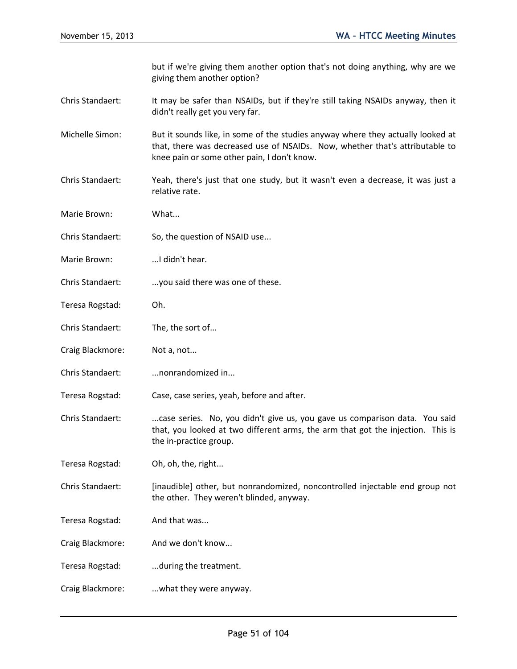but if we're giving them another option that's not doing anything, why are we giving them another option?

- Chris Standaert: It may be safer than NSAIDs, but if they're still taking NSAIDs anyway, then it didn't really get you very far.
- Michelle Simon: But it sounds like, in some of the studies anyway where they actually looked at that, there was decreased use of NSAIDs. Now, whether that's attributable to knee pain or some other pain, I don't know.
- Chris Standaert: Yeah, there's just that one study, but it wasn't even a decrease, it was just a relative rate.
- Marie Brown: What...
- Chris Standaert: So, the question of NSAID use...
- Marie Brown: ...I didn't hear.
- Chris Standaert: ...you said there was one of these.
- Teresa Rogstad: Oh.
- Chris Standaert: The, the sort of...
- Craig Blackmore: Not a, not...
- Chris Standaert: ...nonrandomized in...
- Teresa Rogstad: Case, case series, yeah, before and after.
- Chris Standaert: ....case series. No, you didn't give us, you gave us comparison data. You said that, you looked at two different arms, the arm that got the injection. This is the in-practice group.
- Teresa Rogstad: Oh, oh, the, right...
- Chris Standaert: [inaudible] other, but nonrandomized, noncontrolled injectable end group not the other. They weren't blinded, anyway.
- Teresa Rogstad: And that was...
- Craig Blackmore: And we don't know...
- Teresa Rogstad: ...during the treatment.
- Craig Blackmore: ...what they were anyway.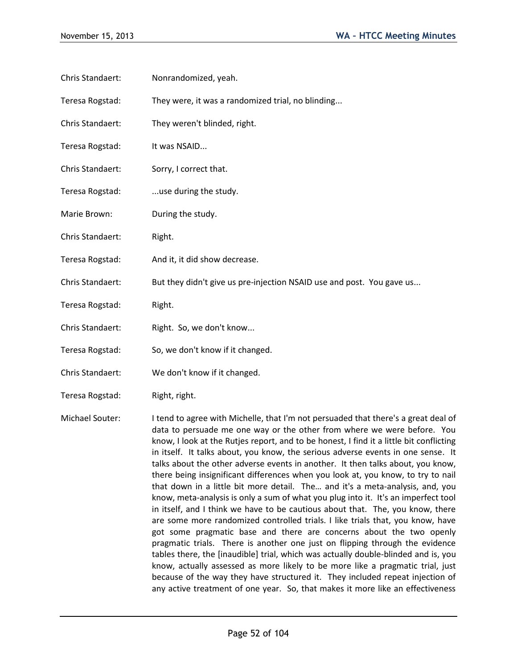- Chris Standaert: Nonrandomized, yeah.
- Teresa Rogstad: They were, it was a randomized trial, no blinding...
- Chris Standaert: They weren't blinded, right.
- Teresa Rogstad: It was NSAID...
- Chris Standaert: Sorry, I correct that.
- Teresa Rogstad: ...use during the study.
- Marie Brown: During the study.
- Chris Standaert: Right.
- Teresa Rogstad: And it, it did show decrease.
- Chris Standaert: But they didn't give us pre-injection NSAID use and post. You gave us...
- Teresa Rogstad: Right.
- Chris Standaert: Right. So, we don't know...
- Teresa Rogstad: So, we don't know if it changed.
- Chris Standaert: We don't know if it changed.
- Teresa Rogstad: Right, right.
- Michael Souter: I tend to agree with Michelle, that I'm not persuaded that there's a great deal of data to persuade me one way or the other from where we were before. You know, I look at the Rutjes report, and to be honest, I find it a little bit conflicting in itself. It talks about, you know, the serious adverse events in one sense. It talks about the other adverse events in another. It then talks about, you know, there being insignificant differences when you look at, you know, to try to nail that down in a little bit more detail. The… and it's a meta-analysis, and, you know, meta-analysis is only a sum of what you plug into it. It's an imperfect tool in itself, and I think we have to be cautious about that. The, you know, there are some more randomized controlled trials. I like trials that, you know, have got some pragmatic base and there are concerns about the two openly pragmatic trials. There is another one just on flipping through the evidence tables there, the [inaudible] trial, which was actually double-blinded and is, you know, actually assessed as more likely to be more like a pragmatic trial, just because of the way they have structured it. They included repeat injection of any active treatment of one year. So, that makes it more like an effectiveness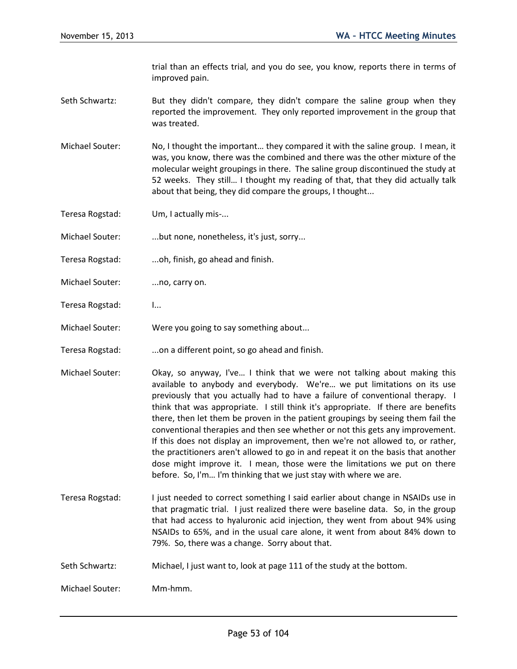trial than an effects trial, and you do see, you know, reports there in terms of improved pain.

- Seth Schwartz: But they didn't compare, they didn't compare the saline group when they reported the improvement. They only reported improvement in the group that was treated.
- Michael Souter: No, I thought the important… they compared it with the saline group. I mean, it was, you know, there was the combined and there was the other mixture of the molecular weight groupings in there. The saline group discontinued the study at 52 weeks. They still… I thought my reading of that, that they did actually talk about that being, they did compare the groups, I thought...

Teresa Rogstad: Um, I actually mis-...

Michael Souter: ...but none, nonetheless, it's just, sorry...

- Teresa Rogstad: ...oh, finish, go ahead and finish.
- Michael Souter: ....no, carry on.
- Teresa Rogstad: I...
- Michael Souter: Were you going to say something about...
- Teresa Rogstad: ...on a different point, so go ahead and finish.
- Michael Souter: Okay, so anyway, I've… I think that we were not talking about making this available to anybody and everybody. We're… we put limitations on its use previously that you actually had to have a failure of conventional therapy. I think that was appropriate. I still think it's appropriate. If there are benefits there, then let them be proven in the patient groupings by seeing them fail the conventional therapies and then see whether or not this gets any improvement. If this does not display an improvement, then we're not allowed to, or rather, the practitioners aren't allowed to go in and repeat it on the basis that another dose might improve it. I mean, those were the limitations we put on there before. So, I'm… I'm thinking that we just stay with where we are.
- Teresa Rogstad: I just needed to correct something I said earlier about change in NSAIDs use in that pragmatic trial. I just realized there were baseline data. So, in the group that had access to hyaluronic acid injection, they went from about 94% using NSAIDs to 65%, and in the usual care alone, it went from about 84% down to 79%. So, there was a change. Sorry about that.
- Seth Schwartz: Michael, I just want to, look at page 111 of the study at the bottom.
- Michael Souter: Mm-hmm.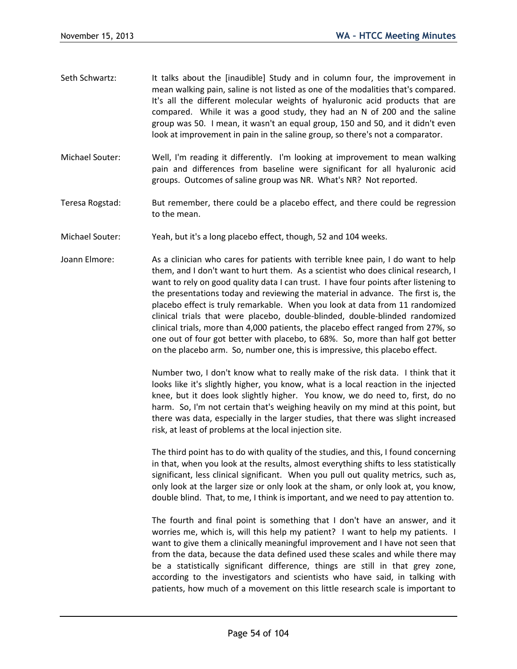- Seth Schwartz: It talks about the [inaudible] Study and in column four, the improvement in mean walking pain, saline is not listed as one of the modalities that's compared. It's all the different molecular weights of hyaluronic acid products that are compared. While it was a good study, they had an N of 200 and the saline group was 50. I mean, it wasn't an equal group, 150 and 50, and it didn't even look at improvement in pain in the saline group, so there's not a comparator.
- Michael Souter: Well, I'm reading it differently. I'm looking at improvement to mean walking pain and differences from baseline were significant for all hyaluronic acid groups. Outcomes of saline group was NR. What's NR? Not reported.
- Teresa Rogstad: But remember, there could be a placebo effect, and there could be regression to the mean.
- Michael Souter: Yeah, but it's a long placebo effect, though, 52 and 104 weeks.
- Joann Elmore: As a clinician who cares for patients with terrible knee pain, I do want to help them, and I don't want to hurt them. As a scientist who does clinical research, I want to rely on good quality data I can trust. I have four points after listening to the presentations today and reviewing the material in advance. The first is, the placebo effect is truly remarkable. When you look at data from 11 randomized clinical trials that were placebo, double-blinded, double-blinded randomized clinical trials, more than 4,000 patients, the placebo effect ranged from 27%, so one out of four got better with placebo, to 68%. So, more than half got better on the placebo arm. So, number one, this is impressive, this placebo effect.

Number two, I don't know what to really make of the risk data. I think that it looks like it's slightly higher, you know, what is a local reaction in the injected knee, but it does look slightly higher. You know, we do need to, first, do no harm. So, I'm not certain that's weighing heavily on my mind at this point, but there was data, especially in the larger studies, that there was slight increased risk, at least of problems at the local injection site.

The third point has to do with quality of the studies, and this, I found concerning in that, when you look at the results, almost everything shifts to less statistically significant, less clinical significant. When you pull out quality metrics, such as, only look at the larger size or only look at the sham, or only look at, you know, double blind. That, to me, I think is important, and we need to pay attention to.

The fourth and final point is something that I don't have an answer, and it worries me, which is, will this help my patient? I want to help my patients. I want to give them a clinically meaningful improvement and I have not seen that from the data, because the data defined used these scales and while there may be a statistically significant difference, things are still in that grey zone, according to the investigators and scientists who have said, in talking with patients, how much of a movement on this little research scale is important to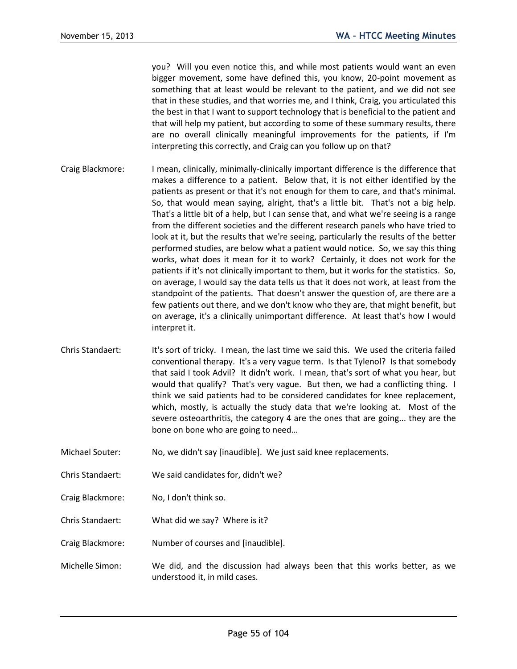you? Will you even notice this, and while most patients would want an even bigger movement, some have defined this, you know, 20-point movement as something that at least would be relevant to the patient, and we did not see that in these studies, and that worries me, and I think, Craig, you articulated this the best in that I want to support technology that is beneficial to the patient and that will help my patient, but according to some of these summary results, there are no overall clinically meaningful improvements for the patients, if I'm interpreting this correctly, and Craig can you follow up on that?

- Craig Blackmore: I mean, clinically, minimally-clinically important difference is the difference that makes a difference to a patient. Below that, it is not either identified by the patients as present or that it's not enough for them to care, and that's minimal. So, that would mean saying, alright, that's a little bit. That's not a big help. That's a little bit of a help, but I can sense that, and what we're seeing is a range from the different societies and the different research panels who have tried to look at it, but the results that we're seeing, particularly the results of the better performed studies, are below what a patient would notice. So, we say this thing works, what does it mean for it to work? Certainly, it does not work for the patients if it's not clinically important to them, but it works for the statistics. So, on average, I would say the data tells us that it does not work, at least from the standpoint of the patients. That doesn't answer the question of, are there are a few patients out there, and we don't know who they are, that might benefit, but on average, it's a clinically unimportant difference. At least that's how I would interpret it.
- Chris Standaert: It's sort of tricky. I mean, the last time we said this. We used the criteria failed conventional therapy. It's a very vague term. Is that Tylenol? Is that somebody that said I took Advil? It didn't work. I mean, that's sort of what you hear, but would that qualify? That's very vague. But then, we had a conflicting thing. I think we said patients had to be considered candidates for knee replacement, which, mostly, is actually the study data that we're looking at. Most of the severe osteoarthritis, the category 4 are the ones that are going... they are the bone on bone who are going to need…
- Michael Souter: No, we didn't say [inaudible]. We just said knee replacements.
- Chris Standaert: We said candidates for, didn't we?
- Craig Blackmore: No, I don't think so.
- Chris Standaert: What did we say? Where is it?
- Craig Blackmore: Number of courses and [inaudible].
- Michelle Simon: We did, and the discussion had always been that this works better, as we understood it, in mild cases.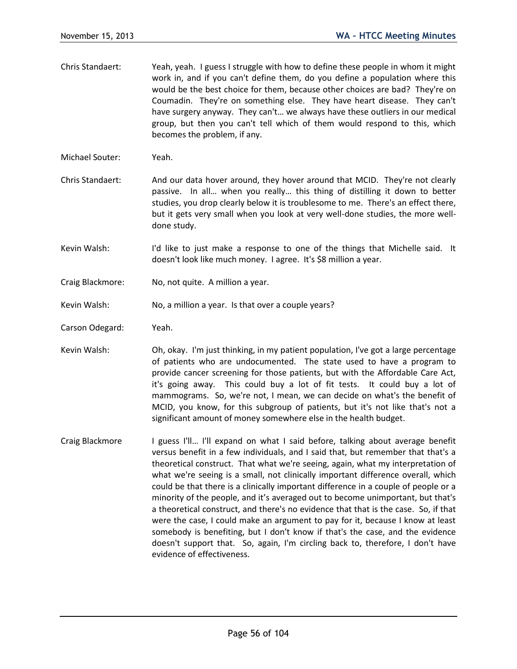- Chris Standaert: Yeah, yeah. I guess I struggle with how to define these people in whom it might work in, and if you can't define them, do you define a population where this would be the best choice for them, because other choices are bad? They're on Coumadin. They're on something else. They have heart disease. They can't have surgery anyway. They can't… we always have these outliers in our medical group, but then you can't tell which of them would respond to this, which becomes the problem, if any.
- Michael Souter: Yeah.
- Chris Standaert: And our data hover around, they hover around that MCID. They're not clearly passive. In all… when you really… this thing of distilling it down to better studies, you drop clearly below it is troublesome to me. There's an effect there, but it gets very small when you look at very well-done studies, the more welldone study.
- Kevin Walsh: I'd like to just make a response to one of the things that Michelle said. It doesn't look like much money. I agree. It's \$8 million a year.
- Craig Blackmore: No, not quite. A million a year.
- Kevin Walsh: No, a million a year. Is that over a couple years?
- Carson Odegard: Yeah.
- Kevin Walsh: Oh, okay. I'm just thinking, in my patient population, I've got a large percentage of patients who are undocumented. The state used to have a program to provide cancer screening for those patients, but with the Affordable Care Act, it's going away. This could buy a lot of fit tests. It could buy a lot of mammograms. So, we're not, I mean, we can decide on what's the benefit of MCID, you know, for this subgroup of patients, but it's not like that's not a significant amount of money somewhere else in the health budget.
- Craig Blackmore I guess I'll... I'll expand on what I said before, talking about average benefit versus benefit in a few individuals, and I said that, but remember that that's a theoretical construct. That what we're seeing, again, what my interpretation of what we're seeing is a small, not clinically important difference overall, which could be that there is a clinically important difference in a couple of people or a minority of the people, and it's averaged out to become unimportant, but that's a theoretical construct, and there's no evidence that that is the case. So, if that were the case, I could make an argument to pay for it, because I know at least somebody is benefiting, but I don't know if that's the case, and the evidence doesn't support that. So, again, I'm circling back to, therefore, I don't have evidence of effectiveness.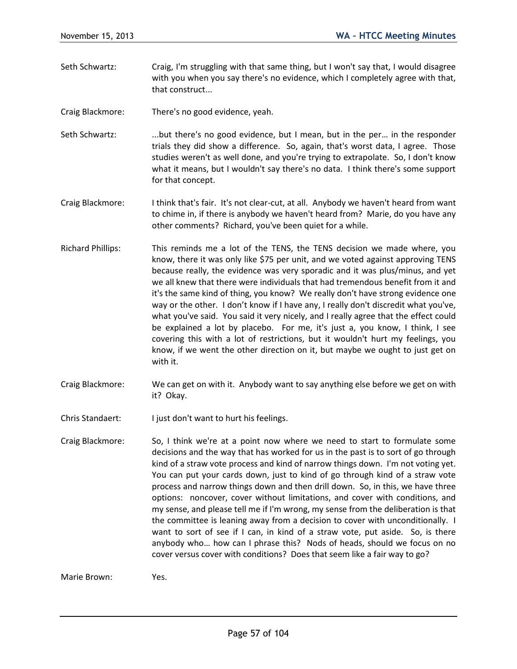Seth Schwartz: Craig, I'm struggling with that same thing, but I won't say that, I would disagree with you when you say there's no evidence, which I completely agree with that, that construct...

Craig Blackmore: There's no good evidence, yeah.

- Seth Schwartz: ...but there's no good evidence, but I mean, but in the per... in the responder trials they did show a difference. So, again, that's worst data, I agree. Those studies weren't as well done, and you're trying to extrapolate. So, I don't know what it means, but I wouldn't say there's no data. I think there's some support for that concept.
- Craig Blackmore: I think that's fair. It's not clear-cut, at all. Anybody we haven't heard from want to chime in, if there is anybody we haven't heard from? Marie, do you have any other comments? Richard, you've been quiet for a while.
- Richard Phillips: This reminds me a lot of the TENS, the TENS decision we made where, you know, there it was only like \$75 per unit, and we voted against approving TENS because really, the evidence was very sporadic and it was plus/minus, and yet we all knew that there were individuals that had tremendous benefit from it and it's the same kind of thing, you know? We really don't have strong evidence one way or the other. I don't know if I have any, I really don't discredit what you've, what you've said. You said it very nicely, and I really agree that the effect could be explained a lot by placebo. For me, it's just a, you know, I think, I see covering this with a lot of restrictions, but it wouldn't hurt my feelings, you know, if we went the other direction on it, but maybe we ought to just get on with it.
- Craig Blackmore: We can get on with it. Anybody want to say anything else before we get on with it? Okay.
- Chris Standaert: I just don't want to hurt his feelings.
- Craig Blackmore: So, I think we're at a point now where we need to start to formulate some decisions and the way that has worked for us in the past is to sort of go through kind of a straw vote process and kind of narrow things down. I'm not voting yet. You can put your cards down, just to kind of go through kind of a straw vote process and narrow things down and then drill down. So, in this, we have three options: noncover, cover without limitations, and cover with conditions, and my sense, and please tell me if I'm wrong, my sense from the deliberation is that the committee is leaning away from a decision to cover with unconditionally. I want to sort of see if I can, in kind of a straw vote, put aside. So, is there anybody who… how can I phrase this? Nods of heads, should we focus on no cover versus cover with conditions? Does that seem like a fair way to go?

Marie Brown: Yes.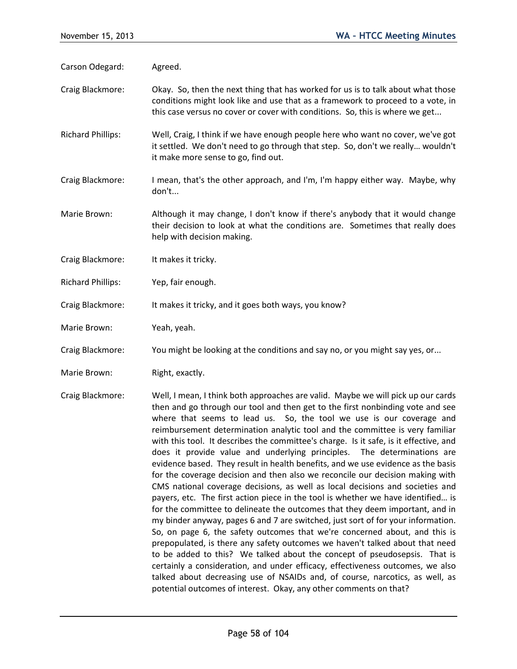Carson Odegard: Agreed.

- Craig Blackmore: Okay. So, then the next thing that has worked for us is to talk about what those conditions might look like and use that as a framework to proceed to a vote, in this case versus no cover or cover with conditions. So, this is where we get...
- Richard Phillips: Well, Craig, I think if we have enough people here who want no cover, we've got it settled. We don't need to go through that step. So, don't we really… wouldn't it make more sense to go, find out.
- Craig Blackmore: I mean, that's the other approach, and I'm, I'm happy either way. Maybe, why don't...
- Marie Brown: Although it may change, I don't know if there's anybody that it would change their decision to look at what the conditions are. Sometimes that really does help with decision making.
- Craig Blackmore: It makes it tricky.
- Richard Phillips: Yep, fair enough.
- Craig Blackmore: It makes it tricky, and it goes both ways, you know?
- Marie Brown: Yeah, yeah.
- Craig Blackmore: You might be looking at the conditions and say no, or you might say yes, or...
- Marie Brown: Right, exactly.
- Craig Blackmore: Well, I mean, I think both approaches are valid. Maybe we will pick up our cards then and go through our tool and then get to the first nonbinding vote and see where that seems to lead us. So, the tool we use is our coverage and reimbursement determination analytic tool and the committee is very familiar with this tool. It describes the committee's charge. Is it safe, is it effective, and does it provide value and underlying principles. The determinations are evidence based. They result in health benefits, and we use evidence as the basis for the coverage decision and then also we reconcile our decision making with CMS national coverage decisions, as well as local decisions and societies and payers, etc. The first action piece in the tool is whether we have identified… is for the committee to delineate the outcomes that they deem important, and in my binder anyway, pages 6 and 7 are switched, just sort of for your information. So, on page 6, the safety outcomes that we're concerned about, and this is prepopulated, is there any safety outcomes we haven't talked about that need to be added to this? We talked about the concept of pseudosepsis. That is certainly a consideration, and under efficacy, effectiveness outcomes, we also talked about decreasing use of NSAIDs and, of course, narcotics, as well, as potential outcomes of interest. Okay, any other comments on that?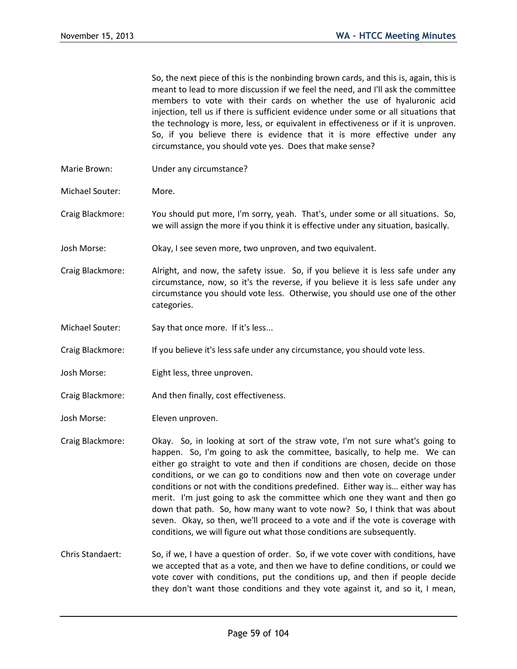So, the next piece of this is the nonbinding brown cards, and this is, again, this is meant to lead to more discussion if we feel the need, and I'll ask the committee members to vote with their cards on whether the use of hyaluronic acid injection, tell us if there is sufficient evidence under some or all situations that the technology is more, less, or equivalent in effectiveness or if it is unproven. So, if you believe there is evidence that it is more effective under any circumstance, you should vote yes. Does that make sense?

- Marie Brown: Under any circumstance?
- Michael Souter: More.
- Craig Blackmore: You should put more, I'm sorry, yeah. That's, under some or all situations. So, we will assign the more if you think it is effective under any situation, basically.
- Josh Morse: Okay, I see seven more, two unproven, and two equivalent.
- Craig Blackmore: Alright, and now, the safety issue. So, if you believe it is less safe under any circumstance, now, so it's the reverse, if you believe it is less safe under any circumstance you should vote less. Otherwise, you should use one of the other categories.
- Michael Souter: Say that once more. If it's less...

Craig Blackmore: If you believe it's less safe under any circumstance, you should vote less.

- Josh Morse: Eight less, three unproven.
- Craig Blackmore: And then finally, cost effectiveness.
- Josh Morse: Eleven unproven.
- Craig Blackmore: Okay. So, in looking at sort of the straw vote, I'm not sure what's going to happen. So, I'm going to ask the committee, basically, to help me. We can either go straight to vote and then if conditions are chosen, decide on those conditions, or we can go to conditions now and then vote on coverage under conditions or not with the conditions predefined. Either way is… either way has merit. I'm just going to ask the committee which one they want and then go down that path. So, how many want to vote now? So, I think that was about seven. Okay, so then, we'll proceed to a vote and if the vote is coverage with conditions, we will figure out what those conditions are subsequently.
- Chris Standaert: So, if we, I have a question of order. So, if we vote cover with conditions, have we accepted that as a vote, and then we have to define conditions, or could we vote cover with conditions, put the conditions up, and then if people decide they don't want those conditions and they vote against it, and so it, I mean,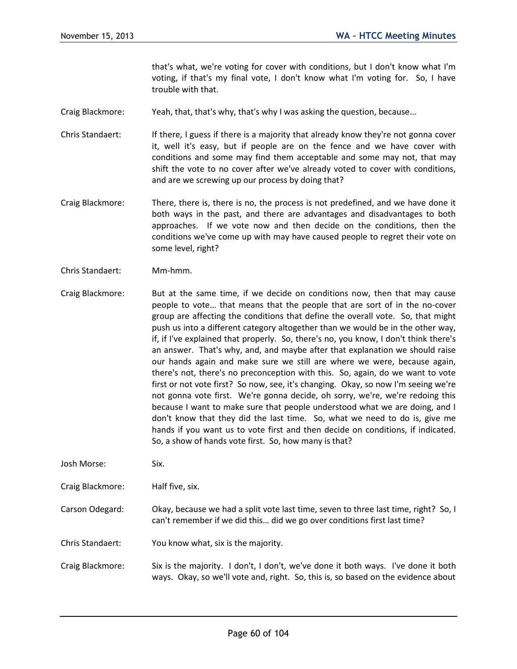that's what, we're voting for cover with conditions, but I don't know what I'm voting, if that's my final vote, I don't know what I'm voting for. So, I have trouble with that.

- Craig Blackmore: Yeah, that, that's why, that's why I was asking the question, because...
- Chris Standaert: If there, I guess if there is a majority that already know they're not gonna cover it, well it's easy, but if people are on the fence and we have cover with conditions and some may find them acceptable and some may not, that may shift the vote to no cover after we've already voted to cover with conditions, and are we screwing up our process by doing that?
- Craig Blackmore: There, there is, there is no, the process is not predefined, and we have done it both ways in the past, and there are advantages and disadvantages to both approaches. If we vote now and then decide on the conditions, then the conditions we've come up with may have caused people to regret their vote on some level, right?
- Chris Standaert: Mm-hmm.
- Craig Blackmore: But at the same time, if we decide on conditions now, then that may cause people to vote… that means that the people that are sort of in the no-cover group are affecting the conditions that define the overall vote. So, that might push us into a different category altogether than we would be in the other way, if, if I've explained that properly. So, there's no, you know, I don't think there's an answer. That's why, and, and maybe after that explanation we should raise our hands again and make sure we still are where we were, because again, there's not, there's no preconception with this. So, again, do we want to vote first or not vote first? So now, see, it's changing. Okay, so now I'm seeing we're not gonna vote first. We're gonna decide, oh sorry, we're, we're redoing this because I want to make sure that people understood what we are doing, and I don't know that they did the last time. So, what we need to do is, give me hands if you want us to vote first and then decide on conditions, if indicated. So, a show of hands vote first. So, how many is that?
- Josh Morse: Six.

Craig Blackmore: Half five, six.

- Carson Odegard: Okay, because we had a split vote last time, seven to three last time, right? So, I can't remember if we did this… did we go over conditions first last time?
- Chris Standaert: You know what, six is the majority.
- Craig Blackmore: Six is the majority. I don't, I don't, we've done it both ways. I've done it both ways. Okay, so we'll vote and, right. So, this is, so based on the evidence about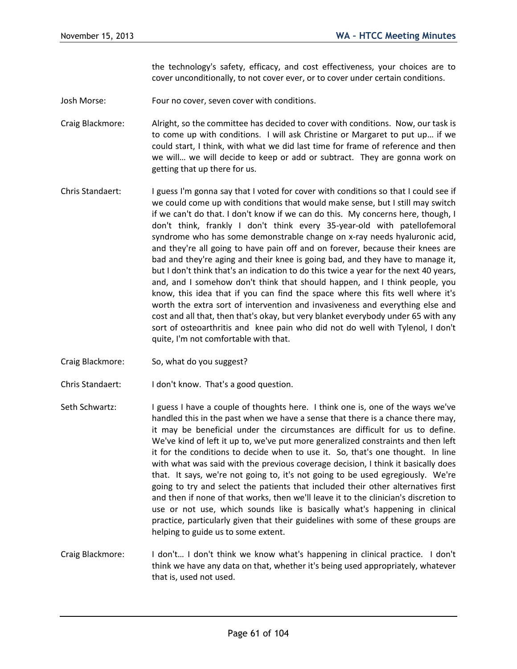the technology's safety, efficacy, and cost effectiveness, your choices are to cover unconditionally, to not cover ever, or to cover under certain conditions.

- Josh Morse: Four no cover, seven cover with conditions.
- Craig Blackmore: Alright, so the committee has decided to cover with conditions. Now, our task is to come up with conditions. I will ask Christine or Margaret to put up… if we could start, I think, with what we did last time for frame of reference and then we will… we will decide to keep or add or subtract. They are gonna work on getting that up there for us.
- Chris Standaert: I guess I'm gonna say that I voted for cover with conditions so that I could see if we could come up with conditions that would make sense, but I still may switch if we can't do that. I don't know if we can do this. My concerns here, though, I don't think, frankly I don't think every 35-year-old with patellofemoral syndrome who has some demonstrable change on x-ray needs hyaluronic acid, and they're all going to have pain off and on forever, because their knees are bad and they're aging and their knee is going bad, and they have to manage it, but I don't think that's an indication to do this twice a year for the next 40 years, and, and I somehow don't think that should happen, and I think people, you know, this idea that if you can find the space where this fits well where it's worth the extra sort of intervention and invasiveness and everything else and cost and all that, then that's okay, but very blanket everybody under 65 with any sort of osteoarthritis and knee pain who did not do well with Tylenol, I don't quite, I'm not comfortable with that.
- Craig Blackmore: So, what do you suggest?
- Chris Standaert: I don't know. That's a good question.
- Seth Schwartz: I guess I have a couple of thoughts here. I think one is, one of the ways we've handled this in the past when we have a sense that there is a chance there may, it may be beneficial under the circumstances are difficult for us to define. We've kind of left it up to, we've put more generalized constraints and then left it for the conditions to decide when to use it. So, that's one thought. In line with what was said with the previous coverage decision, I think it basically does that. It says, we're not going to, it's not going to be used egregiously. We're going to try and select the patients that included their other alternatives first and then if none of that works, then we'll leave it to the clinician's discretion to use or not use, which sounds like is basically what's happening in clinical practice, particularly given that their guidelines with some of these groups are helping to guide us to some extent.
- Craig Blackmore: I don't… I don't think we know what's happening in clinical practice. I don't think we have any data on that, whether it's being used appropriately, whatever that is, used not used.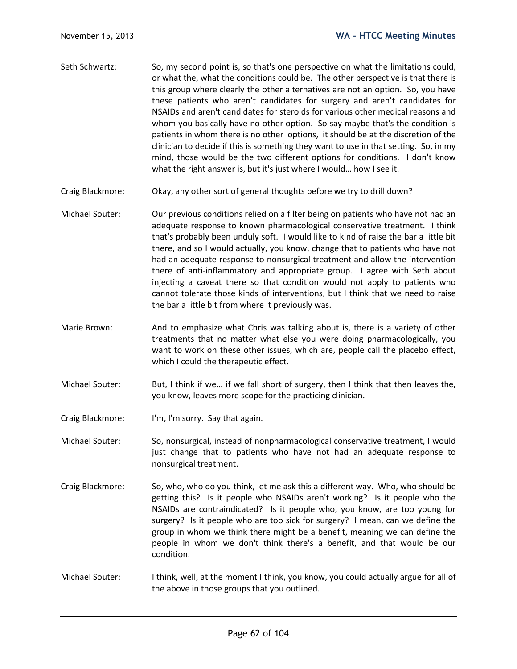- Seth Schwartz: So, my second point is, so that's one perspective on what the limitations could, or what the, what the conditions could be. The other perspective is that there is this group where clearly the other alternatives are not an option. So, you have these patients who aren't candidates for surgery and aren't candidates for NSAIDs and aren't candidates for steroids for various other medical reasons and whom you basically have no other option. So say maybe that's the condition is patients in whom there is no other options, it should be at the discretion of the clinician to decide if this is something they want to use in that setting. So, in my mind, those would be the two different options for conditions. I don't know what the right answer is, but it's just where I would… how I see it.
- Craig Blackmore: Okay, any other sort of general thoughts before we try to drill down?
- Michael Souter: Our previous conditions relied on a filter being on patients who have not had an adequate response to known pharmacological conservative treatment. I think that's probably been unduly soft. I would like to kind of raise the bar a little bit there, and so I would actually, you know, change that to patients who have not had an adequate response to nonsurgical treatment and allow the intervention there of anti-inflammatory and appropriate group. I agree with Seth about injecting a caveat there so that condition would not apply to patients who cannot tolerate those kinds of interventions, but I think that we need to raise the bar a little bit from where it previously was.
- Marie Brown: And to emphasize what Chris was talking about is, there is a variety of other treatments that no matter what else you were doing pharmacologically, you want to work on these other issues, which are, people call the placebo effect, which I could the therapeutic effect.
- Michael Souter: But, I think if we… if we fall short of surgery, then I think that then leaves the, you know, leaves more scope for the practicing clinician.
- Craig Blackmore: I'm, I'm sorry. Say that again.
- Michael Souter: So, nonsurgical, instead of nonpharmacological conservative treatment, I would just change that to patients who have not had an adequate response to nonsurgical treatment.
- Craig Blackmore: So, who, who do you think, let me ask this a different way. Who, who should be getting this? Is it people who NSAIDs aren't working? Is it people who the NSAIDs are contraindicated? Is it people who, you know, are too young for surgery? Is it people who are too sick for surgery? I mean, can we define the group in whom we think there might be a benefit, meaning we can define the people in whom we don't think there's a benefit, and that would be our condition.
- Michael Souter: I think, well, at the moment I think, you know, you could actually argue for all of the above in those groups that you outlined.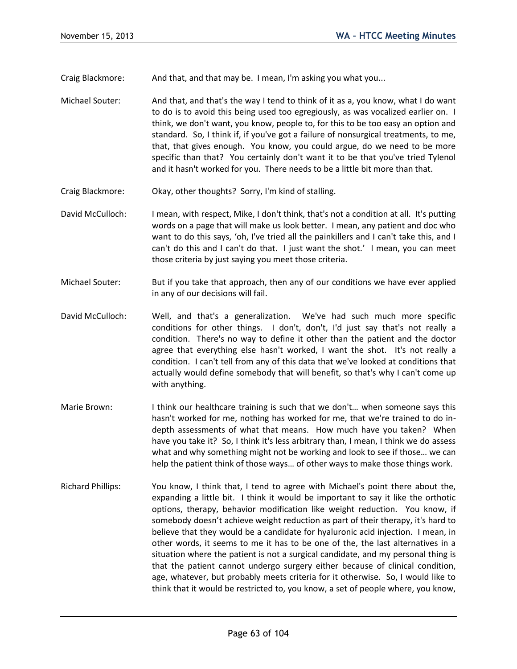Craig Blackmore: And that, and that may be. I mean, I'm asking you what you...

- Michael Souter: And that, and that's the way I tend to think of it as a, you know, what I do want to do is to avoid this being used too egregiously, as was vocalized earlier on. I think, we don't want, you know, people to, for this to be too easy an option and standard. So, I think if, if you've got a failure of nonsurgical treatments, to me, that, that gives enough. You know, you could argue, do we need to be more specific than that? You certainly don't want it to be that you've tried Tylenol and it hasn't worked for you. There needs to be a little bit more than that.
- Craig Blackmore: Okay, other thoughts? Sorry, I'm kind of stalling.
- David McCulloch: I mean, with respect, Mike, I don't think, that's not a condition at all. It's putting words on a page that will make us look better. I mean, any patient and doc who want to do this says, 'oh, I've tried all the painkillers and I can't take this, and I can't do this and I can't do that. I just want the shot.' I mean, you can meet those criteria by just saying you meet those criteria.
- Michael Souter: But if you take that approach, then any of our conditions we have ever applied in any of our decisions will fail.
- David McCulloch: Well, and that's a generalization. We've had such much more specific conditions for other things. I don't, don't, I'd just say that's not really a condition. There's no way to define it other than the patient and the doctor agree that everything else hasn't worked, I want the shot. It's not really a condition. I can't tell from any of this data that we've looked at conditions that actually would define somebody that will benefit, so that's why I can't come up with anything.
- Marie Brown: I think our healthcare training is such that we don't... when someone says this hasn't worked for me, nothing has worked for me, that we're trained to do indepth assessments of what that means. How much have you taken? When have you take it? So, I think it's less arbitrary than, I mean, I think we do assess what and why something might not be working and look to see if those… we can help the patient think of those ways… of other ways to make those things work.
- Richard Phillips: You know, I think that, I tend to agree with Michael's point there about the, expanding a little bit. I think it would be important to say it like the orthotic options, therapy, behavior modification like weight reduction. You know, if somebody doesn't achieve weight reduction as part of their therapy, it's hard to believe that they would be a candidate for hyaluronic acid injection. I mean, in other words, it seems to me it has to be one of the, the last alternatives in a situation where the patient is not a surgical candidate, and my personal thing is that the patient cannot undergo surgery either because of clinical condition, age, whatever, but probably meets criteria for it otherwise. So, I would like to think that it would be restricted to, you know, a set of people where, you know,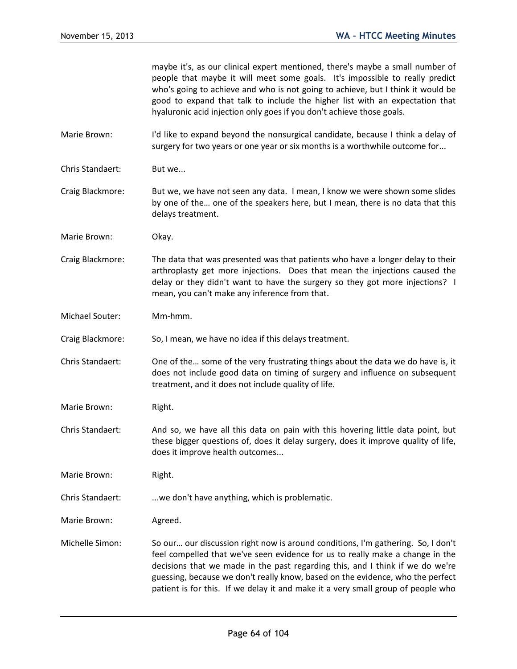maybe it's, as our clinical expert mentioned, there's maybe a small number of people that maybe it will meet some goals. It's impossible to really predict who's going to achieve and who is not going to achieve, but I think it would be good to expand that talk to include the higher list with an expectation that hyaluronic acid injection only goes if you don't achieve those goals.

- Marie Brown: I'd like to expand beyond the nonsurgical candidate, because I think a delay of surgery for two years or one year or six months is a worthwhile outcome for...
- Chris Standaert: But we...

Craig Blackmore: But we, we have not seen any data. I mean, I know we were shown some slides by one of the… one of the speakers here, but I mean, there is no data that this delays treatment.

Marie Brown: Okay.

Craig Blackmore: The data that was presented was that patients who have a longer delay to their arthroplasty get more injections. Does that mean the injections caused the delay or they didn't want to have the surgery so they got more injections? I mean, you can't make any inference from that.

Michael Souter: Mm-hmm.

Craig Blackmore: So, I mean, we have no idea if this delays treatment.

Chris Standaert: One of the… some of the very frustrating things about the data we do have is, it does not include good data on timing of surgery and influence on subsequent treatment, and it does not include quality of life.

Marie Brown: Right.

Chris Standaert: And so, we have all this data on pain with this hovering little data point, but these bigger questions of, does it delay surgery, does it improve quality of life, does it improve health outcomes...

Marie Brown: Right.

Chris Standaert: ...we don't have anything, which is problematic.

Marie Brown: Agreed.

Michelle Simon: So our… our discussion right now is around conditions, I'm gathering. So, I don't feel compelled that we've seen evidence for us to really make a change in the decisions that we made in the past regarding this, and I think if we do we're guessing, because we don't really know, based on the evidence, who the perfect patient is for this. If we delay it and make it a very small group of people who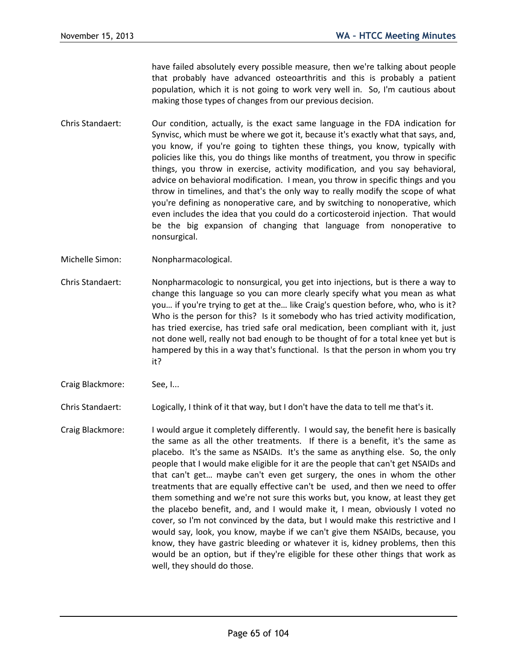have failed absolutely every possible measure, then we're talking about people that probably have advanced osteoarthritis and this is probably a patient population, which it is not going to work very well in. So, I'm cautious about making those types of changes from our previous decision.

- Chris Standaert: Our condition, actually, is the exact same language in the FDA indication for Synvisc, which must be where we got it, because it's exactly what that says, and, you know, if you're going to tighten these things, you know, typically with policies like this, you do things like months of treatment, you throw in specific things, you throw in exercise, activity modification, and you say behavioral, advice on behavioral modification. I mean, you throw in specific things and you throw in timelines, and that's the only way to really modify the scope of what you're defining as nonoperative care, and by switching to nonoperative, which even includes the idea that you could do a corticosteroid injection. That would be the big expansion of changing that language from nonoperative to nonsurgical.
- Michelle Simon: Nonpharmacological.
- Chris Standaert: Nonpharmacologic to nonsurgical, you get into injections, but is there a way to change this language so you can more clearly specify what you mean as what you… if you're trying to get at the… like Craig's question before, who, who is it? Who is the person for this? Is it somebody who has tried activity modification, has tried exercise, has tried safe oral medication, been compliant with it, just not done well, really not bad enough to be thought of for a total knee yet but is hampered by this in a way that's functional. Is that the person in whom you try it?
- Craig Blackmore: See, I...

Chris Standaert: Logically, I think of it that way, but I don't have the data to tell me that's it.

Craig Blackmore: I would argue it completely differently. I would say, the benefit here is basically the same as all the other treatments. If there is a benefit, it's the same as placebo. It's the same as NSAIDs. It's the same as anything else. So, the only people that I would make eligible for it are the people that can't get NSAIDs and that can't get… maybe can't even get surgery, the ones in whom the other treatments that are equally effective can't be used, and then we need to offer them something and we're not sure this works but, you know, at least they get the placebo benefit, and, and I would make it, I mean, obviously I voted no cover, so I'm not convinced by the data, but I would make this restrictive and I would say, look, you know, maybe if we can't give them NSAIDs, because, you know, they have gastric bleeding or whatever it is, kidney problems, then this would be an option, but if they're eligible for these other things that work as well, they should do those.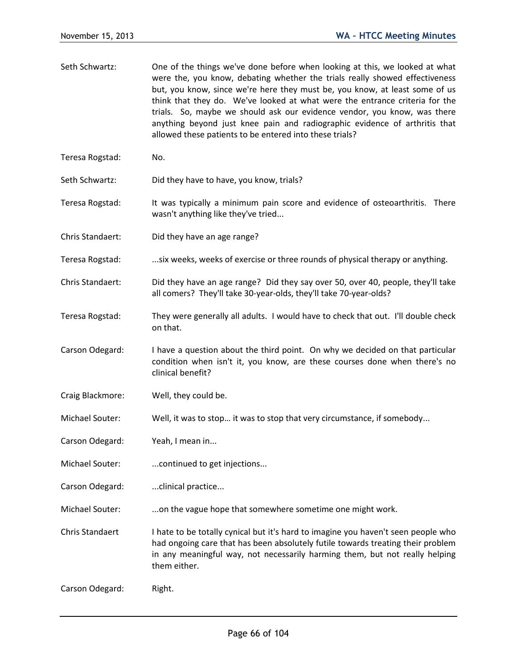| Seth Schwartz:   | One of the things we've done before when looking at this, we looked at what<br>were the, you know, debating whether the trials really showed effectiveness<br>but, you know, since we're here they must be, you know, at least some of us<br>think that they do. We've looked at what were the entrance criteria for the<br>trials. So, maybe we should ask our evidence vendor, you know, was there<br>anything beyond just knee pain and radiographic evidence of arthritis that<br>allowed these patients to be entered into these trials? |
|------------------|-----------------------------------------------------------------------------------------------------------------------------------------------------------------------------------------------------------------------------------------------------------------------------------------------------------------------------------------------------------------------------------------------------------------------------------------------------------------------------------------------------------------------------------------------|
| Teresa Rogstad:  | No.                                                                                                                                                                                                                                                                                                                                                                                                                                                                                                                                           |
| Seth Schwartz:   | Did they have to have, you know, trials?                                                                                                                                                                                                                                                                                                                                                                                                                                                                                                      |
| Teresa Rogstad:  | It was typically a minimum pain score and evidence of osteoarthritis. There<br>wasn't anything like they've tried                                                                                                                                                                                                                                                                                                                                                                                                                             |
| Chris Standaert: | Did they have an age range?                                                                                                                                                                                                                                                                                                                                                                                                                                                                                                                   |
| Teresa Rogstad:  | six weeks, weeks of exercise or three rounds of physical therapy or anything.                                                                                                                                                                                                                                                                                                                                                                                                                                                                 |
| Chris Standaert: | Did they have an age range? Did they say over 50, over 40, people, they'll take<br>all comers? They'll take 30-year-olds, they'll take 70-year-olds?                                                                                                                                                                                                                                                                                                                                                                                          |
| Teresa Rogstad:  | They were generally all adults. I would have to check that out. I'll double check<br>on that.                                                                                                                                                                                                                                                                                                                                                                                                                                                 |
| Carson Odegard:  | I have a question about the third point. On why we decided on that particular<br>condition when isn't it, you know, are these courses done when there's no<br>clinical benefit?                                                                                                                                                                                                                                                                                                                                                               |
| Craig Blackmore: | Well, they could be.                                                                                                                                                                                                                                                                                                                                                                                                                                                                                                                          |
| Michael Souter:  | Well, it was to stop it was to stop that very circumstance, if somebody                                                                                                                                                                                                                                                                                                                                                                                                                                                                       |
| Carson Odegard:  | Yeah, I mean in                                                                                                                                                                                                                                                                                                                                                                                                                                                                                                                               |
| Michael Souter:  | continued to get injections                                                                                                                                                                                                                                                                                                                                                                                                                                                                                                                   |
| Carson Odegard:  | clinical practice                                                                                                                                                                                                                                                                                                                                                                                                                                                                                                                             |
| Michael Souter:  | on the vague hope that somewhere sometime one might work.                                                                                                                                                                                                                                                                                                                                                                                                                                                                                     |
| Chris Standaert  | I hate to be totally cynical but it's hard to imagine you haven't seen people who<br>had ongoing care that has been absolutely futile towards treating their problem<br>in any meaningful way, not necessarily harming them, but not really helping<br>them either.                                                                                                                                                                                                                                                                           |
| Carson Odegard:  | Right.                                                                                                                                                                                                                                                                                                                                                                                                                                                                                                                                        |
|                  |                                                                                                                                                                                                                                                                                                                                                                                                                                                                                                                                               |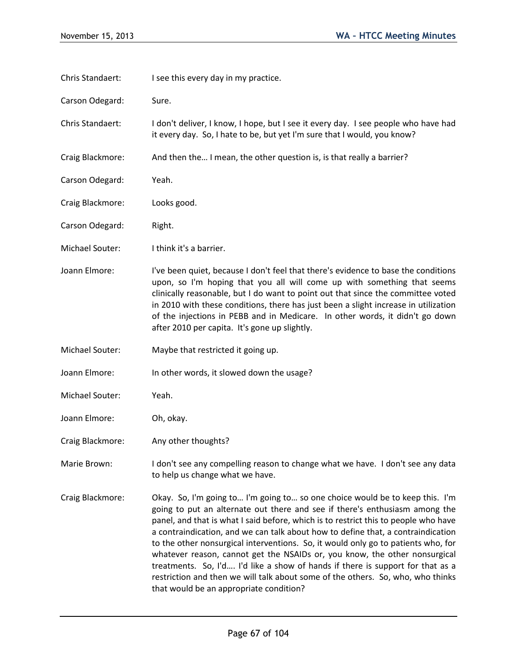| Chris Standaert: | I see this every day in my practice.                                                                                                                                                                                                                                                                                                                                                                                                                                                                                                                                                                                                                                                                                      |
|------------------|---------------------------------------------------------------------------------------------------------------------------------------------------------------------------------------------------------------------------------------------------------------------------------------------------------------------------------------------------------------------------------------------------------------------------------------------------------------------------------------------------------------------------------------------------------------------------------------------------------------------------------------------------------------------------------------------------------------------------|
| Carson Odegard:  | Sure.                                                                                                                                                                                                                                                                                                                                                                                                                                                                                                                                                                                                                                                                                                                     |
| Chris Standaert: | I don't deliver, I know, I hope, but I see it every day. I see people who have had<br>it every day. So, I hate to be, but yet I'm sure that I would, you know?                                                                                                                                                                                                                                                                                                                                                                                                                                                                                                                                                            |
| Craig Blackmore: | And then the I mean, the other question is, is that really a barrier?                                                                                                                                                                                                                                                                                                                                                                                                                                                                                                                                                                                                                                                     |
| Carson Odegard:  | Yeah.                                                                                                                                                                                                                                                                                                                                                                                                                                                                                                                                                                                                                                                                                                                     |
| Craig Blackmore: | Looks good.                                                                                                                                                                                                                                                                                                                                                                                                                                                                                                                                                                                                                                                                                                               |
| Carson Odegard:  | Right.                                                                                                                                                                                                                                                                                                                                                                                                                                                                                                                                                                                                                                                                                                                    |
| Michael Souter:  | I think it's a barrier.                                                                                                                                                                                                                                                                                                                                                                                                                                                                                                                                                                                                                                                                                                   |
| Joann Elmore:    | I've been quiet, because I don't feel that there's evidence to base the conditions<br>upon, so I'm hoping that you all will come up with something that seems<br>clinically reasonable, but I do want to point out that since the committee voted<br>in 2010 with these conditions, there has just been a slight increase in utilization<br>of the injections in PEBB and in Medicare. In other words, it didn't go down<br>after 2010 per capita. It's gone up slightly.                                                                                                                                                                                                                                                 |
| Michael Souter:  | Maybe that restricted it going up.                                                                                                                                                                                                                                                                                                                                                                                                                                                                                                                                                                                                                                                                                        |
| Joann Elmore:    | In other words, it slowed down the usage?                                                                                                                                                                                                                                                                                                                                                                                                                                                                                                                                                                                                                                                                                 |
| Michael Souter:  | Yeah.                                                                                                                                                                                                                                                                                                                                                                                                                                                                                                                                                                                                                                                                                                                     |
| Joann Elmore:    | Oh, okay.                                                                                                                                                                                                                                                                                                                                                                                                                                                                                                                                                                                                                                                                                                                 |
| Craig Blackmore: | Any other thoughts?                                                                                                                                                                                                                                                                                                                                                                                                                                                                                                                                                                                                                                                                                                       |
| Marie Brown:     | I don't see any compelling reason to change what we have. I don't see any data<br>to help us change what we have.                                                                                                                                                                                                                                                                                                                                                                                                                                                                                                                                                                                                         |
| Craig Blackmore: | Okay. So, I'm going to I'm going to so one choice would be to keep this. I'm<br>going to put an alternate out there and see if there's enthusiasm among the<br>panel, and that is what I said before, which is to restrict this to people who have<br>a contraindication, and we can talk about how to define that, a contraindication<br>to the other nonsurgical interventions. So, it would only go to patients who, for<br>whatever reason, cannot get the NSAIDs or, you know, the other nonsurgical<br>treatments. So, I'd I'd like a show of hands if there is support for that as a<br>restriction and then we will talk about some of the others. So, who, who thinks<br>that would be an appropriate condition? |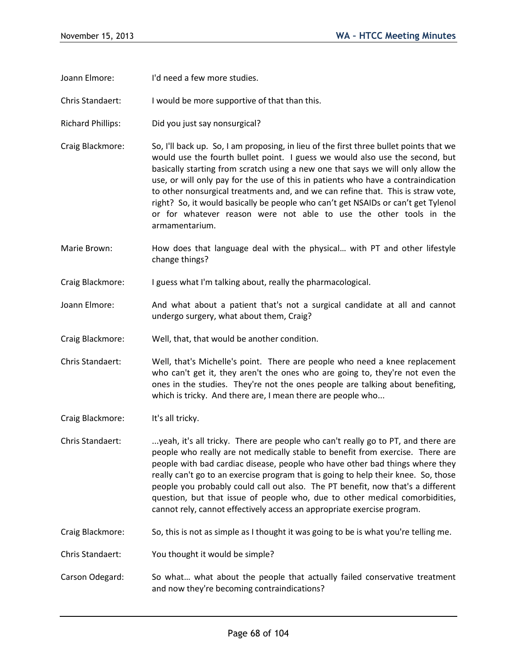Joann Elmore: I'd need a few more studies.

Chris Standaert: I would be more supportive of that than this.

- Richard Phillips: Did you just say nonsurgical?
- Craig Blackmore: So, I'll back up. So, I am proposing, in lieu of the first three bullet points that we would use the fourth bullet point. I guess we would also use the second, but basically starting from scratch using a new one that says we will only allow the use, or will only pay for the use of this in patients who have a contraindication to other nonsurgical treatments and, and we can refine that. This is straw vote, right? So, it would basically be people who can't get NSAIDs or can't get Tylenol or for whatever reason were not able to use the other tools in the armamentarium.
- Marie Brown: How does that language deal with the physical... with PT and other lifestyle change things?
- Craig Blackmore: I guess what I'm talking about, really the pharmacological.
- Joann Elmore: And what about a patient that's not a surgical candidate at all and cannot undergo surgery, what about them, Craig?
- Craig Blackmore: Well, that, that would be another condition.
- Chris Standaert: Well, that's Michelle's point. There are people who need a knee replacement who can't get it, they aren't the ones who are going to, they're not even the ones in the studies. They're not the ones people are talking about benefiting, which is tricky. And there are, I mean there are people who...
- Craig Blackmore: It's all tricky.
- Chris Standaert: ...yeah, it's all tricky. There are people who can't really go to PT, and there are people who really are not medically stable to benefit from exercise. There are people with bad cardiac disease, people who have other bad things where they really can't go to an exercise program that is going to help their knee. So, those people you probably could call out also. The PT benefit, now that's a different question, but that issue of people who, due to other medical comorbidities, cannot rely, cannot effectively access an appropriate exercise program.
- Craig Blackmore: So, this is not as simple as I thought it was going to be is what you're telling me.
- Chris Standaert: You thought it would be simple?
- Carson Odegard: So what… what about the people that actually failed conservative treatment and now they're becoming contraindications?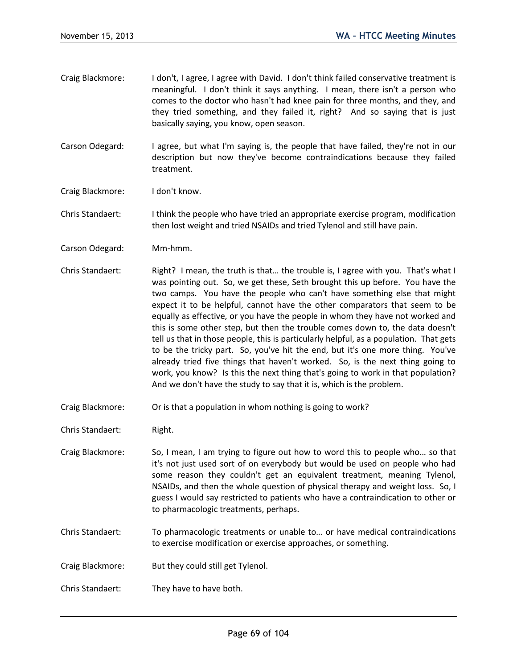- Craig Blackmore: I don't, I agree, I agree with David. I don't think failed conservative treatment is meaningful. I don't think it says anything. I mean, there isn't a person who comes to the doctor who hasn't had knee pain for three months, and they, and they tried something, and they failed it, right? And so saying that is just basically saying, you know, open season.
- Carson Odegard: I agree, but what I'm saying is, the people that have failed, they're not in our description but now they've become contraindications because they failed treatment.
- Craig Blackmore: I don't know.

Chris Standaert: I think the people who have tried an appropriate exercise program, modification then lost weight and tried NSAIDs and tried Tylenol and still have pain.

- Carson Odegard: Mm-hmm.
- Chris Standaert: Right? I mean, the truth is that… the trouble is, I agree with you. That's what I was pointing out. So, we get these, Seth brought this up before. You have the two camps. You have the people who can't have something else that might expect it to be helpful, cannot have the other comparators that seem to be equally as effective, or you have the people in whom they have not worked and this is some other step, but then the trouble comes down to, the data doesn't tell us that in those people, this is particularly helpful, as a population. That gets to be the tricky part. So, you've hit the end, but it's one more thing. You've already tried five things that haven't worked. So, is the next thing going to work, you know? Is this the next thing that's going to work in that population? And we don't have the study to say that it is, which is the problem.
- Craig Blackmore: Or is that a population in whom nothing is going to work?
- Chris Standaert: Right.
- Craig Blackmore: So, I mean, I am trying to figure out how to word this to people who… so that it's not just used sort of on everybody but would be used on people who had some reason they couldn't get an equivalent treatment, meaning Tylenol, NSAIDs, and then the whole question of physical therapy and weight loss. So, I guess I would say restricted to patients who have a contraindication to other or to pharmacologic treatments, perhaps.
- Chris Standaert: To pharmacologic treatments or unable to… or have medical contraindications to exercise modification or exercise approaches, or something.
- Craig Blackmore: But they could still get Tylenol.
- Chris Standaert: They have to have both.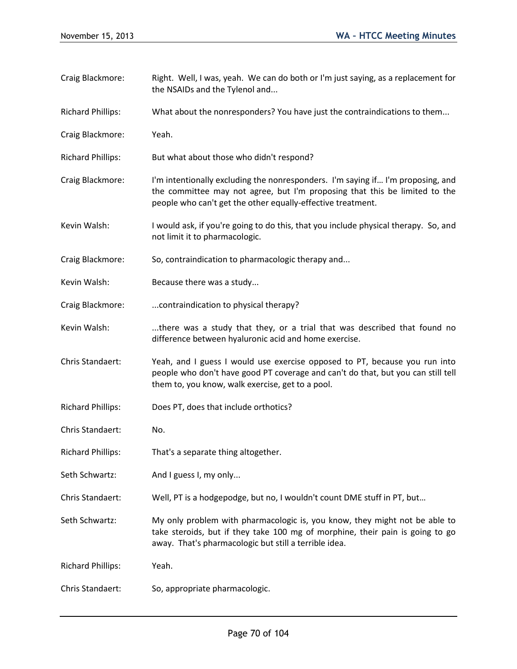- Craig Blackmore: Right. Well, I was, yeah. We can do both or I'm just saying, as a replacement for the NSAIDs and the Tylenol and...
- Richard Phillips: What about the nonresponders? You have just the contraindications to them...
- Craig Blackmore: Yeah.
- Richard Phillips: But what about those who didn't respond?
- Craig Blackmore: I'm intentionally excluding the nonresponders. I'm saying if… I'm proposing, and the committee may not agree, but I'm proposing that this be limited to the people who can't get the other equally-effective treatment.
- Kevin Walsh: I would ask, if you're going to do this, that you include physical therapy. So, and not limit it to pharmacologic.
- Craig Blackmore: So, contraindication to pharmacologic therapy and...
- Kevin Walsh: Because there was a study...
- Craig Blackmore: ...contraindication to physical therapy?
- Kevin Walsh: ....there was a study that they, or a trial that was described that found no difference between hyaluronic acid and home exercise.
- Chris Standaert: Yeah, and I guess I would use exercise opposed to PT, because you run into people who don't have good PT coverage and can't do that, but you can still tell them to, you know, walk exercise, get to a pool.
- Richard Phillips: Does PT, does that include orthotics?
- Chris Standaert: No.
- Richard Phillips: That's a separate thing altogether.
- Seth Schwartz: And I guess I, my only...
- Chris Standaert: Well, PT is a hodgepodge, but no, I wouldn't count DME stuff in PT, but…
- Seth Schwartz: My only problem with pharmacologic is, you know, they might not be able to take steroids, but if they take 100 mg of morphine, their pain is going to go away. That's pharmacologic but still a terrible idea.

Richard Phillips: Yeah.

Chris Standaert: So, appropriate pharmacologic.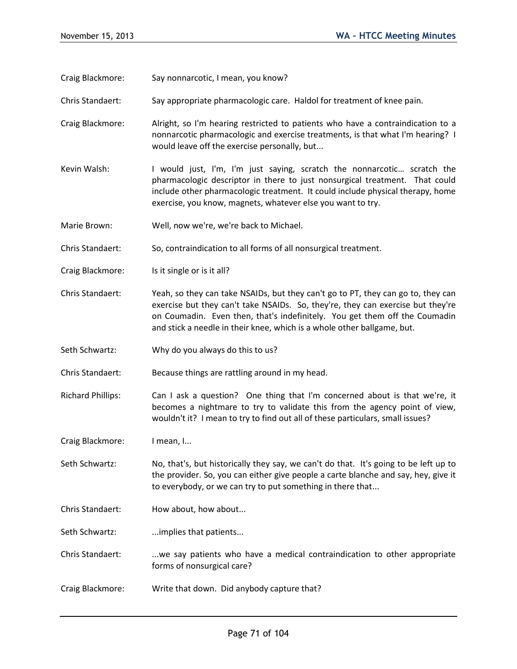Craig Blackmore: Say nonnarcotic, I mean, you know?

- Chris Standaert: Say appropriate pharmacologic care. Haldol for treatment of knee pain.
- Craig Blackmore: Alright, so I'm hearing restricted to patients who have a contraindication to a nonnarcotic pharmacologic and exercise treatments, is that what I'm hearing? I would leave off the exercise personally, but...
- Kevin Walsh: I would just, I'm, I'm just saying, scratch the nonnarcotic... scratch the pharmacologic descriptor in there to just nonsurgical treatment. That could include other pharmacologic treatment. It could include physical therapy, home exercise, you know, magnets, whatever else you want to try.
- Marie Brown: Well, now we're, we're back to Michael.

Chris Standaert: So, contraindication to all forms of all nonsurgical treatment.

- Craig Blackmore: Is it single or is it all?
- Chris Standaert: Yeah, so they can take NSAIDs, but they can't go to PT, they can go to, they can exercise but they can't take NSAIDs. So, they're, they can exercise but they're on Coumadin. Even then, that's indefinitely. You get them off the Coumadin and stick a needle in their knee, which is a whole other ballgame, but.
- Seth Schwartz: Why do you always do this to us?
- Chris Standaert: Because things are rattling around in my head.
- Richard Phillips: Can I ask a question? One thing that I'm concerned about is that we're, it becomes a nightmare to try to validate this from the agency point of view, wouldn't it? I mean to try to find out all of these particulars, small issues?
- Craig Blackmore: I mean, I...
- Seth Schwartz: No, that's, but historically they say, we can't do that. It's going to be left up to the provider. So, you can either give people a carte blanche and say, hey, give it to everybody, or we can try to put something in there that...
- Chris Standaert: How about, how about...

Seth Schwartz: ...implies that patients...

- Chris Standaert: ...we say patients who have a medical contraindication to other appropriate forms of nonsurgical care?
- Craig Blackmore: Write that down. Did anybody capture that?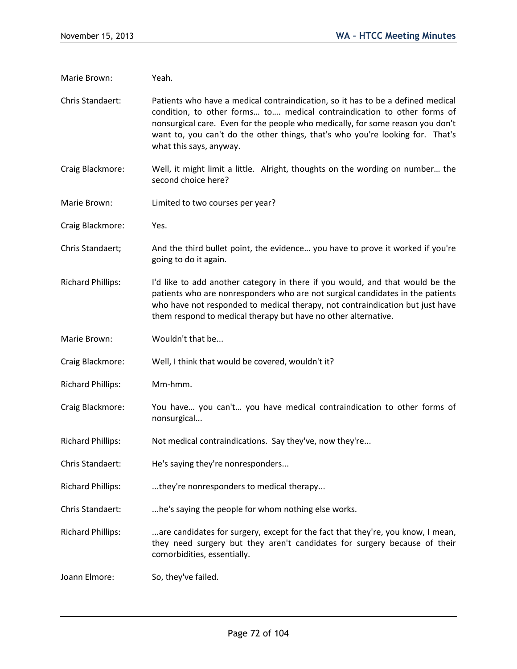Marie Brown: Yeah. Chris Standaert: Patients who have a medical contraindication, so it has to be a defined medical condition, to other forms… to…. medical contraindication to other forms of nonsurgical care. Even for the people who medically, for some reason you don't want to, you can't do the other things, that's who you're looking for. That's what this says, anyway. Craig Blackmore: Well, it might limit a little. Alright, thoughts on the wording on number… the second choice here? Marie Brown: Limited to two courses per year? Craig Blackmore: Yes. Chris Standaert; And the third bullet point, the evidence… you have to prove it worked if you're going to do it again. Richard Phillips: I'd like to add another category in there if you would, and that would be the patients who are nonresponders who are not surgical candidates in the patients who have not responded to medical therapy, not contraindication but just have them respond to medical therapy but have no other alternative. Marie Brown: Wouldn't that be... Craig Blackmore: Well, I think that would be covered, wouldn't it? Richard Phillips: Mm-hmm. Craig Blackmore: You have… you can't… you have medical contraindication to other forms of nonsurgical... Richard Phillips: Not medical contraindications. Say they've, now they're... Chris Standaert: He's saying they're nonresponders... Richard Phillips: ....they're nonresponders to medical therapy... Chris Standaert: ....he's saying the people for whom nothing else works. Richard Phillips: ...are candidates for surgery, except for the fact that they're, you know, I mean, they need surgery but they aren't candidates for surgery because of their comorbidities, essentially. Joann Elmore: So, they've failed.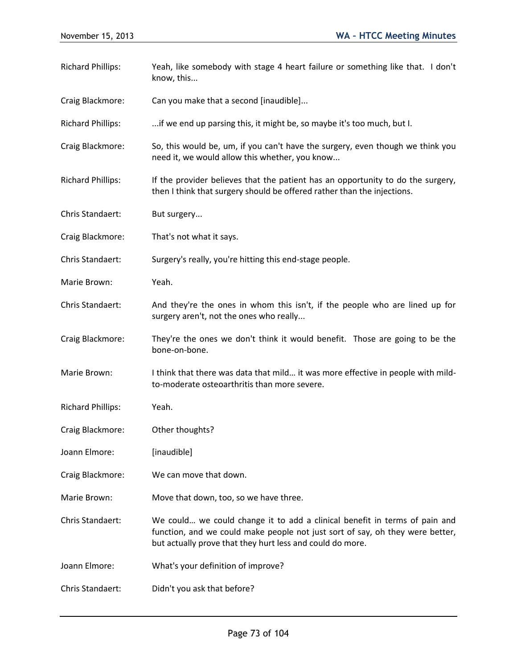| <b>Richard Phillips:</b> | Yeah, like somebody with stage 4 heart failure or something like that. I don't<br>know, this                                                                                                                             |
|--------------------------|--------------------------------------------------------------------------------------------------------------------------------------------------------------------------------------------------------------------------|
| Craig Blackmore:         | Can you make that a second [inaudible]                                                                                                                                                                                   |
| <b>Richard Phillips:</b> | if we end up parsing this, it might be, so maybe it's too much, but I.                                                                                                                                                   |
| Craig Blackmore:         | So, this would be, um, if you can't have the surgery, even though we think you<br>need it, we would allow this whether, you know                                                                                         |
| <b>Richard Phillips:</b> | If the provider believes that the patient has an opportunity to do the surgery,<br>then I think that surgery should be offered rather than the injections.                                                               |
| Chris Standaert:         | But surgery                                                                                                                                                                                                              |
| Craig Blackmore:         | That's not what it says.                                                                                                                                                                                                 |
| Chris Standaert:         | Surgery's really, you're hitting this end-stage people.                                                                                                                                                                  |
| Marie Brown:             | Yeah.                                                                                                                                                                                                                    |
| Chris Standaert:         | And they're the ones in whom this isn't, if the people who are lined up for<br>surgery aren't, not the ones who really                                                                                                   |
| Craig Blackmore:         | They're the ones we don't think it would benefit. Those are going to be the<br>bone-on-bone.                                                                                                                             |
| Marie Brown:             | I think that there was data that mild it was more effective in people with mild-<br>to-moderate osteoarthritis than more severe.                                                                                         |
| <b>Richard Phillips:</b> | Yeah.                                                                                                                                                                                                                    |
| Craig Blackmore:         | Other thoughts?                                                                                                                                                                                                          |
| Joann Elmore:            | [inaudible]                                                                                                                                                                                                              |
| Craig Blackmore:         | We can move that down.                                                                                                                                                                                                   |
| Marie Brown:             | Move that down, too, so we have three.                                                                                                                                                                                   |
| Chris Standaert:         | We could we could change it to add a clinical benefit in terms of pain and<br>function, and we could make people not just sort of say, oh they were better,<br>but actually prove that they hurt less and could do more. |
| Joann Elmore:            | What's your definition of improve?                                                                                                                                                                                       |
| Chris Standaert:         | Didn't you ask that before?                                                                                                                                                                                              |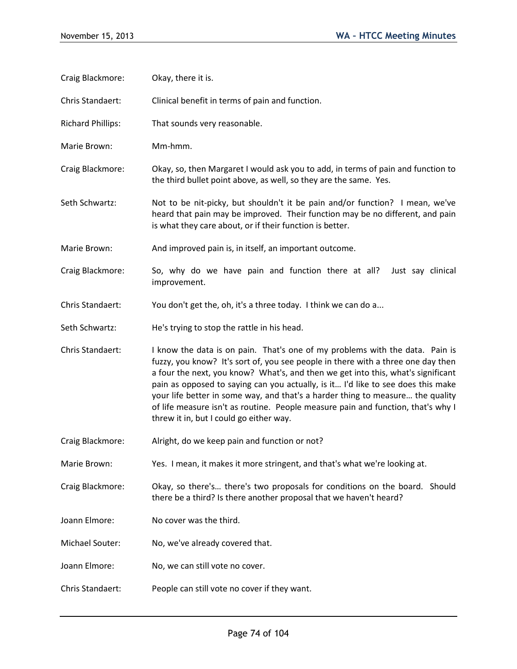Craig Blackmore: Okay, there it is. Chris Standaert: Clinical benefit in terms of pain and function. Richard Phillips: That sounds very reasonable. Marie Brown: Mm-hmm. Craig Blackmore: Okay, so, then Margaret I would ask you to add, in terms of pain and function to the third bullet point above, as well, so they are the same. Yes. Seth Schwartz: Not to be nit-picky, but shouldn't it be pain and/or function? I mean, we've heard that pain may be improved. Their function may be no different, and pain is what they care about, or if their function is better. Marie Brown: And improved pain is, in itself, an important outcome. Craig Blackmore: So, why do we have pain and function there at all? Just say clinical improvement. Chris Standaert: You don't get the, oh, it's a three today. I think we can do a... Seth Schwartz: He's trying to stop the rattle in his head. Chris Standaert: I know the data is on pain. That's one of my problems with the data. Pain is fuzzy, you know? It's sort of, you see people in there with a three one day then a four the next, you know? What's, and then we get into this, what's significant pain as opposed to saying can you actually, is it… I'd like to see does this make your life better in some way, and that's a harder thing to measure… the quality of life measure isn't as routine. People measure pain and function, that's why I threw it in, but I could go either way. Craig Blackmore: Alright, do we keep pain and function or not? Marie Brown: Yes. I mean, it makes it more stringent, and that's what we're looking at. Craig Blackmore: Okay, so there's… there's two proposals for conditions on the board. Should there be a third? Is there another proposal that we haven't heard? Joann Elmore: No cover was the third. Michael Souter: No, we've already covered that. Joann Elmore: No, we can still vote no cover. Chris Standaert: People can still vote no cover if they want.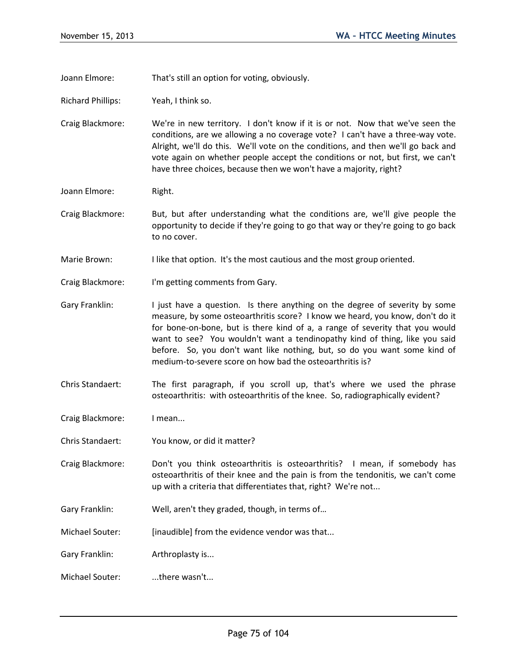Joann Elmore: That's still an option for voting, obviously.

Richard Phillips: Yeah, I think so.

Craig Blackmore: We're in new territory. I don't know if it is or not. Now that we've seen the conditions, are we allowing a no coverage vote? I can't have a three-way vote. Alright, we'll do this. We'll vote on the conditions, and then we'll go back and vote again on whether people accept the conditions or not, but first, we can't have three choices, because then we won't have a majority, right?

- Joann Elmore: Right.
- Craig Blackmore: But, but after understanding what the conditions are, we'll give people the opportunity to decide if they're going to go that way or they're going to go back to no cover.
- Marie Brown: I like that option. It's the most cautious and the most group oriented.
- Craig Blackmore: I'm getting comments from Gary.
- Gary Franklin: I just have a question. Is there anything on the degree of severity by some measure, by some osteoarthritis score? I know we heard, you know, don't do it for bone-on-bone, but is there kind of a, a range of severity that you would want to see? You wouldn't want a tendinopathy kind of thing, like you said before. So, you don't want like nothing, but, so do you want some kind of medium-to-severe score on how bad the osteoarthritis is?
- Chris Standaert: The first paragraph, if you scroll up, that's where we used the phrase osteoarthritis: with osteoarthritis of the knee. So, radiographically evident?
- Craig Blackmore: I mean...
- Chris Standaert: You know, or did it matter?
- Craig Blackmore: Don't you think osteoarthritis is osteoarthritis? I mean, if somebody has osteoarthritis of their knee and the pain is from the tendonitis, we can't come up with a criteria that differentiates that, right? We're not...
- Gary Franklin: Well, aren't they graded, though, in terms of…
- Michael Souter: [inaudible] from the evidence vendor was that...
- Gary Franklin: Arthroplasty is...
- Michael Souter: ...there wasn't...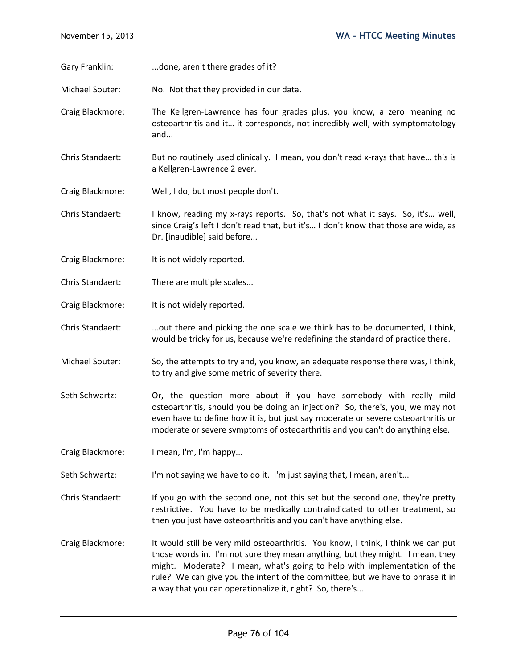- Gary Franklin: ...done, aren't there grades of it?
- Michael Souter: No. Not that they provided in our data.
- Craig Blackmore: The Kellgren-Lawrence has four grades plus, you know, a zero meaning no osteoarthritis and it… it corresponds, not incredibly well, with symptomatology and...
- Chris Standaert: But no routinely used clinically. I mean, you don't read x-rays that have… this is a Kellgren-Lawrence 2 ever.
- Craig Blackmore: Well, I do, but most people don't.
- Chris Standaert: I know, reading my x-rays reports. So, that's not what it says. So, it's… well, since Craig's left I don't read that, but it's… I don't know that those are wide, as Dr. [inaudible] said before...
- Craig Blackmore: It is not widely reported.
- Chris Standaert: There are multiple scales...
- Craig Blackmore: It is not widely reported.
- Chris Standaert: ....out there and picking the one scale we think has to be documented, I think, would be tricky for us, because we're redefining the standard of practice there.
- Michael Souter: So, the attempts to try and, you know, an adequate response there was, I think, to try and give some metric of severity there.
- Seth Schwartz: Or, the question more about if you have somebody with really mild osteoarthritis, should you be doing an injection? So, there's, you, we may not even have to define how it is, but just say moderate or severe osteoarthritis or moderate or severe symptoms of osteoarthritis and you can't do anything else.
- Craig Blackmore: I mean, I'm, I'm happy...
- Seth Schwartz: I'm not saying we have to do it. I'm just saying that, I mean, aren't...
- Chris Standaert: If you go with the second one, not this set but the second one, they're pretty restrictive. You have to be medically contraindicated to other treatment, so then you just have osteoarthritis and you can't have anything else.
- Craig Blackmore: It would still be very mild osteoarthritis. You know, I think, I think we can put those words in. I'm not sure they mean anything, but they might. I mean, they might. Moderate? I mean, what's going to help with implementation of the rule? We can give you the intent of the committee, but we have to phrase it in a way that you can operationalize it, right? So, there's...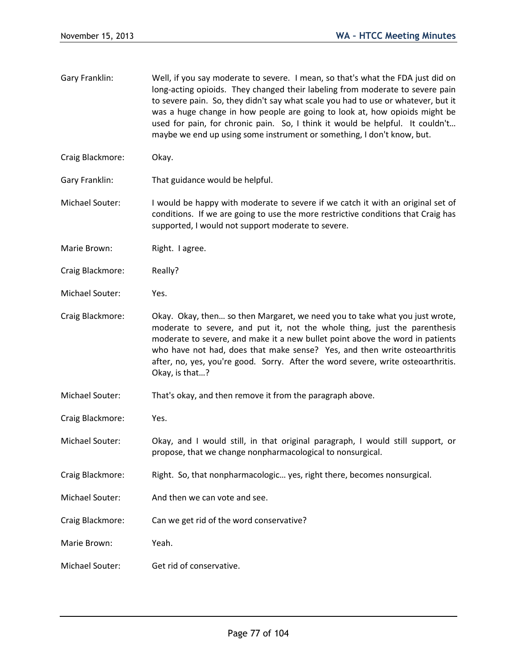- Gary Franklin: Well, if you say moderate to severe. I mean, so that's what the FDA just did on long-acting opioids. They changed their labeling from moderate to severe pain to severe pain. So, they didn't say what scale you had to use or whatever, but it was a huge change in how people are going to look at, how opioids might be used for pain, for chronic pain. So, I think it would be helpful. It couldn't… maybe we end up using some instrument or something, I don't know, but.
- Craig Blackmore: Okay.
- Gary Franklin: That guidance would be helpful.
- Michael Souter: I would be happy with moderate to severe if we catch it with an original set of conditions. If we are going to use the more restrictive conditions that Craig has supported, I would not support moderate to severe.
- Marie Brown: Right. I agree.
- Craig Blackmore: Really?
- Michael Souter: Yes.
- Craig Blackmore: Okay. Okay, then… so then Margaret, we need you to take what you just wrote, moderate to severe, and put it, not the whole thing, just the parenthesis moderate to severe, and make it a new bullet point above the word in patients who have not had, does that make sense? Yes, and then write osteoarthritis after, no, yes, you're good. Sorry. After the word severe, write osteoarthritis. Okay, is that…?
- Michael Souter: That's okay, and then remove it from the paragraph above.
- Craig Blackmore: Yes.
- Michael Souter: Okay, and I would still, in that original paragraph, I would still support, or propose, that we change nonpharmacological to nonsurgical.
- Craig Blackmore: Right. So, that nonpharmacologic… yes, right there, becomes nonsurgical.
- Michael Souter: And then we can vote and see.
- Craig Blackmore: Can we get rid of the word conservative?
- Marie Brown: Yeah.
- Michael Souter: Get rid of conservative.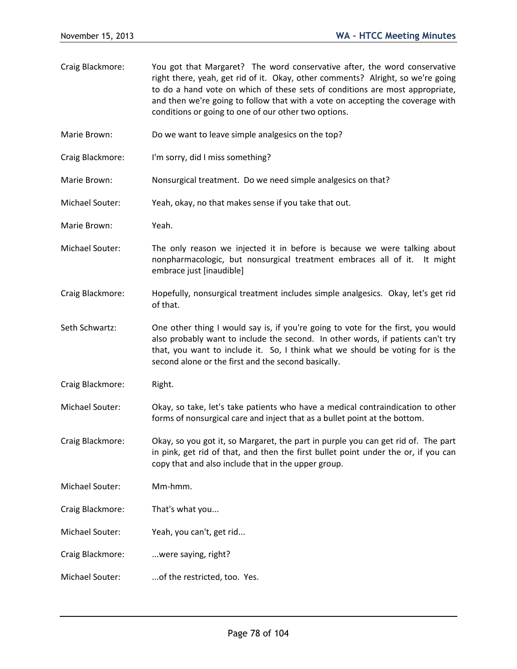- Craig Blackmore: You got that Margaret? The word conservative after, the word conservative right there, yeah, get rid of it. Okay, other comments? Alright, so we're going to do a hand vote on which of these sets of conditions are most appropriate, and then we're going to follow that with a vote on accepting the coverage with conditions or going to one of our other two options.
- Marie Brown: Do we want to leave simple analgesics on the top?
- Craig Blackmore: I'm sorry, did I miss something?
- Marie Brown: Nonsurgical treatment. Do we need simple analgesics on that?
- Michael Souter: Yeah, okay, no that makes sense if you take that out.
- Marie Brown: Yeah.
- Michael Souter: The only reason we injected it in before is because we were talking about nonpharmacologic, but nonsurgical treatment embraces all of it. It might embrace just [inaudible]
- Craig Blackmore: Hopefully, nonsurgical treatment includes simple analgesics. Okay, let's get rid of that.
- Seth Schwartz: One other thing I would say is, if you're going to vote for the first, you would also probably want to include the second. In other words, if patients can't try that, you want to include it. So, I think what we should be voting for is the second alone or the first and the second basically.
- Craig Blackmore: Right.
- Michael Souter: Okay, so take, let's take patients who have a medical contraindication to other forms of nonsurgical care and inject that as a bullet point at the bottom.
- Craig Blackmore: Okay, so you got it, so Margaret, the part in purple you can get rid of. The part in pink, get rid of that, and then the first bullet point under the or, if you can copy that and also include that in the upper group.
- Michael Souter: Mm-hmm.
- Craig Blackmore: That's what you...
- Michael Souter: Yeah, you can't, get rid...
- Craig Blackmore: ...were saying, right?
- Michael Souter: ...of the restricted, too. Yes.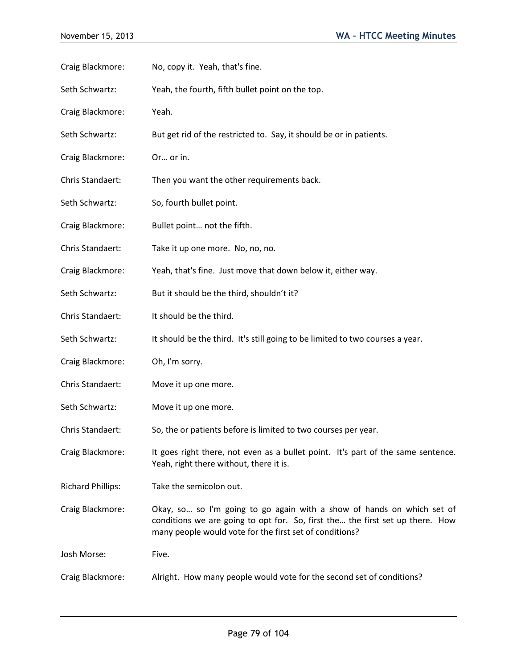| Craig Blackmore:         | No, copy it. Yeah, that's fine.                                                                                                                                                                                    |
|--------------------------|--------------------------------------------------------------------------------------------------------------------------------------------------------------------------------------------------------------------|
| Seth Schwartz:           | Yeah, the fourth, fifth bullet point on the top.                                                                                                                                                                   |
| Craig Blackmore:         | Yeah.                                                                                                                                                                                                              |
| Seth Schwartz:           | But get rid of the restricted to. Say, it should be or in patients.                                                                                                                                                |
| Craig Blackmore:         | Or or in.                                                                                                                                                                                                          |
| Chris Standaert:         | Then you want the other requirements back.                                                                                                                                                                         |
| Seth Schwartz:           | So, fourth bullet point.                                                                                                                                                                                           |
| Craig Blackmore:         | Bullet point not the fifth.                                                                                                                                                                                        |
| Chris Standaert:         | Take it up one more. No, no, no.                                                                                                                                                                                   |
| Craig Blackmore:         | Yeah, that's fine. Just move that down below it, either way.                                                                                                                                                       |
| Seth Schwartz:           | But it should be the third, shouldn't it?                                                                                                                                                                          |
| Chris Standaert:         | It should be the third.                                                                                                                                                                                            |
| Seth Schwartz:           | It should be the third. It's still going to be limited to two courses a year.                                                                                                                                      |
| Craig Blackmore:         | Oh, I'm sorry.                                                                                                                                                                                                     |
| Chris Standaert:         | Move it up one more.                                                                                                                                                                                               |
| Seth Schwartz:           | Move it up one more.                                                                                                                                                                                               |
| Chris Standaert:         | So, the or patients before is limited to two courses per year.                                                                                                                                                     |
| Craig Blackmore:         | It goes right there, not even as a bullet point. It's part of the same sentence.<br>Yeah, right there without, there it is.                                                                                        |
| <b>Richard Phillips:</b> | Take the semicolon out.                                                                                                                                                                                            |
| Craig Blackmore:         | Okay, so so I'm going to go again with a show of hands on which set of<br>conditions we are going to opt for. So, first the the first set up there. How<br>many people would vote for the first set of conditions? |
| Josh Morse:              | Five.                                                                                                                                                                                                              |
| Craig Blackmore:         | Alright. How many people would vote for the second set of conditions?                                                                                                                                              |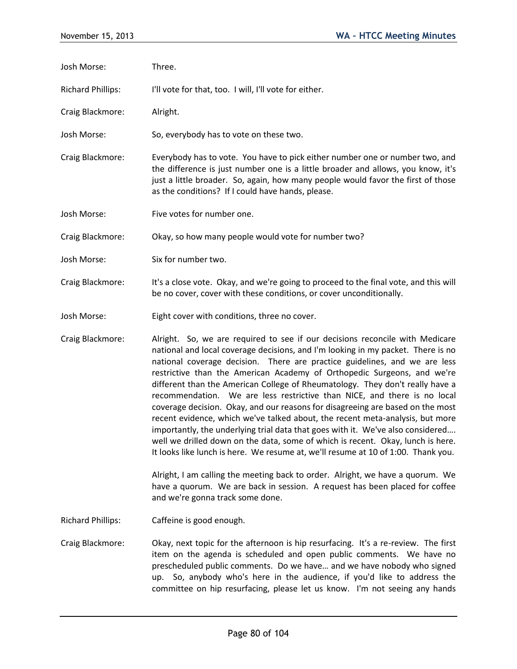- Josh Morse: Three. Richard Phillips: I'll vote for that, too. I will, I'll vote for either. Craig Blackmore: Alright. Josh Morse: So, everybody has to vote on these two.
- Craig Blackmore: Everybody has to vote. You have to pick either number one or number two, and the difference is just number one is a little broader and allows, you know, it's just a little broader. So, again, how many people would favor the first of those as the conditions? If I could have hands, please.
- Josh Morse: Five votes for number one.

Craig Blackmore: Okay, so how many people would vote for number two?

- Josh Morse: Six for number two.
- Craig Blackmore: It's a close vote. Okay, and we're going to proceed to the final vote, and this will be no cover, cover with these conditions, or cover unconditionally.
- Josh Morse: Eight cover with conditions, three no cover.
- Craig Blackmore: Alright. So, we are required to see if our decisions reconcile with Medicare national and local coverage decisions, and I'm looking in my packet. There is no national coverage decision. There are practice guidelines, and we are less restrictive than the American Academy of Orthopedic Surgeons, and we're different than the American College of Rheumatology. They don't really have a recommendation. We are less restrictive than NICE, and there is no local coverage decision. Okay, and our reasons for disagreeing are based on the most recent evidence, which we've talked about, the recent meta-analysis, but more importantly, the underlying trial data that goes with it. We've also considered…. well we drilled down on the data, some of which is recent. Okay, lunch is here. It looks like lunch is here. We resume at, we'll resume at 10 of 1:00. Thank you.

Alright, I am calling the meeting back to order. Alright, we have a quorum. We have a quorum. We are back in session. A request has been placed for coffee and we're gonna track some done.

Richard Phillips: Caffeine is good enough.

Craig Blackmore: Okay, next topic for the afternoon is hip resurfacing. It's a re-review. The first item on the agenda is scheduled and open public comments. We have no prescheduled public comments. Do we have… and we have nobody who signed up. So, anybody who's here in the audience, if you'd like to address the committee on hip resurfacing, please let us know. I'm not seeing any hands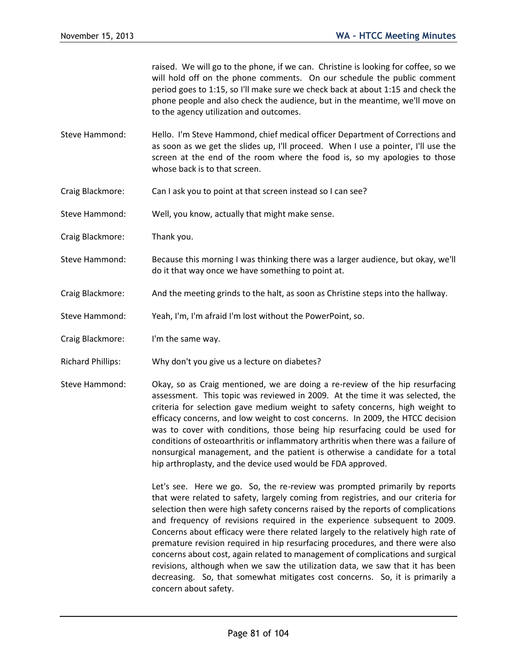raised. We will go to the phone, if we can. Christine is looking for coffee, so we will hold off on the phone comments. On our schedule the public comment period goes to 1:15, so I'll make sure we check back at about 1:15 and check the phone people and also check the audience, but in the meantime, we'll move on to the agency utilization and outcomes.

- Steve Hammond: Hello. I'm Steve Hammond, chief medical officer Department of Corrections and as soon as we get the slides up, I'll proceed. When I use a pointer, I'll use the screen at the end of the room where the food is, so my apologies to those whose back is to that screen.
- Craig Blackmore: Can I ask you to point at that screen instead so I can see?
- Steve Hammond: Well, you know, actually that might make sense.
- Craig Blackmore: Thank you.
- Steve Hammond: Because this morning I was thinking there was a larger audience, but okay, we'll do it that way once we have something to point at.
- Craig Blackmore: And the meeting grinds to the halt, as soon as Christine steps into the hallway.
- Steve Hammond: Yeah, I'm, I'm afraid I'm lost without the PowerPoint, so.
- Craig Blackmore: I'm the same way.
- Richard Phillips: Why don't you give us a lecture on diabetes?
- Steve Hammond: Okay, so as Craig mentioned, we are doing a re-review of the hip resurfacing assessment. This topic was reviewed in 2009. At the time it was selected, the criteria for selection gave medium weight to safety concerns, high weight to efficacy concerns, and low weight to cost concerns. In 2009, the HTCC decision was to cover with conditions, those being hip resurfacing could be used for conditions of osteoarthritis or inflammatory arthritis when there was a failure of nonsurgical management, and the patient is otherwise a candidate for a total hip arthroplasty, and the device used would be FDA approved.

Let's see. Here we go. So, the re-review was prompted primarily by reports that were related to safety, largely coming from registries, and our criteria for selection then were high safety concerns raised by the reports of complications and frequency of revisions required in the experience subsequent to 2009. Concerns about efficacy were there related largely to the relatively high rate of premature revision required in hip resurfacing procedures, and there were also concerns about cost, again related to management of complications and surgical revisions, although when we saw the utilization data, we saw that it has been decreasing. So, that somewhat mitigates cost concerns. So, it is primarily a concern about safety.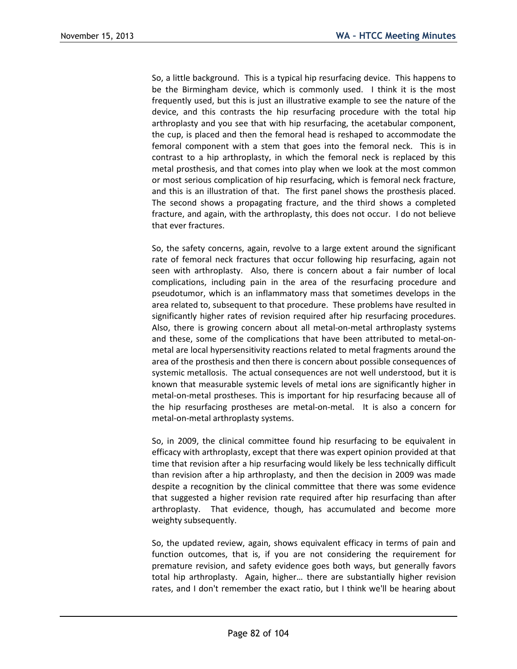So, a little background. This is a typical hip resurfacing device. This happens to be the Birmingham device, which is commonly used. I think it is the most frequently used, but this is just an illustrative example to see the nature of the device, and this contrasts the hip resurfacing procedure with the total hip arthroplasty and you see that with hip resurfacing, the acetabular component, the cup, is placed and then the femoral head is reshaped to accommodate the femoral component with a stem that goes into the femoral neck. This is in contrast to a hip arthroplasty, in which the femoral neck is replaced by this metal prosthesis, and that comes into play when we look at the most common or most serious complication of hip resurfacing, which is femoral neck fracture, and this is an illustration of that. The first panel shows the prosthesis placed. The second shows a propagating fracture, and the third shows a completed fracture, and again, with the arthroplasty, this does not occur. I do not believe that ever fractures.

So, the safety concerns, again, revolve to a large extent around the significant rate of femoral neck fractures that occur following hip resurfacing, again not seen with arthroplasty. Also, there is concern about a fair number of local complications, including pain in the area of the resurfacing procedure and pseudotumor, which is an inflammatory mass that sometimes develops in the area related to, subsequent to that procedure. These problems have resulted in significantly higher rates of revision required after hip resurfacing procedures. Also, there is growing concern about all metal-on-metal arthroplasty systems and these, some of the complications that have been attributed to metal-onmetal are local hypersensitivity reactions related to metal fragments around the area of the prosthesis and then there is concern about possible consequences of systemic metallosis. The actual consequences are not well understood, but it is known that measurable systemic levels of metal ions are significantly higher in metal-on-metal prostheses. This is important for hip resurfacing because all of the hip resurfacing prostheses are metal-on-metal. It is also a concern for metal-on-metal arthroplasty systems.

So, in 2009, the clinical committee found hip resurfacing to be equivalent in efficacy with arthroplasty, except that there was expert opinion provided at that time that revision after a hip resurfacing would likely be less technically difficult than revision after a hip arthroplasty, and then the decision in 2009 was made despite a recognition by the clinical committee that there was some evidence that suggested a higher revision rate required after hip resurfacing than after arthroplasty. That evidence, though, has accumulated and become more weighty subsequently.

So, the updated review, again, shows equivalent efficacy in terms of pain and function outcomes, that is, if you are not considering the requirement for premature revision, and safety evidence goes both ways, but generally favors total hip arthroplasty. Again, higher… there are substantially higher revision rates, and I don't remember the exact ratio, but I think we'll be hearing about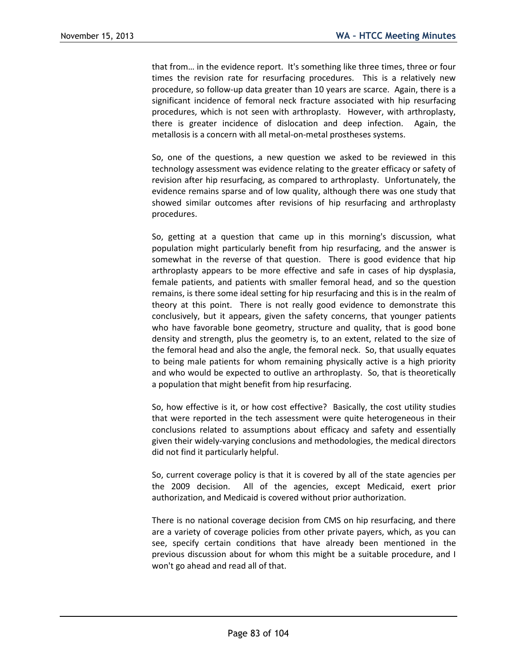that from… in the evidence report. It's something like three times, three or four times the revision rate for resurfacing procedures. This is a relatively new procedure, so follow-up data greater than 10 years are scarce. Again, there is a significant incidence of femoral neck fracture associated with hip resurfacing procedures, which is not seen with arthroplasty. However, with arthroplasty, there is greater incidence of dislocation and deep infection. Again, the metallosis is a concern with all metal-on-metal prostheses systems.

So, one of the questions, a new question we asked to be reviewed in this technology assessment was evidence relating to the greater efficacy or safety of revision after hip resurfacing, as compared to arthroplasty. Unfortunately, the evidence remains sparse and of low quality, although there was one study that showed similar outcomes after revisions of hip resurfacing and arthroplasty procedures.

So, getting at a question that came up in this morning's discussion, what population might particularly benefit from hip resurfacing, and the answer is somewhat in the reverse of that question. There is good evidence that hip arthroplasty appears to be more effective and safe in cases of hip dysplasia, female patients, and patients with smaller femoral head, and so the question remains, is there some ideal setting for hip resurfacing and this is in the realm of theory at this point. There is not really good evidence to demonstrate this conclusively, but it appears, given the safety concerns, that younger patients who have favorable bone geometry, structure and quality, that is good bone density and strength, plus the geometry is, to an extent, related to the size of the femoral head and also the angle, the femoral neck. So, that usually equates to being male patients for whom remaining physically active is a high priority and who would be expected to outlive an arthroplasty. So, that is theoretically a population that might benefit from hip resurfacing.

So, how effective is it, or how cost effective? Basically, the cost utility studies that were reported in the tech assessment were quite heterogeneous in their conclusions related to assumptions about efficacy and safety and essentially given their widely-varying conclusions and methodologies, the medical directors did not find it particularly helpful.

So, current coverage policy is that it is covered by all of the state agencies per the 2009 decision. All of the agencies, except Medicaid, exert prior authorization, and Medicaid is covered without prior authorization.

There is no national coverage decision from CMS on hip resurfacing, and there are a variety of coverage policies from other private payers, which, as you can see, specify certain conditions that have already been mentioned in the previous discussion about for whom this might be a suitable procedure, and I won't go ahead and read all of that.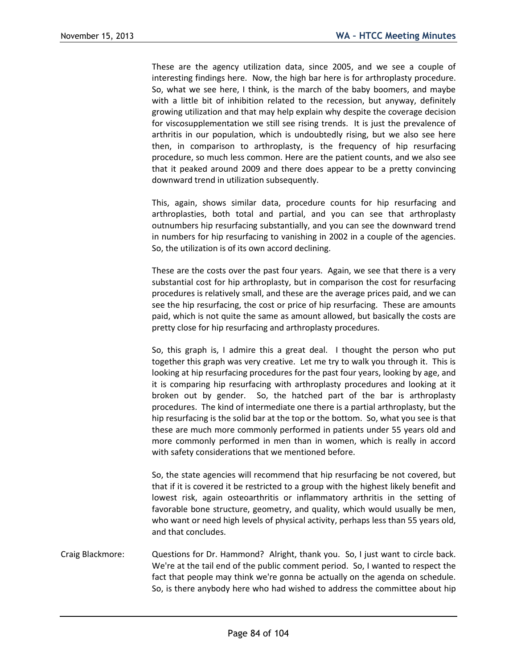These are the agency utilization data, since 2005, and we see a couple of interesting findings here. Now, the high bar here is for arthroplasty procedure. So, what we see here, I think, is the march of the baby boomers, and maybe with a little bit of inhibition related to the recession, but anyway, definitely growing utilization and that may help explain why despite the coverage decision for viscosupplementation we still see rising trends. It is just the prevalence of arthritis in our population, which is undoubtedly rising, but we also see here then, in comparison to arthroplasty, is the frequency of hip resurfacing procedure, so much less common. Here are the patient counts, and we also see that it peaked around 2009 and there does appear to be a pretty convincing downward trend in utilization subsequently.

This, again, shows similar data, procedure counts for hip resurfacing and arthroplasties, both total and partial, and you can see that arthroplasty outnumbers hip resurfacing substantially, and you can see the downward trend in numbers for hip resurfacing to vanishing in 2002 in a couple of the agencies. So, the utilization is of its own accord declining.

These are the costs over the past four years. Again, we see that there is a very substantial cost for hip arthroplasty, but in comparison the cost for resurfacing procedures is relatively small, and these are the average prices paid, and we can see the hip resurfacing, the cost or price of hip resurfacing. These are amounts paid, which is not quite the same as amount allowed, but basically the costs are pretty close for hip resurfacing and arthroplasty procedures.

So, this graph is, I admire this a great deal. I thought the person who put together this graph was very creative. Let me try to walk you through it. This is looking at hip resurfacing procedures for the past four years, looking by age, and it is comparing hip resurfacing with arthroplasty procedures and looking at it broken out by gender. So, the hatched part of the bar is arthroplasty procedures. The kind of intermediate one there is a partial arthroplasty, but the hip resurfacing is the solid bar at the top or the bottom. So, what you see is that these are much more commonly performed in patients under 55 years old and more commonly performed in men than in women, which is really in accord with safety considerations that we mentioned before.

So, the state agencies will recommend that hip resurfacing be not covered, but that if it is covered it be restricted to a group with the highest likely benefit and lowest risk, again osteoarthritis or inflammatory arthritis in the setting of favorable bone structure, geometry, and quality, which would usually be men, who want or need high levels of physical activity, perhaps less than 55 years old, and that concludes.

Craig Blackmore: Questions for Dr. Hammond? Alright, thank you. So, I just want to circle back. We're at the tail end of the public comment period. So, I wanted to respect the fact that people may think we're gonna be actually on the agenda on schedule. So, is there anybody here who had wished to address the committee about hip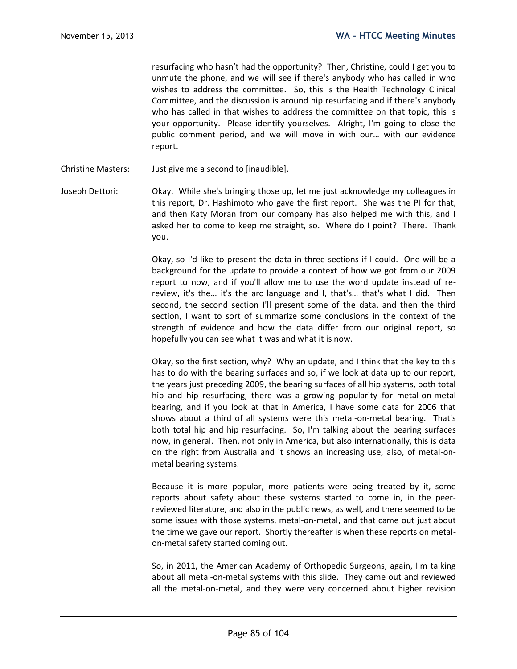resurfacing who hasn't had the opportunity? Then, Christine, could I get you to unmute the phone, and we will see if there's anybody who has called in who wishes to address the committee. So, this is the Health Technology Clinical Committee, and the discussion is around hip resurfacing and if there's anybody who has called in that wishes to address the committee on that topic, this is your opportunity. Please identify yourselves. Alright, I'm going to close the public comment period, and we will move in with our… with our evidence report.

- Christine Masters: Just give me a second to [inaudible].
- Joseph Dettori: Okay. While she's bringing those up, let me just acknowledge my colleagues in this report, Dr. Hashimoto who gave the first report. She was the PI for that, and then Katy Moran from our company has also helped me with this, and I asked her to come to keep me straight, so. Where do I point? There. Thank you.

Okay, so I'd like to present the data in three sections if I could. One will be a background for the update to provide a context of how we got from our 2009 report to now, and if you'll allow me to use the word update instead of rereview, it's the… it's the arc language and I, that's… that's what I did. Then second, the second section I'll present some of the data, and then the third section, I want to sort of summarize some conclusions in the context of the strength of evidence and how the data differ from our original report, so hopefully you can see what it was and what it is now.

Okay, so the first section, why? Why an update, and I think that the key to this has to do with the bearing surfaces and so, if we look at data up to our report, the years just preceding 2009, the bearing surfaces of all hip systems, both total hip and hip resurfacing, there was a growing popularity for metal-on-metal bearing, and if you look at that in America, I have some data for 2006 that shows about a third of all systems were this metal-on-metal bearing. That's both total hip and hip resurfacing. So, I'm talking about the bearing surfaces now, in general. Then, not only in America, but also internationally, this is data on the right from Australia and it shows an increasing use, also, of metal-onmetal bearing systems.

Because it is more popular, more patients were being treated by it, some reports about safety about these systems started to come in, in the peerreviewed literature, and also in the public news, as well, and there seemed to be some issues with those systems, metal-on-metal, and that came out just about the time we gave our report. Shortly thereafter is when these reports on metalon-metal safety started coming out.

So, in 2011, the American Academy of Orthopedic Surgeons, again, I'm talking about all metal-on-metal systems with this slide. They came out and reviewed all the metal-on-metal, and they were very concerned about higher revision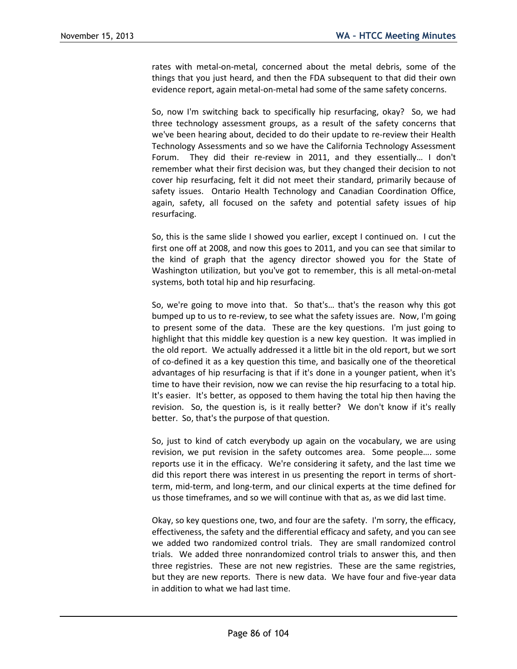rates with metal-on-metal, concerned about the metal debris, some of the things that you just heard, and then the FDA subsequent to that did their own evidence report, again metal-on-metal had some of the same safety concerns.

So, now I'm switching back to specifically hip resurfacing, okay? So, we had three technology assessment groups, as a result of the safety concerns that we've been hearing about, decided to do their update to re-review their Health Technology Assessments and so we have the California Technology Assessment Forum. They did their re-review in 2011, and they essentially… I don't remember what their first decision was, but they changed their decision to not cover hip resurfacing, felt it did not meet their standard, primarily because of safety issues. Ontario Health Technology and Canadian Coordination Office, again, safety, all focused on the safety and potential safety issues of hip resurfacing.

So, this is the same slide I showed you earlier, except I continued on. I cut the first one off at 2008, and now this goes to 2011, and you can see that similar to the kind of graph that the agency director showed you for the State of Washington utilization, but you've got to remember, this is all metal-on-metal systems, both total hip and hip resurfacing.

So, we're going to move into that. So that's… that's the reason why this got bumped up to us to re-review, to see what the safety issues are. Now, I'm going to present some of the data. These are the key questions. I'm just going to highlight that this middle key question is a new key question. It was implied in the old report. We actually addressed it a little bit in the old report, but we sort of co-defined it as a key question this time, and basically one of the theoretical advantages of hip resurfacing is that if it's done in a younger patient, when it's time to have their revision, now we can revise the hip resurfacing to a total hip. It's easier. It's better, as opposed to them having the total hip then having the revision. So, the question is, is it really better? We don't know if it's really better. So, that's the purpose of that question.

So, just to kind of catch everybody up again on the vocabulary, we are using revision, we put revision in the safety outcomes area. Some people…. some reports use it in the efficacy. We're considering it safety, and the last time we did this report there was interest in us presenting the report in terms of shortterm, mid-term, and long-term, and our clinical experts at the time defined for us those timeframes, and so we will continue with that as, as we did last time.

Okay, so key questions one, two, and four are the safety. I'm sorry, the efficacy, effectiveness, the safety and the differential efficacy and safety, and you can see we added two randomized control trials. They are small randomized control trials. We added three nonrandomized control trials to answer this, and then three registries. These are not new registries. These are the same registries, but they are new reports. There is new data. We have four and five-year data in addition to what we had last time.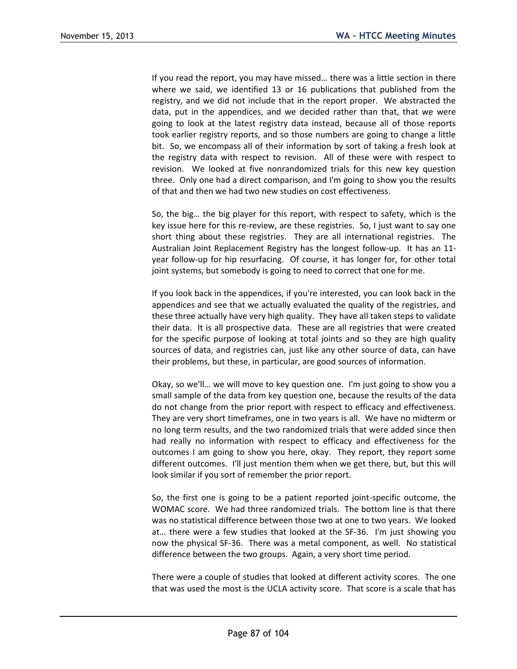If you read the report, you may have missed… there was a little section in there where we said, we identified 13 or 16 publications that published from the registry, and we did not include that in the report proper. We abstracted the data, put in the appendices, and we decided rather than that, that we were going to look at the latest registry data instead, because all of those reports took earlier registry reports, and so those numbers are going to change a little bit. So, we encompass all of their information by sort of taking a fresh look at the registry data with respect to revision. All of these were with respect to revision. We looked at five nonrandomized trials for this new key question three. Only one had a direct comparison, and I'm going to show you the results of that and then we had two new studies on cost effectiveness.

So, the big… the big player for this report, with respect to safety, which is the key issue here for this re-review, are these registries. So, I just want to say one short thing about these registries. They are all international registries. The Australian Joint Replacement Registry has the longest follow-up. It has an 11 year follow-up for hip resurfacing. Of course, it has longer for, for other total joint systems, but somebody is going to need to correct that one for me.

If you look back in the appendices, if you're interested, you can look back in the appendices and see that we actually evaluated the quality of the registries, and these three actually have very high quality. They have all taken steps to validate their data. It is all prospective data. These are all registries that were created for the specific purpose of looking at total joints and so they are high quality sources of data, and registries can, just like any other source of data, can have their problems, but these, in particular, are good sources of information.

Okay, so we'll… we will move to key question one. I'm just going to show you a small sample of the data from key question one, because the results of the data do not change from the prior report with respect to efficacy and effectiveness. They are very short timeframes, one in two years is all. We have no midterm or no long term results, and the two randomized trials that were added since then had really no information with respect to efficacy and effectiveness for the outcomes I am going to show you here, okay. They report, they report some different outcomes. I'll just mention them when we get there, but, but this will look similar if you sort of remember the prior report.

So, the first one is going to be a patient reported joint-specific outcome, the WOMAC score. We had three randomized trials. The bottom line is that there was no statistical difference between those two at one to two years. We looked at… there were a few studies that looked at the SF-36. I'm just showing you now the physical SF-36. There was a metal component, as well. No statistical difference between the two groups. Again, a very short time period.

There were a couple of studies that looked at different activity scores. The one that was used the most is the UCLA activity score. That score is a scale that has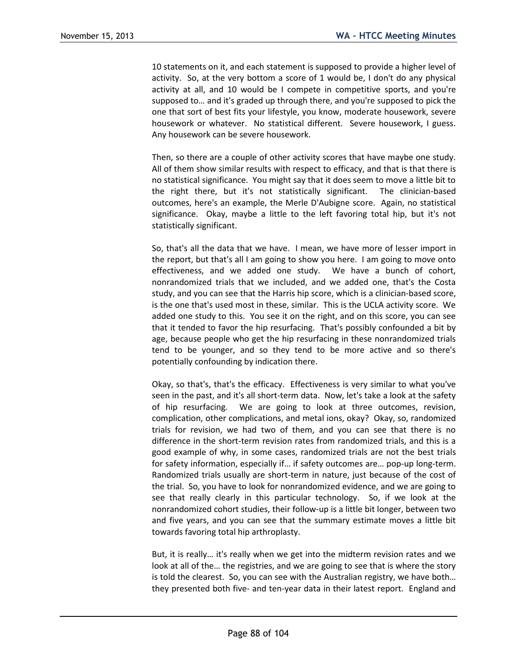10 statements on it, and each statement is supposed to provide a higher level of activity. So, at the very bottom a score of 1 would be, I don't do any physical activity at all, and 10 would be I compete in competitive sports, and you're supposed to… and it's graded up through there, and you're supposed to pick the one that sort of best fits your lifestyle, you know, moderate housework, severe housework or whatever. No statistical different. Severe housework, I guess. Any housework can be severe housework.

Then, so there are a couple of other activity scores that have maybe one study. All of them show similar results with respect to efficacy, and that is that there is no statistical significance. You might say that it does seem to move a little bit to the right there, but it's not statistically significant. The clinician-based outcomes, here's an example, the Merle D'Aubigne score. Again, no statistical significance. Okay, maybe a little to the left favoring total hip, but it's not statistically significant.

So, that's all the data that we have. I mean, we have more of lesser import in the report, but that's all I am going to show you here. I am going to move onto effectiveness, and we added one study. We have a bunch of cohort, nonrandomized trials that we included, and we added one, that's the Costa study, and you can see that the Harris hip score, which is a clinician-based score, is the one that's used most in these, similar. This is the UCLA activity score. We added one study to this. You see it on the right, and on this score, you can see that it tended to favor the hip resurfacing. That's possibly confounded a bit by age, because people who get the hip resurfacing in these nonrandomized trials tend to be younger, and so they tend to be more active and so there's potentially confounding by indication there.

Okay, so that's, that's the efficacy. Effectiveness is very similar to what you've seen in the past, and it's all short-term data. Now, let's take a look at the safety of hip resurfacing. We are going to look at three outcomes, revision, complication, other complications, and metal ions, okay? Okay, so, randomized trials for revision, we had two of them, and you can see that there is no difference in the short-term revision rates from randomized trials, and this is a good example of why, in some cases, randomized trials are not the best trials for safety information, especially if… if safety outcomes are… pop-up long-term. Randomized trials usually are short-term in nature, just because of the cost of the trial. So, you have to look for nonrandomized evidence, and we are going to see that really clearly in this particular technology. So, if we look at the nonrandomized cohort studies, their follow-up is a little bit longer, between two and five years, and you can see that the summary estimate moves a little bit towards favoring total hip arthroplasty.

But, it is really… it's really when we get into the midterm revision rates and we look at all of the… the registries, and we are going to see that is where the story is told the clearest. So, you can see with the Australian registry, we have both… they presented both five- and ten-year data in their latest report. England and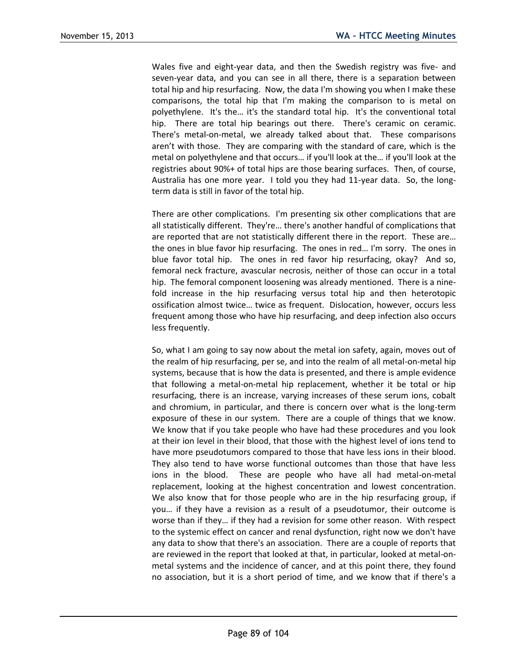Wales five and eight-year data, and then the Swedish registry was five- and seven-year data, and you can see in all there, there is a separation between total hip and hip resurfacing. Now, the data I'm showing you when I make these comparisons, the total hip that I'm making the comparison to is metal on polyethylene. It's the… it's the standard total hip. It's the conventional total hip. There are total hip bearings out there. There's ceramic on ceramic. There's metal-on-metal, we already talked about that. These comparisons aren't with those. They are comparing with the standard of care, which is the metal on polyethylene and that occurs… if you'll look at the… if you'll look at the registries about 90%+ of total hips are those bearing surfaces. Then, of course, Australia has one more year. I told you they had 11-year data. So, the longterm data is still in favor of the total hip.

There are other complications. I'm presenting six other complications that are all statistically different. They're… there's another handful of complications that are reported that are not statistically different there in the report. These are… the ones in blue favor hip resurfacing. The ones in red… I'm sorry. The ones in blue favor total hip. The ones in red favor hip resurfacing, okay? And so, femoral neck fracture, avascular necrosis, neither of those can occur in a total hip. The femoral component loosening was already mentioned. There is a ninefold increase in the hip resurfacing versus total hip and then heterotopic ossification almost twice… twice as frequent. Dislocation, however, occurs less frequent among those who have hip resurfacing, and deep infection also occurs less frequently.

So, what I am going to say now about the metal ion safety, again, moves out of the realm of hip resurfacing, per se, and into the realm of all metal-on-metal hip systems, because that is how the data is presented, and there is ample evidence that following a metal-on-metal hip replacement, whether it be total or hip resurfacing, there is an increase, varying increases of these serum ions, cobalt and chromium, in particular, and there is concern over what is the long-term exposure of these in our system. There are a couple of things that we know. We know that if you take people who have had these procedures and you look at their ion level in their blood, that those with the highest level of ions tend to have more pseudotumors compared to those that have less ions in their blood. They also tend to have worse functional outcomes than those that have less ions in the blood. These are people who have all had metal-on-metal replacement, looking at the highest concentration and lowest concentration. We also know that for those people who are in the hip resurfacing group, if you… if they have a revision as a result of a pseudotumor, their outcome is worse than if they… if they had a revision for some other reason. With respect to the systemic effect on cancer and renal dysfunction, right now we don't have any data to show that there's an association. There are a couple of reports that are reviewed in the report that looked at that, in particular, looked at metal-onmetal systems and the incidence of cancer, and at this point there, they found no association, but it is a short period of time, and we know that if there's a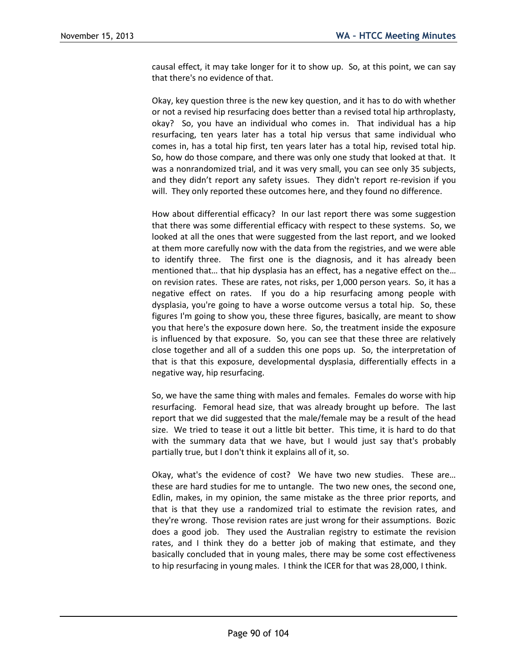causal effect, it may take longer for it to show up. So, at this point, we can say that there's no evidence of that.

Okay, key question three is the new key question, and it has to do with whether or not a revised hip resurfacing does better than a revised total hip arthroplasty, okay? So, you have an individual who comes in. That individual has a hip resurfacing, ten years later has a total hip versus that same individual who comes in, has a total hip first, ten years later has a total hip, revised total hip. So, how do those compare, and there was only one study that looked at that. It was a nonrandomized trial, and it was very small, you can see only 35 subjects, and they didn't report any safety issues. They didn't report re-revision if you will. They only reported these outcomes here, and they found no difference.

How about differential efficacy? In our last report there was some suggestion that there was some differential efficacy with respect to these systems. So, we looked at all the ones that were suggested from the last report, and we looked at them more carefully now with the data from the registries, and we were able to identify three. The first one is the diagnosis, and it has already been mentioned that… that hip dysplasia has an effect, has a negative effect on the… on revision rates. These are rates, not risks, per 1,000 person years. So, it has a negative effect on rates. If you do a hip resurfacing among people with dysplasia, you're going to have a worse outcome versus a total hip. So, these figures I'm going to show you, these three figures, basically, are meant to show you that here's the exposure down here. So, the treatment inside the exposure is influenced by that exposure. So, you can see that these three are relatively close together and all of a sudden this one pops up. So, the interpretation of that is that this exposure, developmental dysplasia, differentially effects in a negative way, hip resurfacing.

So, we have the same thing with males and females. Females do worse with hip resurfacing. Femoral head size, that was already brought up before. The last report that we did suggested that the male/female may be a result of the head size. We tried to tease it out a little bit better. This time, it is hard to do that with the summary data that we have, but I would just say that's probably partially true, but I don't think it explains all of it, so.

Okay, what's the evidence of cost? We have two new studies. These are… these are hard studies for me to untangle. The two new ones, the second one, Edlin, makes, in my opinion, the same mistake as the three prior reports, and that is that they use a randomized trial to estimate the revision rates, and they're wrong. Those revision rates are just wrong for their assumptions. Bozic does a good job. They used the Australian registry to estimate the revision rates, and I think they do a better job of making that estimate, and they basically concluded that in young males, there may be some cost effectiveness to hip resurfacing in young males. I think the ICER for that was 28,000, I think.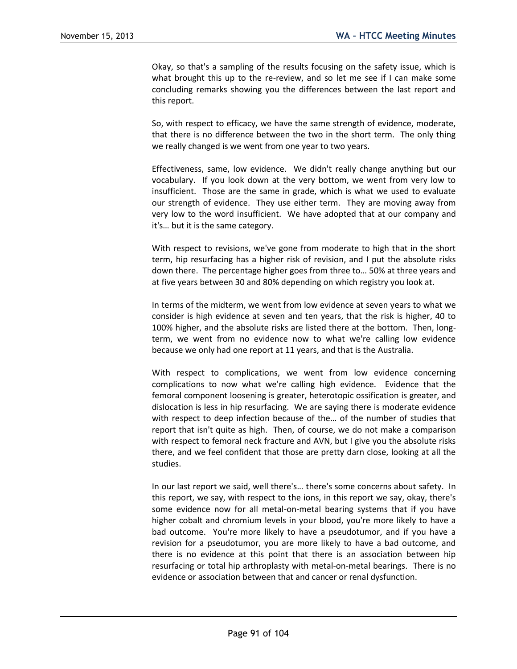Okay, so that's a sampling of the results focusing on the safety issue, which is what brought this up to the re-review, and so let me see if I can make some concluding remarks showing you the differences between the last report and this report.

So, with respect to efficacy, we have the same strength of evidence, moderate, that there is no difference between the two in the short term. The only thing we really changed is we went from one year to two years.

Effectiveness, same, low evidence. We didn't really change anything but our vocabulary. If you look down at the very bottom, we went from very low to insufficient. Those are the same in grade, which is what we used to evaluate our strength of evidence. They use either term. They are moving away from very low to the word insufficient. We have adopted that at our company and it's… but it is the same category.

With respect to revisions, we've gone from moderate to high that in the short term, hip resurfacing has a higher risk of revision, and I put the absolute risks down there. The percentage higher goes from three to… 50% at three years and at five years between 30 and 80% depending on which registry you look at.

In terms of the midterm, we went from low evidence at seven years to what we consider is high evidence at seven and ten years, that the risk is higher, 40 to 100% higher, and the absolute risks are listed there at the bottom. Then, longterm, we went from no evidence now to what we're calling low evidence because we only had one report at 11 years, and that is the Australia.

With respect to complications, we went from low evidence concerning complications to now what we're calling high evidence. Evidence that the femoral component loosening is greater, heterotopic ossification is greater, and dislocation is less in hip resurfacing. We are saying there is moderate evidence with respect to deep infection because of the… of the number of studies that report that isn't quite as high. Then, of course, we do not make a comparison with respect to femoral neck fracture and AVN, but I give you the absolute risks there, and we feel confident that those are pretty darn close, looking at all the studies.

In our last report we said, well there's… there's some concerns about safety. In this report, we say, with respect to the ions, in this report we say, okay, there's some evidence now for all metal-on-metal bearing systems that if you have higher cobalt and chromium levels in your blood, you're more likely to have a bad outcome. You're more likely to have a pseudotumor, and if you have a revision for a pseudotumor, you are more likely to have a bad outcome, and there is no evidence at this point that there is an association between hip resurfacing or total hip arthroplasty with metal-on-metal bearings. There is no evidence or association between that and cancer or renal dysfunction.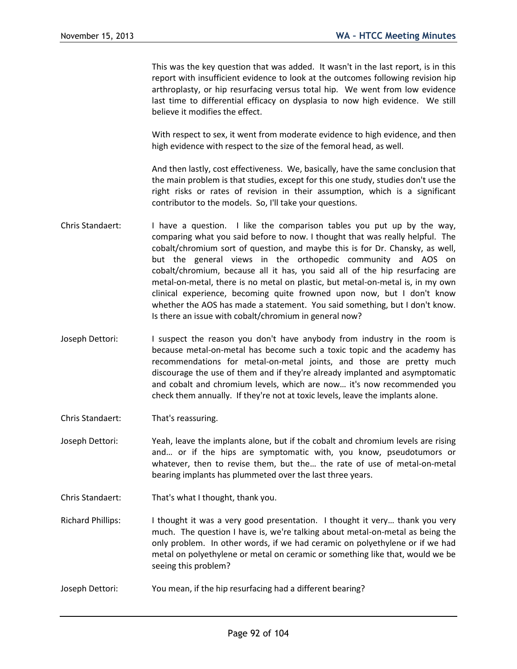This was the key question that was added. It wasn't in the last report, is in this report with insufficient evidence to look at the outcomes following revision hip arthroplasty, or hip resurfacing versus total hip. We went from low evidence last time to differential efficacy on dysplasia to now high evidence. We still believe it modifies the effect.

With respect to sex, it went from moderate evidence to high evidence, and then high evidence with respect to the size of the femoral head, as well.

And then lastly, cost effectiveness. We, basically, have the same conclusion that the main problem is that studies, except for this one study, studies don't use the right risks or rates of revision in their assumption, which is a significant contributor to the models. So, I'll take your questions.

- Chris Standaert: I have a question. I like the comparison tables you put up by the way, comparing what you said before to now. I thought that was really helpful. The cobalt/chromium sort of question, and maybe this is for Dr. Chansky, as well, but the general views in the orthopedic community and AOS on cobalt/chromium, because all it has, you said all of the hip resurfacing are metal-on-metal, there is no metal on plastic, but metal-on-metal is, in my own clinical experience, becoming quite frowned upon now, but I don't know whether the AOS has made a statement. You said something, but I don't know. Is there an issue with cobalt/chromium in general now?
- Joseph Dettori: I suspect the reason you don't have anybody from industry in the room is because metal-on-metal has become such a toxic topic and the academy has recommendations for metal-on-metal joints, and those are pretty much discourage the use of them and if they're already implanted and asymptomatic and cobalt and chromium levels, which are now… it's now recommended you check them annually. If they're not at toxic levels, leave the implants alone.
- Chris Standaert: That's reassuring.
- Joseph Dettori: Yeah, leave the implants alone, but if the cobalt and chromium levels are rising and… or if the hips are symptomatic with, you know, pseudotumors or whatever, then to revise them, but the… the rate of use of metal-on-metal bearing implants has plummeted over the last three years.
- Chris Standaert: That's what I thought, thank you.
- Richard Phillips: I thought it was a very good presentation. I thought it very... thank you very much. The question I have is, we're talking about metal-on-metal as being the only problem. In other words, if we had ceramic on polyethylene or if we had metal on polyethylene or metal on ceramic or something like that, would we be seeing this problem?
- Joseph Dettori: You mean, if the hip resurfacing had a different bearing?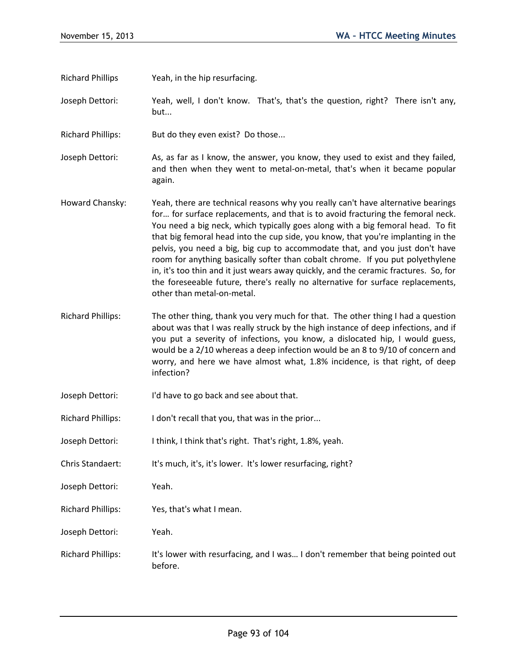Richard Phillips Yeah, in the hip resurfacing.

Joseph Dettori: Yeah, well, I don't know. That's, that's the question, right? There isn't any, but...

Richard Phillips: But do they even exist? Do those...

Joseph Dettori: As, as far as I know, the answer, you know, they used to exist and they failed, and then when they went to metal-on-metal, that's when it became popular again.

- Howard Chansky: Yeah, there are technical reasons why you really can't have alternative bearings for… for surface replacements, and that is to avoid fracturing the femoral neck. You need a big neck, which typically goes along with a big femoral head. To fit that big femoral head into the cup side, you know, that you're implanting in the pelvis, you need a big, big cup to accommodate that, and you just don't have room for anything basically softer than cobalt chrome. If you put polyethylene in, it's too thin and it just wears away quickly, and the ceramic fractures. So, for the foreseeable future, there's really no alternative for surface replacements, other than metal-on-metal.
- Richard Phillips: The other thing, thank you very much for that. The other thing I had a question about was that I was really struck by the high instance of deep infections, and if you put a severity of infections, you know, a dislocated hip, I would guess, would be a 2/10 whereas a deep infection would be an 8 to 9/10 of concern and worry, and here we have almost what, 1.8% incidence, is that right, of deep infection?
- Joseph Dettori: I'd have to go back and see about that.
- Richard Phillips: I don't recall that you, that was in the prior...
- Joseph Dettori: I think, I think that's right. That's right, 1.8%, yeah.
- Chris Standaert: It's much, it's, it's lower. It's lower resurfacing, right?
- Joseph Dettori: Yeah.
- Richard Phillips: Yes, that's what I mean.
- Joseph Dettori: Yeah.
- Richard Phillips: It's lower with resurfacing, and I was... I don't remember that being pointed out before.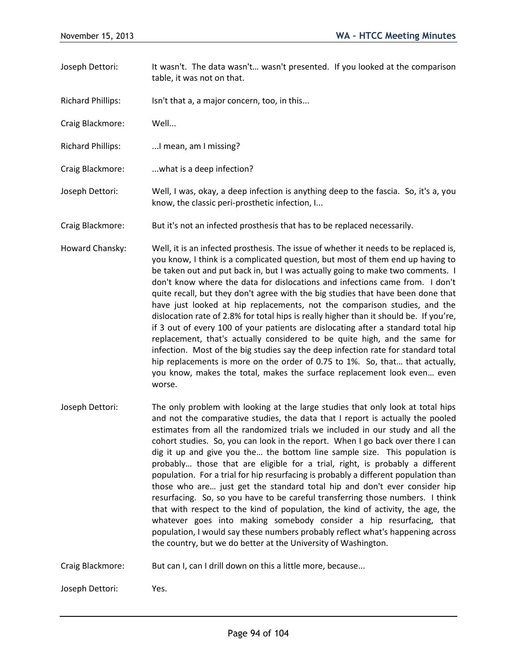- Joseph Dettori: It wasn't. The data wasn't… wasn't presented. If you looked at the comparison table, it was not on that.
- Richard Phillips: Isn't that a, a major concern, too, in this...
- Craig Blackmore: Well...
- Richard Phillips: ...I mean, am I missing?
- Craig Blackmore: ...what is a deep infection?
- Joseph Dettori: Well, I was, okay, a deep infection is anything deep to the fascia. So, it's a, you know, the classic peri-prosthetic infection, I...
- Craig Blackmore: But it's not an infected prosthesis that has to be replaced necessarily.
- Howard Chansky: Well, it is an infected prosthesis. The issue of whether it needs to be replaced is, you know, I think is a complicated question, but most of them end up having to be taken out and put back in, but I was actually going to make two comments. I don't know where the data for dislocations and infections came from. I don't quite recall, but they don't agree with the big studies that have been done that have just looked at hip replacements, not the comparison studies, and the dislocation rate of 2.8% for total hips is really higher than it should be. If you're, if 3 out of every 100 of your patients are dislocating after a standard total hip replacement, that's actually considered to be quite high, and the same for infection. Most of the big studies say the deep infection rate for standard total hip replacements is more on the order of 0.75 to 1%. So, that… that actually, you know, makes the total, makes the surface replacement look even… even worse.
- Joseph Dettori: The only problem with looking at the large studies that only look at total hips and not the comparative studies, the data that I report is actually the pooled estimates from all the randomized trials we included in our study and all the cohort studies. So, you can look in the report. When I go back over there I can dig it up and give you the… the bottom line sample size. This population is probably… those that are eligible for a trial, right, is probably a different population. For a trial for hip resurfacing is probably a different population than those who are… just get the standard total hip and don't ever consider hip resurfacing. So, so you have to be careful transferring those numbers. I think that with respect to the kind of population, the kind of activity, the age, the whatever goes into making somebody consider a hip resurfacing, that population, I would say these numbers probably reflect what's happening across the country, but we do better at the University of Washington.
- Craig Blackmore: But can I, can I drill down on this a little more, because...

Joseph Dettori: Yes.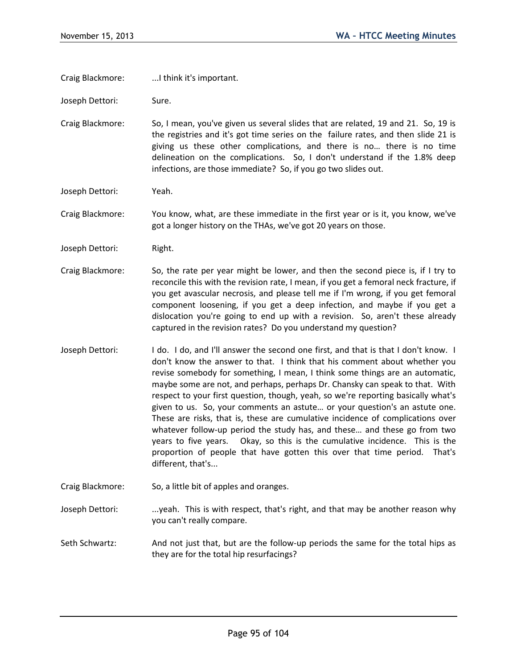Craig Blackmore: ...I think it's important.

Joseph Dettori: Sure.

Craig Blackmore: So, I mean, you've given us several slides that are related, 19 and 21. So, 19 is the registries and it's got time series on the failure rates, and then slide 21 is giving us these other complications, and there is no… there is no time delineation on the complications. So, I don't understand if the 1.8% deep infections, are those immediate? So, if you go two slides out.

Joseph Dettori: Yeah.

Craig Blackmore: You know, what, are these immediate in the first year or is it, you know, we've got a longer history on the THAs, we've got 20 years on those.

Joseph Dettori: Right.

- Craig Blackmore: So, the rate per year might be lower, and then the second piece is, if I try to reconcile this with the revision rate, I mean, if you get a femoral neck fracture, if you get avascular necrosis, and please tell me if I'm wrong, if you get femoral component loosening, if you get a deep infection, and maybe if you get a dislocation you're going to end up with a revision. So, aren't these already captured in the revision rates? Do you understand my question?
- Joseph Dettori: I do. I do, and I'll answer the second one first, and that is that I don't know. I don't know the answer to that. I think that his comment about whether you revise somebody for something, I mean, I think some things are an automatic, maybe some are not, and perhaps, perhaps Dr. Chansky can speak to that. With respect to your first question, though, yeah, so we're reporting basically what's given to us. So, your comments an astute… or your question's an astute one. These are risks, that is, these are cumulative incidence of complications over whatever follow-up period the study has, and these… and these go from two years to five years. Okay, so this is the cumulative incidence. This is the proportion of people that have gotten this over that time period. That's different, that's...

Craig Blackmore: So, a little bit of apples and oranges.

Joseph Dettori: ....yeah. This is with respect, that's right, and that may be another reason why you can't really compare.

Seth Schwartz: And not just that, but are the follow-up periods the same for the total hips as they are for the total hip resurfacings?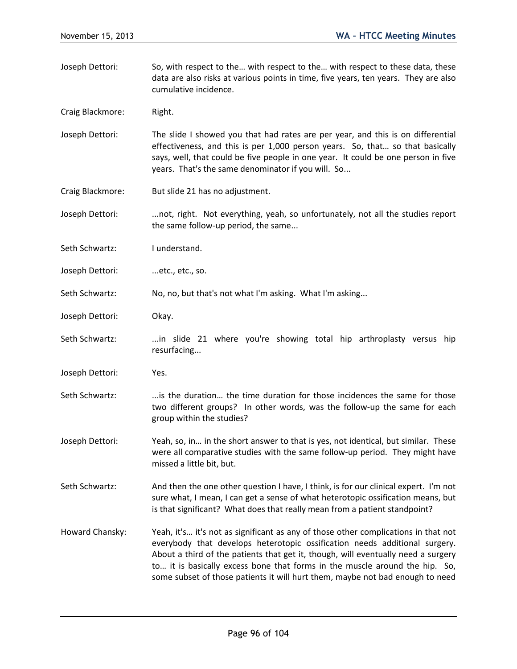Joseph Dettori: So, with respect to the… with respect to the… with respect to these data, these data are also risks at various points in time, five years, ten years. They are also cumulative incidence.

Craig Blackmore: Right.

- Joseph Dettori: The slide I showed you that had rates are per year, and this is on differential effectiveness, and this is per 1,000 person years. So, that… so that basically says, well, that could be five people in one year. It could be one person in five years. That's the same denominator if you will. So...
- Craig Blackmore: But slide 21 has no adjustment.

Joseph Dettori: ...not, right. Not everything, yeah, so unfortunately, not all the studies report the same follow-up period, the same...

Seth Schwartz: I understand.

Joseph Dettori: ...etc., etc., so.

Seth Schwartz: No, no, but that's not what I'm asking. What I'm asking...

Joseph Dettori: Okay.

- Seth Schwartz: ...in slide 21 where you're showing total hip arthroplasty versus hip resurfacing...
- Joseph Dettori: Yes.
- Seth Schwartz: ...is the duration... the time duration for those incidences the same for those two different groups? In other words, was the follow-up the same for each group within the studies?
- Joseph Dettori: Yeah, so, in… in the short answer to that is yes, not identical, but similar. These were all comparative studies with the same follow-up period. They might have missed a little bit, but.
- Seth Schwartz: And then the one other question I have, I think, is for our clinical expert. I'm not sure what, I mean, I can get a sense of what heterotopic ossification means, but is that significant? What does that really mean from a patient standpoint?
- Howard Chansky: Yeah, it's… it's not as significant as any of those other complications in that not everybody that develops heterotopic ossification needs additional surgery. About a third of the patients that get it, though, will eventually need a surgery to… it is basically excess bone that forms in the muscle around the hip. So, some subset of those patients it will hurt them, maybe not bad enough to need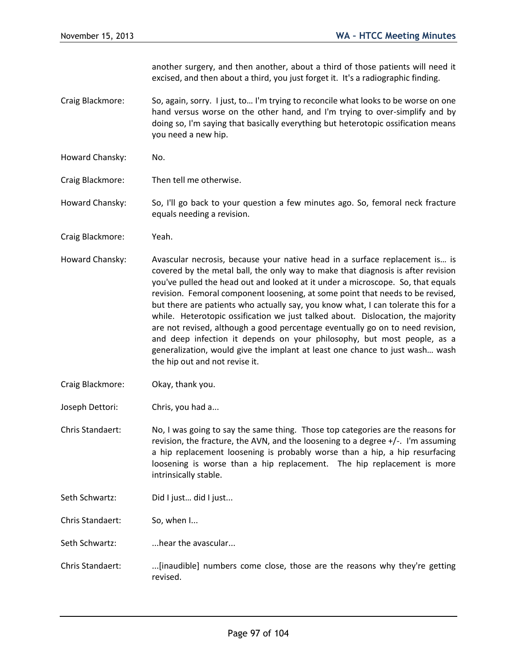another surgery, and then another, about a third of those patients will need it excised, and then about a third, you just forget it. It's a radiographic finding.

- Craig Blackmore: So, again, sorry. I just, to… I'm trying to reconcile what looks to be worse on one hand versus worse on the other hand, and I'm trying to over-simplify and by doing so, I'm saying that basically everything but heterotopic ossification means you need a new hip.
- Howard Chansky: No.
- Craig Blackmore: Then tell me otherwise.

Howard Chansky: So, I'll go back to your question a few minutes ago. So, femoral neck fracture equals needing a revision.

- Craig Blackmore: Yeah.
- Howard Chansky: Avascular necrosis, because your native head in a surface replacement is… is covered by the metal ball, the only way to make that diagnosis is after revision you've pulled the head out and looked at it under a microscope. So, that equals revision. Femoral component loosening, at some point that needs to be revised, but there are patients who actually say, you know what, I can tolerate this for a while. Heterotopic ossification we just talked about. Dislocation, the majority are not revised, although a good percentage eventually go on to need revision, and deep infection it depends on your philosophy, but most people, as a generalization, would give the implant at least one chance to just wash… wash the hip out and not revise it.
- Craig Blackmore: Okay, thank you.
- Joseph Dettori: Chris, you had a...

Chris Standaert: No, I was going to say the same thing. Those top categories are the reasons for revision, the fracture, the AVN, and the loosening to a degree +/-. I'm assuming a hip replacement loosening is probably worse than a hip, a hip resurfacing loosening is worse than a hip replacement. The hip replacement is more intrinsically stable.

- Seth Schwartz: Did I just... did I just...
- Chris Standaert: So, when I...

Seth Schwartz: ...hear the avascular...

Chris Standaert: ...[inaudible] numbers come close, those are the reasons why they're getting revised.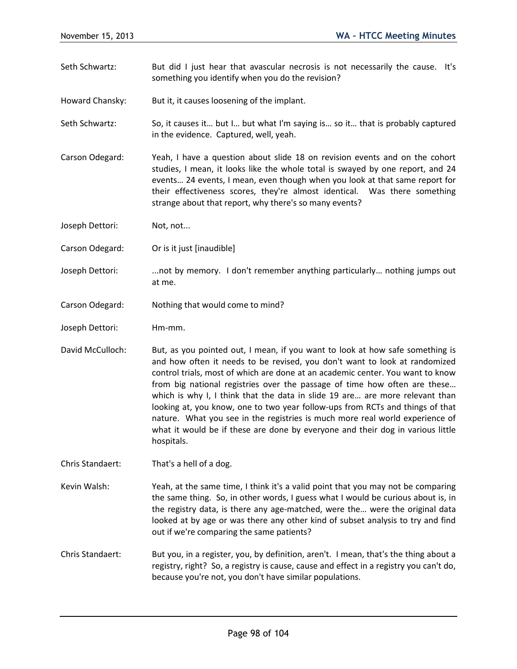Seth Schwartz: But did I just hear that avascular necrosis is not necessarily the cause. It's something you identify when you do the revision?

Howard Chansky: But it, it causes loosening of the implant.

Seth Schwartz: So, it causes it… but I… but what I'm saying is… so it… that is probably captured in the evidence. Captured, well, yeah.

Carson Odegard: Yeah, I have a question about slide 18 on revision events and on the cohort studies, I mean, it looks like the whole total is swayed by one report, and 24 events… 24 events, I mean, even though when you look at that same report for their effectiveness scores, they're almost identical. Was there something strange about that report, why there's so many events?

Joseph Dettori: Not, not...

Carson Odegard: Or is it just [inaudible]

Joseph Dettori: ...not by memory. I don't remember anything particularly… nothing jumps out at me.

- Carson Odegard: Nothing that would come to mind?
- Joseph Dettori: Hm-mm.

David McCulloch: But, as you pointed out, I mean, if you want to look at how safe something is and how often it needs to be revised, you don't want to look at randomized control trials, most of which are done at an academic center. You want to know from big national registries over the passage of time how often are these… which is why I, I think that the data in slide 19 are... are more relevant than looking at, you know, one to two year follow-ups from RCTs and things of that nature. What you see in the registries is much more real world experience of what it would be if these are done by everyone and their dog in various little hospitals.

Chris Standaert: That's a hell of a dog.

Kevin Walsh: Yeah, at the same time, I think it's a valid point that you may not be comparing the same thing. So, in other words, I guess what I would be curious about is, in the registry data, is there any age-matched, were the… were the original data looked at by age or was there any other kind of subset analysis to try and find out if we're comparing the same patients?

Chris Standaert: But you, in a register, you, by definition, aren't. I mean, that's the thing about a registry, right? So, a registry is cause, cause and effect in a registry you can't do, because you're not, you don't have similar populations.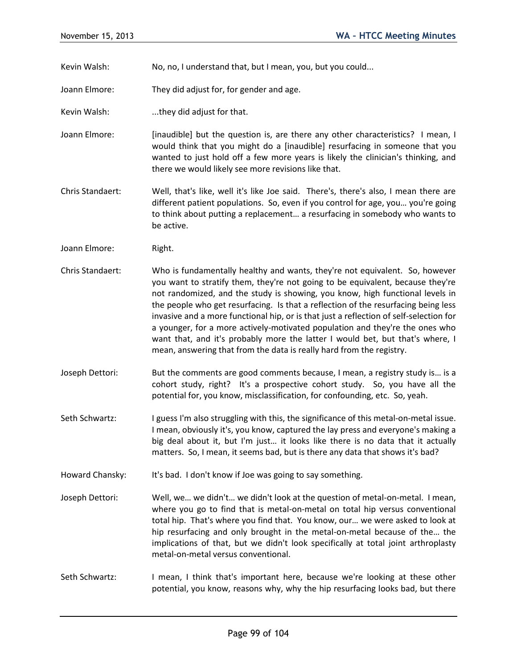Kevin Walsh: No, no, I understand that, but I mean, you, but you could...

Joann Elmore: They did adjust for, for gender and age.

- Kevin Walsh: ...they did adjust for that.
- Joann Elmore: [inaudible] but the question is, are there any other characteristics? I mean, I would think that you might do a [inaudible] resurfacing in someone that you wanted to just hold off a few more years is likely the clinician's thinking, and there we would likely see more revisions like that.
- Chris Standaert: Well, that's like, well it's like Joe said. There's, there's also, I mean there are different patient populations. So, even if you control for age, you… you're going to think about putting a replacement… a resurfacing in somebody who wants to be active.
- Joann Elmore: Right.
- Chris Standaert: Who is fundamentally healthy and wants, they're not equivalent. So, however you want to stratify them, they're not going to be equivalent, because they're not randomized, and the study is showing, you know, high functional levels in the people who get resurfacing. Is that a reflection of the resurfacing being less invasive and a more functional hip, or is that just a reflection of self-selection for a younger, for a more actively-motivated population and they're the ones who want that, and it's probably more the latter I would bet, but that's where, I mean, answering that from the data is really hard from the registry.
- Joseph Dettori: But the comments are good comments because, I mean, a registry study is… is a cohort study, right? It's a prospective cohort study. So, you have all the potential for, you know, misclassification, for confounding, etc. So, yeah.
- Seth Schwartz: I guess I'm also struggling with this, the significance of this metal-on-metal issue. I mean, obviously it's, you know, captured the lay press and everyone's making a big deal about it, but I'm just… it looks like there is no data that it actually matters. So, I mean, it seems bad, but is there any data that shows it's bad?
- Howard Chansky: It's bad. I don't know if Joe was going to say something.
- Joseph Dettori: Well, we… we didn't… we didn't look at the question of metal-on-metal. I mean, where you go to find that is metal-on-metal on total hip versus conventional total hip. That's where you find that. You know, our… we were asked to look at hip resurfacing and only brought in the metal-on-metal because of the… the implications of that, but we didn't look specifically at total joint arthroplasty metal-on-metal versus conventional.
- Seth Schwartz: I mean, I think that's important here, because we're looking at these other potential, you know, reasons why, why the hip resurfacing looks bad, but there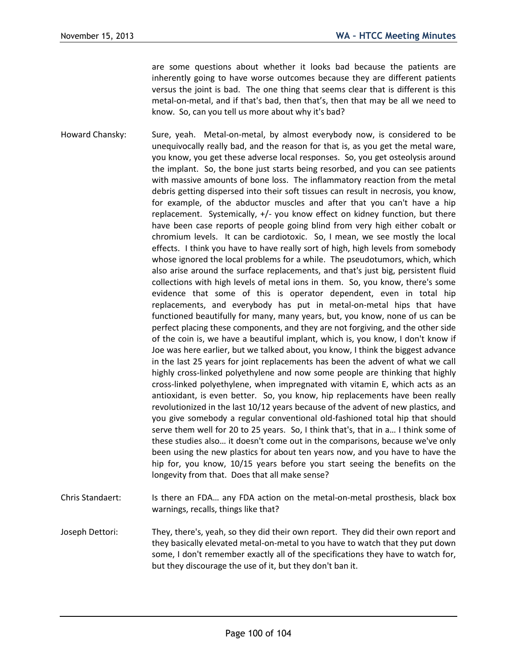are some questions about whether it looks bad because the patients are inherently going to have worse outcomes because they are different patients versus the joint is bad. The one thing that seems clear that is different is this metal-on-metal, and if that's bad, then that's, then that may be all we need to know. So, can you tell us more about why it's bad?

Howard Chansky: Sure, yeah. Metal-on-metal, by almost everybody now, is considered to be unequivocally really bad, and the reason for that is, as you get the metal ware, you know, you get these adverse local responses. So, you get osteolysis around the implant. So, the bone just starts being resorbed, and you can see patients with massive amounts of bone loss. The inflammatory reaction from the metal debris getting dispersed into their soft tissues can result in necrosis, you know, for example, of the abductor muscles and after that you can't have a hip replacement. Systemically, +/- you know effect on kidney function, but there have been case reports of people going blind from very high either cobalt or chromium levels. It can be cardiotoxic. So, I mean, we see mostly the local effects. I think you have to have really sort of high, high levels from somebody whose ignored the local problems for a while. The pseudotumors, which, which also arise around the surface replacements, and that's just big, persistent fluid collections with high levels of metal ions in them. So, you know, there's some evidence that some of this is operator dependent, even in total hip replacements, and everybody has put in metal-on-metal hips that have functioned beautifully for many, many years, but, you know, none of us can be perfect placing these components, and they are not forgiving, and the other side of the coin is, we have a beautiful implant, which is, you know, I don't know if Joe was here earlier, but we talked about, you know, I think the biggest advance in the last 25 years for joint replacements has been the advent of what we call highly cross-linked polyethylene and now some people are thinking that highly cross-linked polyethylene, when impregnated with vitamin E, which acts as an antioxidant, is even better. So, you know, hip replacements have been really revolutionized in the last 10/12 years because of the advent of new plastics, and you give somebody a regular conventional old-fashioned total hip that should serve them well for 20 to 25 years. So, I think that's, that in a… I think some of these studies also… it doesn't come out in the comparisons, because we've only been using the new plastics for about ten years now, and you have to have the hip for, you know, 10/15 years before you start seeing the benefits on the longevity from that. Does that all make sense?

- Chris Standaert: Is there an FDA… any FDA action on the metal-on-metal prosthesis, black box warnings, recalls, things like that?
- Joseph Dettori: They, there's, yeah, so they did their own report. They did their own report and they basically elevated metal-on-metal to you have to watch that they put down some, I don't remember exactly all of the specifications they have to watch for, but they discourage the use of it, but they don't ban it.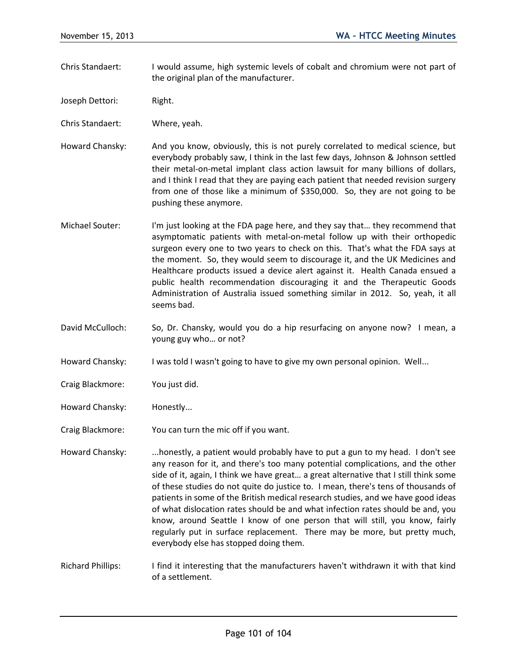- Chris Standaert: I would assume, high systemic levels of cobalt and chromium were not part of the original plan of the manufacturer.
- Joseph Dettori: Right.

Chris Standaert: Where, yeah.

- Howard Chansky: And you know, obviously, this is not purely correlated to medical science, but everybody probably saw, I think in the last few days, Johnson & Johnson settled their metal-on-metal implant class action lawsuit for many billions of dollars, and I think I read that they are paying each patient that needed revision surgery from one of those like a minimum of \$350,000. So, they are not going to be pushing these anymore.
- Michael Souter: I'm just looking at the FDA page here, and they say that… they recommend that asymptomatic patients with metal-on-metal follow up with their orthopedic surgeon every one to two years to check on this. That's what the FDA says at the moment. So, they would seem to discourage it, and the UK Medicines and Healthcare products issued a device alert against it. Health Canada ensued a public health recommendation discouraging it and the Therapeutic Goods Administration of Australia issued something similar in 2012. So, yeah, it all seems bad.
- David McCulloch: So, Dr. Chansky, would you do a hip resurfacing on anyone now? I mean, a young guy who… or not?
- Howard Chansky: I was told I wasn't going to have to give my own personal opinion. Well...
- Craig Blackmore: You just did.
- Howard Chansky: Honestly...

Craig Blackmore: You can turn the mic off if you want.

Howard Chansky: ...honestly, a patient would probably have to put a gun to my head. I don't see any reason for it, and there's too many potential complications, and the other side of it, again, I think we have great… a great alternative that I still think some of these studies do not quite do justice to. I mean, there's tens of thousands of patients in some of the British medical research studies, and we have good ideas of what dislocation rates should be and what infection rates should be and, you know, around Seattle I know of one person that will still, you know, fairly regularly put in surface replacement. There may be more, but pretty much, everybody else has stopped doing them.

Richard Phillips: I find it interesting that the manufacturers haven't withdrawn it with that kind of a settlement.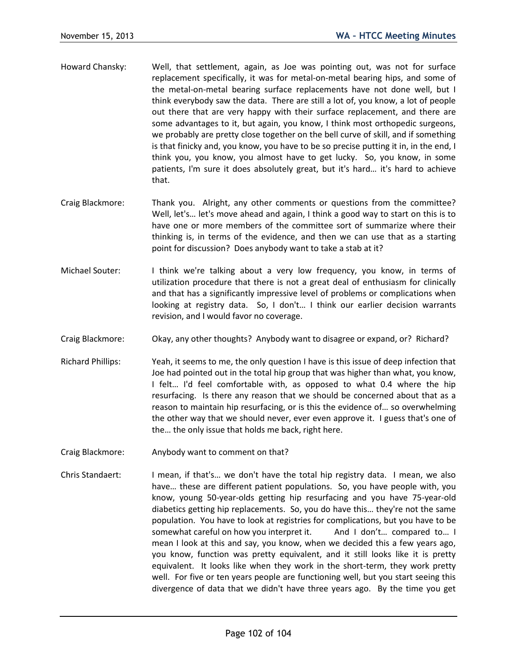- Howard Chansky: Well, that settlement, again, as Joe was pointing out, was not for surface replacement specifically, it was for metal-on-metal bearing hips, and some of the metal-on-metal bearing surface replacements have not done well, but I think everybody saw the data. There are still a lot of, you know, a lot of people out there that are very happy with their surface replacement, and there are some advantages to it, but again, you know, I think most orthopedic surgeons, we probably are pretty close together on the bell curve of skill, and if something is that finicky and, you know, you have to be so precise putting it in, in the end, I think you, you know, you almost have to get lucky. So, you know, in some patients, I'm sure it does absolutely great, but it's hard… it's hard to achieve that.
- Craig Blackmore: Thank you. Alright, any other comments or questions from the committee? Well, let's... let's move ahead and again, I think a good way to start on this is to have one or more members of the committee sort of summarize where their thinking is, in terms of the evidence, and then we can use that as a starting point for discussion? Does anybody want to take a stab at it?
- Michael Souter: I think we're talking about a very low frequency, you know, in terms of utilization procedure that there is not a great deal of enthusiasm for clinically and that has a significantly impressive level of problems or complications when looking at registry data. So, I don't… I think our earlier decision warrants revision, and I would favor no coverage.
- Craig Blackmore: Okay, any other thoughts? Anybody want to disagree or expand, or? Richard?
- Richard Phillips: Yeah, it seems to me, the only question I have is this issue of deep infection that Joe had pointed out in the total hip group that was higher than what, you know, I felt… I'd feel comfortable with, as opposed to what 0.4 where the hip resurfacing. Is there any reason that we should be concerned about that as a reason to maintain hip resurfacing, or is this the evidence of… so overwhelming the other way that we should never, ever even approve it. I guess that's one of the… the only issue that holds me back, right here.
- Craig Blackmore: Anybody want to comment on that?
- Chris Standaert: I mean, if that's… we don't have the total hip registry data. I mean, we also have… these are different patient populations. So, you have people with, you know, young 50-year-olds getting hip resurfacing and you have 75-year-old diabetics getting hip replacements. So, you do have this… they're not the same population. You have to look at registries for complications, but you have to be somewhat careful on how you interpret it. And I don't… compared to… I mean I look at this and say, you know, when we decided this a few years ago, you know, function was pretty equivalent, and it still looks like it is pretty equivalent. It looks like when they work in the short-term, they work pretty well. For five or ten years people are functioning well, but you start seeing this divergence of data that we didn't have three years ago. By the time you get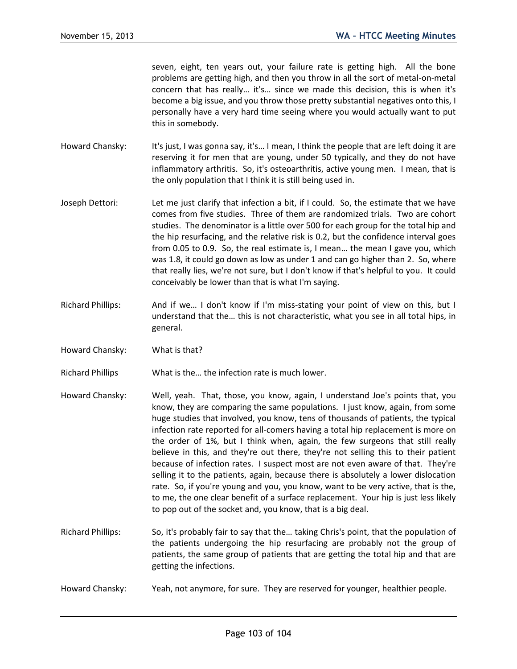seven, eight, ten years out, your failure rate is getting high. All the bone problems are getting high, and then you throw in all the sort of metal-on-metal concern that has really… it's… since we made this decision, this is when it's become a big issue, and you throw those pretty substantial negatives onto this, I personally have a very hard time seeing where you would actually want to put this in somebody.

- Howard Chansky: It's just, I was gonna say, it's... I mean, I think the people that are left doing it are reserving it for men that are young, under 50 typically, and they do not have inflammatory arthritis. So, it's osteoarthritis, active young men. I mean, that is the only population that I think it is still being used in.
- Joseph Dettori: Let me just clarify that infection a bit, if I could. So, the estimate that we have comes from five studies. Three of them are randomized trials. Two are cohort studies. The denominator is a little over 500 for each group for the total hip and the hip resurfacing, and the relative risk is 0.2, but the confidence interval goes from 0.05 to 0.9. So, the real estimate is, I mean… the mean I gave you, which was 1.8, it could go down as low as under 1 and can go higher than 2. So, where that really lies, we're not sure, but I don't know if that's helpful to you. It could conceivably be lower than that is what I'm saying.
- Richard Phillips: And if we… I don't know if I'm miss-stating your point of view on this, but I understand that the… this is not characteristic, what you see in all total hips, in general.
- Howard Chansky: What is that?

Richard Phillips What is the… the infection rate is much lower.

- Howard Chansky: Well, yeah. That, those, you know, again, I understand Joe's points that, you know, they are comparing the same populations. I just know, again, from some huge studies that involved, you know, tens of thousands of patients, the typical infection rate reported for all-comers having a total hip replacement is more on the order of 1%, but I think when, again, the few surgeons that still really believe in this, and they're out there, they're not selling this to their patient because of infection rates. I suspect most are not even aware of that. They're selling it to the patients, again, because there is absolutely a lower dislocation rate. So, if you're young and you, you know, want to be very active, that is the, to me, the one clear benefit of a surface replacement. Your hip is just less likely to pop out of the socket and, you know, that is a big deal.
- Richard Phillips: So, it's probably fair to say that the… taking Chris's point, that the population of the patients undergoing the hip resurfacing are probably not the group of patients, the same group of patients that are getting the total hip and that are getting the infections.
- Howard Chansky: Yeah, not anymore, for sure. They are reserved for younger, healthier people.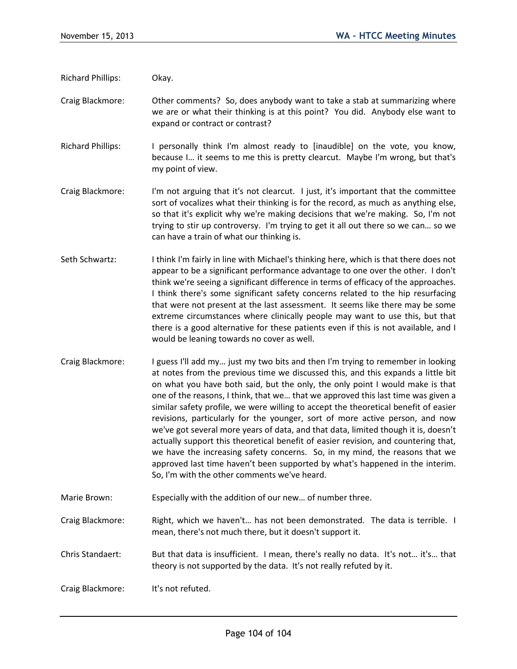- Richard Phillips: Okay.
- Craig Blackmore: Other comments? So, does anybody want to take a stab at summarizing where we are or what their thinking is at this point? You did. Anybody else want to expand or contract or contrast?
- Richard Phillips: I personally think I'm almost ready to [inaudible] on the vote, you know, because I… it seems to me this is pretty clearcut. Maybe I'm wrong, but that's my point of view.
- Craig Blackmore: I'm not arguing that it's not clearcut. I just, it's important that the committee sort of vocalizes what their thinking is for the record, as much as anything else, so that it's explicit why we're making decisions that we're making. So, I'm not trying to stir up controversy. I'm trying to get it all out there so we can… so we can have a train of what our thinking is.
- Seth Schwartz: I think I'm fairly in line with Michael's thinking here, which is that there does not appear to be a significant performance advantage to one over the other. I don't think we're seeing a significant difference in terms of efficacy of the approaches. I think there's some significant safety concerns related to the hip resurfacing that were not present at the last assessment. It seems like there may be some extreme circumstances where clinically people may want to use this, but that there is a good alternative for these patients even if this is not available, and I would be leaning towards no cover as well.
- Craig Blackmore: I guess I'll add my… just my two bits and then I'm trying to remember in looking at notes from the previous time we discussed this, and this expands a little bit on what you have both said, but the only, the only point I would make is that one of the reasons, I think, that we… that we approved this last time was given a similar safety profile, we were willing to accept the theoretical benefit of easier revisions, particularly for the younger, sort of more active person, and now we've got several more years of data, and that data, limited though it is, doesn't actually support this theoretical benefit of easier revision, and countering that, we have the increasing safety concerns. So, in my mind, the reasons that we approved last time haven't been supported by what's happened in the interim. So, I'm with the other comments we've heard.
- Marie Brown: Especially with the addition of our new… of number three.
- Craig Blackmore: Right, which we haven't… has not been demonstrated. The data is terrible. I mean, there's not much there, but it doesn't support it.
- Chris Standaert: But that data is insufficient. I mean, there's really no data. It's not… it's… that theory is not supported by the data. It's not really refuted by it.
- Craig Blackmore: It's not refuted.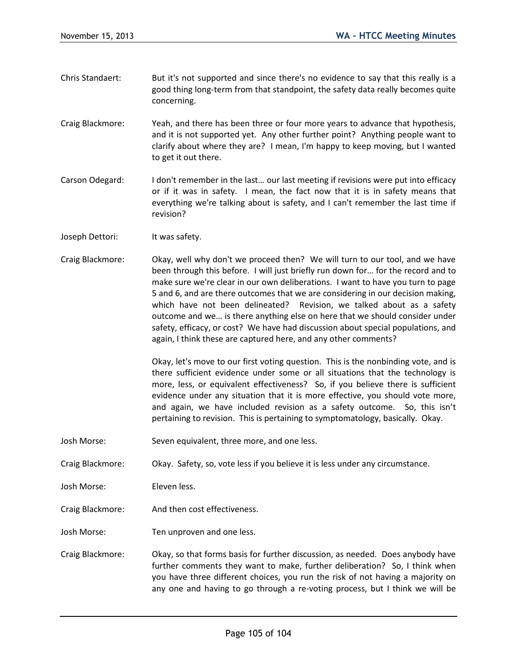- Chris Standaert: But it's not supported and since there's no evidence to say that this really is a good thing long-term from that standpoint, the safety data really becomes quite concerning.
- Craig Blackmore: Yeah, and there has been three or four more years to advance that hypothesis, and it is not supported yet. Any other further point? Anything people want to clarify about where they are? I mean, I'm happy to keep moving, but I wanted to get it out there.
- Carson Odegard: I don't remember in the last… our last meeting if revisions were put into efficacy or if it was in safety. I mean, the fact now that it is in safety means that everything we're talking about is safety, and I can't remember the last time if revision?
- Joseph Dettori: It was safety.
- Craig Blackmore: Okay, well why don't we proceed then? We will turn to our tool, and we have been through this before. I will just briefly run down for… for the record and to make sure we're clear in our own deliberations. I want to have you turn to page 5 and 6, and are there outcomes that we are considering in our decision making, which have not been delineated? Revision, we talked about as a safety outcome and we… is there anything else on here that we should consider under safety, efficacy, or cost? We have had discussion about special populations, and again, I think these are captured here, and any other comments?

Okay, let's move to our first voting question. This is the nonbinding vote, and is there sufficient evidence under some or all situations that the technology is more, less, or equivalent effectiveness? So, if you believe there is sufficient evidence under any situation that it is more effective, you should vote more, and again, we have included revision as a safety outcome. So, this isn't pertaining to revision. This is pertaining to symptomatology, basically. Okay.

Josh Morse: Seven equivalent, three more, and one less.

Craig Blackmore: Okay. Safety, so, vote less if you believe it is less under any circumstance.

- Josh Morse: Eleven less.
- Craig Blackmore: And then cost effectiveness.
- Josh Morse: Ten unproven and one less.
- Craig Blackmore: Okay, so that forms basis for further discussion, as needed. Does anybody have further comments they want to make, further deliberation? So, I think when you have three different choices, you run the risk of not having a majority on any one and having to go through a re-voting process, but I think we will be